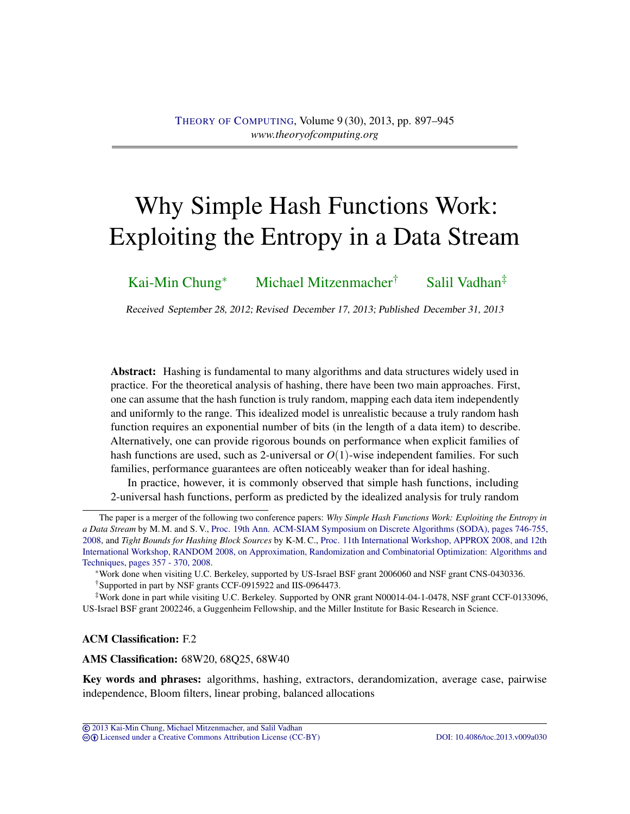# Why Simple Hash Functions Work: Exploiting the Entropy in a Data Stream

[Kai-Min Chung](#page-46-0)<sup>∗</sup> [Michael Mitzenmacher](#page-46-1)† [Salil Vadhan](#page-47-0)‡

Received September 28, 2012; Revised December 17, 2013; Published December 31, 2013

Abstract: Hashing is fundamental to many algorithms and data structures widely used in practice. For the theoretical analysis of hashing, there have been two main approaches. First, one can assume that the hash function is truly random, mapping each data item independently and uniformly to the range. This idealized model is unrealistic because a truly random hash function requires an exponential number of bits (in the length of a data item) to describe. Alternatively, one can provide rigorous bounds on performance when explicit families of hash functions are used, such as 2-universal or *O*(1)-wise independent families. For such families, performance guarantees are often noticeably weaker than for ideal hashing.

In practice, however, it is commonly observed that simple hash functions, including 2-universal hash functions, perform as predicted by the idealized analysis for truly random

ACM Classification: F.2

AMS Classification: 68W20, 68Q25, 68W40

Key words and phrases: algorithms, hashing, extractors, derandomization, average case, pairwise independence, Bloom filters, linear probing, balanced allocations

The paper is a merger of the following two conference papers: *Why Simple Hash Functions Work: Exploiting the Entropy in a Data Stream* by M. M. and S. V., [Proc. 19th Ann. ACM-SIAM Symposium on Discrete Algorithms \(SODA\), pages 746-755,](http://dl.acm.org/citation.cfm?id=1347164) [2008,](http://dl.acm.org/citation.cfm?id=1347164) and *Tight Bounds for Hashing Block Sources* by K-M. C., [Proc. 11th International Workshop, APPROX 2008, and 12th](http://dl2.acm.org/citation.cfm?id=1429822) [International Workshop, RANDOM 2008, on Approximation, Randomization and Combinatorial Optimization: Algorithms and](http://dl2.acm.org/citation.cfm?id=1429822) [Techniques, pages 357 - 370, 2008.](http://dl2.acm.org/citation.cfm?id=1429822)

<sup>∗</sup>Work done when visiting U.C. Berkeley, supported by US-Israel BSF grant 2006060 and NSF grant CNS-0430336. †Supported in part by NSF grants CCF-0915922 and IIS-0964473.

<sup>‡</sup>Work done in part while visiting U.C. Berkeley. Supported by ONR grant N00014-04-1-0478, NSF grant CCF-0133096, US-Israel BSF grant 2002246, a Guggenheim Fellowship, and the Miller Institute for Basic Research in Science.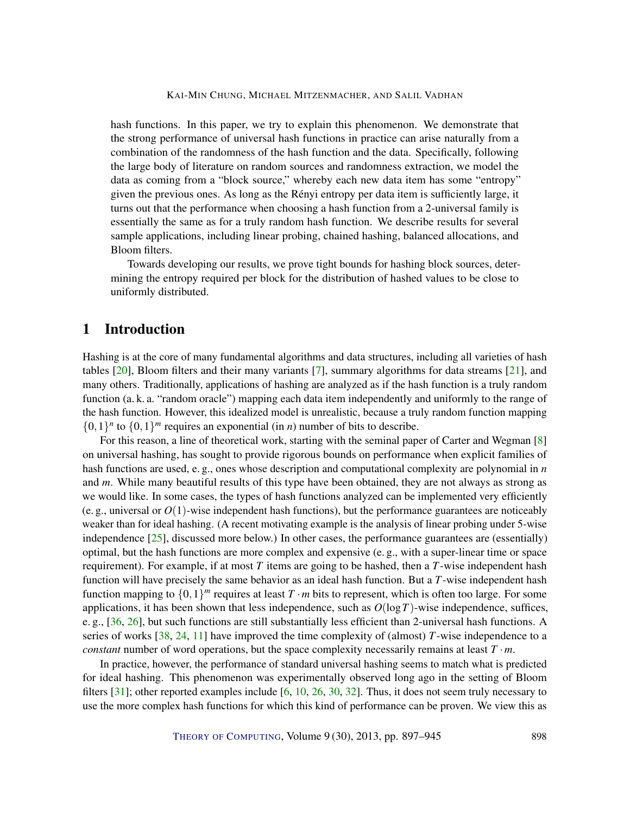<span id="page-1-0"></span>hash functions. In this paper, we try to explain this phenomenon. We demonstrate that the strong performance of universal hash functions in practice can arise naturally from a combination of the randomness of the hash function and the data. Specifically, following the large body of literature on random sources and randomness extraction, we model the data as coming from a "block source," whereby each new data item has some "entropy" given the previous ones. As long as the Rényi entropy per data item is sufficiently large, it turns out that the performance when choosing a hash function from a 2-universal family is essentially the same as for a truly random hash function. We describe results for several sample applications, including linear probing, chained hashing, balanced allocations, and Bloom filters.

Towards developing our results, we prove tight bounds for hashing block sources, determining the entropy required per block for the distribution of hashed values to be close to uniformly distributed.

# 1 Introduction

Hashing is at the core of many fundamental algorithms and data structures, including all varieties of hash tables [\[20\]](#page-44-0), Bloom filters and their many variants [\[7\]](#page-43-0), summary algorithms for data streams [\[21\]](#page-44-1), and many others. Traditionally, applications of hashing are analyzed as if the hash function is a truly random function (a. k. a. "random oracle") mapping each data item independently and uniformly to the range of the hash function. However, this idealized model is unrealistic, because a truly random function mapping  $\{0,1\}^n$  to  $\{0,1\}^m$  requires an exponential (in *n*) number of bits to describe.

For this reason, a line of theoretical work, starting with the seminal paper of Carter and Wegman [\[8\]](#page-43-1) on universal hashing, has sought to provide rigorous bounds on performance when explicit families of hash functions are used, e. g., ones whose description and computational complexity are polynomial in *n* and *m*. While many beautiful results of this type have been obtained, they are not always as strong as we would like. In some cases, the types of hash functions analyzed can be implemented very efficiently (e. g., universal or  $O(1)$ -wise independent hash functions), but the performance guarantees are noticeably weaker than for ideal hashing. (A recent motivating example is the analysis of linear probing under 5-wise independence [\[25\]](#page-44-2), discussed more below.) In other cases, the performance guarantees are (essentially) optimal, but the hash functions are more complex and expensive (e. g., with a super-linear time or space requirement). For example, if at most *T* items are going to be hashed, then a *T*-wise independent hash function will have precisely the same behavior as an ideal hash function. But a *T*-wise independent hash function mapping to  $\{0,1\}^m$  requires at least  $T \cdot m$  bits to represent, which is often too large. For some applications, it has been shown that less independence, such as  $O(\log T)$ -wise independence, suffices, e. g., [\[36,](#page-45-0) [26\]](#page-45-1), but such functions are still substantially less efficient than 2-universal hash functions. A series of works [\[38,](#page-46-2) [24,](#page-44-3) [11\]](#page-43-2) have improved the time complexity of (almost) *T*-wise independence to a *constant* number of word operations, but the space complexity necessarily remains at least *T* ·*m*.

In practice, however, the performance of standard universal hashing seems to match what is predicted for ideal hashing. This phenomenon was experimentally observed long ago in the setting of Bloom filters  $[31]$ ; other reported examples include  $[6, 10, 26, 30, 32]$  $[6, 10, 26, 30, 32]$  $[6, 10, 26, 30, 32]$  $[6, 10, 26, 30, 32]$  $[6, 10, 26, 30, 32]$  $[6, 10, 26, 30, 32]$  $[6, 10, 26, 30, 32]$  $[6, 10, 26, 30, 32]$  $[6, 10, 26, 30, 32]$ . Thus, it does not seem truly necessary to use the more complex hash functions for which this kind of performance can be proven. We view this as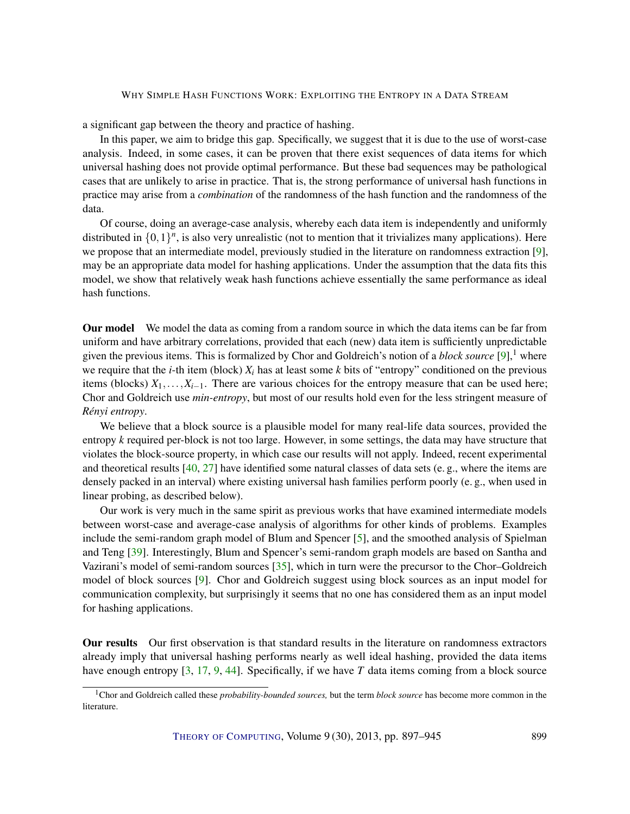<span id="page-2-0"></span>a significant gap between the theory and practice of hashing.

In this paper, we aim to bridge this gap. Specifically, we suggest that it is due to the use of worst-case analysis. Indeed, in some cases, it can be proven that there exist sequences of data items for which universal hashing does not provide optimal performance. But these bad sequences may be pathological cases that are unlikely to arise in practice. That is, the strong performance of universal hash functions in practice may arise from a *combination* of the randomness of the hash function and the randomness of the data.

Of course, doing an average-case analysis, whereby each data item is independently and uniformly distributed in  $\{0,1\}^n$ , is also very unrealistic (not to mention that it trivializes many applications). Here we propose that an intermediate model, previously studied in the literature on randomness extraction [\[9\]](#page-43-5), may be an appropriate data model for hashing applications. Under the assumption that the data fits this model, we show that relatively weak hash functions achieve essentially the same performance as ideal hash functions.

Our model We model the data as coming from a random source in which the data items can be far from uniform and have arbitrary correlations, provided that each (new) data item is sufficiently unpredictable given the previous items. This is formalized by Chor and Goldreich's notion of a *block source* [\[9\]](#page-43-5),<sup>1</sup> where we require that the *i*-th item (block)  $X_i$  has at least some *k* bits of "entropy" conditioned on the previous items (blocks)  $X_1, \ldots, X_{i-1}$ . There are various choices for the entropy measure that can be used here; Chor and Goldreich use *min-entropy*, but most of our results hold even for the less stringent measure of *Rényi entropy*.

We believe that a block source is a plausible model for many real-life data sources, provided the entropy *k* required per-block is not too large. However, in some settings, the data may have structure that violates the block-source property, in which case our results will not apply. Indeed, recent experimental and theoretical results  $[40, 27]$  $[40, 27]$  $[40, 27]$  have identified some natural classes of data sets (e.g., where the items are densely packed in an interval) where existing universal hash families perform poorly (e. g., when used in linear probing, as described below).

Our work is very much in the same spirit as previous works that have examined intermediate models between worst-case and average-case analysis of algorithms for other kinds of problems. Examples include the semi-random graph model of Blum and Spencer [\[5\]](#page-43-6), and the smoothed analysis of Spielman and Teng [\[39\]](#page-46-4). Interestingly, Blum and Spencer's semi-random graph models are based on Santha and Vazirani's model of semi-random sources [\[35\]](#page-45-6), which in turn were the precursor to the Chor–Goldreich model of block sources [\[9\]](#page-43-5). Chor and Goldreich suggest using block sources as an input model for communication complexity, but surprisingly it seems that no one has considered them as an input model for hashing applications.

Our results Our first observation is that standard results in the literature on randomness extractors already imply that universal hashing performs nearly as well ideal hashing, provided the data items have enough entropy [\[3,](#page-43-7) [17,](#page-44-4) [9,](#page-43-5) [44\]](#page-46-5). Specifically, if we have *T* data items coming from a block source

<sup>1</sup>Chor and Goldreich called these *probability-bounded sources,* but the term *block source* has become more common in the literature.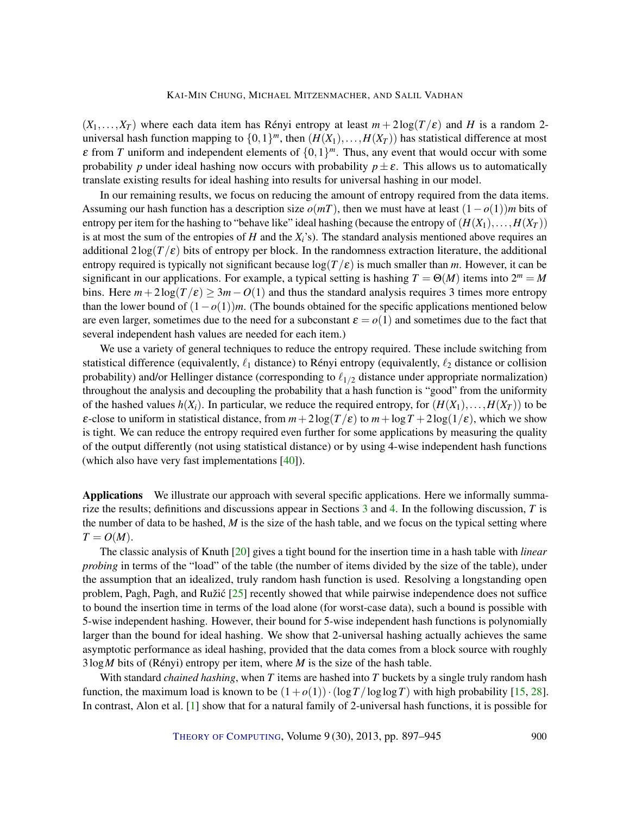<span id="page-3-0"></span> $(X_1,...,X_T)$  where each data item has Rényi entropy at least  $m + 2\log(T/\varepsilon)$  and *H* is a random 2universal hash function mapping to  $\{0,1\}^m$ , then  $(H(X_1),...,H(X_T))$  has statistical difference at most  $\varepsilon$  from *T* uniform and independent elements of  $\{0,1\}^m$ . Thus, any event that would occur with some probability *p* under ideal hashing now occurs with probability  $p \pm \varepsilon$ . This allows us to automatically translate existing results for ideal hashing into results for universal hashing in our model.

In our remaining results, we focus on reducing the amount of entropy required from the data items. Assuming our hash function has a description size  $o(mT)$ , then we must have at least  $(1-o(1))m$  bits of entropy per item for the hashing to "behave like" ideal hashing (because the entropy of  $(H(X_1),...,H(X_T))$ is at most the sum of the entropies of *H* and the  $X_i$ 's). The standard analysis mentioned above requires an additional  $2\log(T/\epsilon)$  bits of entropy per block. In the randomness extraction literature, the additional entropy required is typically not significant because  $\log(T/\epsilon)$  is much smaller than *m*. However, it can be significant in our applications. For example, a typical setting is hashing  $T = \Theta(M)$  items into  $2^m = M$ bins. Here  $m+2\log(T/\epsilon) \geq 3m-O(1)$  and thus the standard analysis requires 3 times more entropy than the lower bound of (1−*o*(1))*m*. (The bounds obtained for the specific applications mentioned below are even larger, sometimes due to the need for a subconstant  $\varepsilon = o(1)$  and sometimes due to the fact that several independent hash values are needed for each item.)

We use a variety of general techniques to reduce the entropy required. These include switching from statistical difference (equivalently,  $\ell_1$  distance) to Rényi entropy (equivalently,  $\ell_2$  distance or collision probability) and/or Hellinger distance (corresponding to  $\ell_{1/2}$  distance under appropriate normalization) throughout the analysis and decoupling the probability that a hash function is "good" from the uniformity of the hashed values  $h(X_i)$ . In particular, we reduce the required entropy, for  $(H(X_1),...,H(X_T))$  to be  $\varepsilon$ -close to uniform in statistical distance, from  $m+2\log(T/\varepsilon)$  to  $m+\log T+2\log(1/\varepsilon)$ , which we show is tight. We can reduce the entropy required even further for some applications by measuring the quality of the output differently (not using statistical distance) or by using 4-wise independent hash functions (which also have very fast implementations [\[40\]](#page-46-3)).

Applications We illustrate our approach with several specific applications. Here we informally summarize the results; definitions and discussions appear in Sections [3](#page-5-0) and [4.](#page-10-0) In the following discussion, *T* is the number of data to be hashed, *M* is the size of the hash table, and we focus on the typical setting where  $T = O(M)$ .

The classic analysis of Knuth [\[20\]](#page-44-0) gives a tight bound for the insertion time in a hash table with *linear probing* in terms of the "load" of the table (the number of items divided by the size of the table), under the assumption that an idealized, truly random hash function is used. Resolving a longstanding open problem, Pagh, Pagh, and Ružić  $[25]$  $[25]$  recently showed that while pairwise independence does not suffice to bound the insertion time in terms of the load alone (for worst-case data), such a bound is possible with 5-wise independent hashing. However, their bound for 5-wise independent hash functions is polynomially larger than the bound for ideal hashing. We show that 2-universal hashing actually achieves the same asymptotic performance as ideal hashing, provided that the data comes from a block source with roughly 3log*M* bits of (Rényi) entropy per item, where *M* is the size of the hash table.

With standard *chained hashing*, when *T* items are hashed into *T* buckets by a single truly random hash function, the maximum load is known to be  $(1+o(1)) \cdot (\log T / \log \log T)$  with high probability [\[15,](#page-44-5) [28\]](#page-45-7). In contrast, Alon et al. [\[1\]](#page-43-8) show that for a natural family of 2-universal hash functions, it is possible for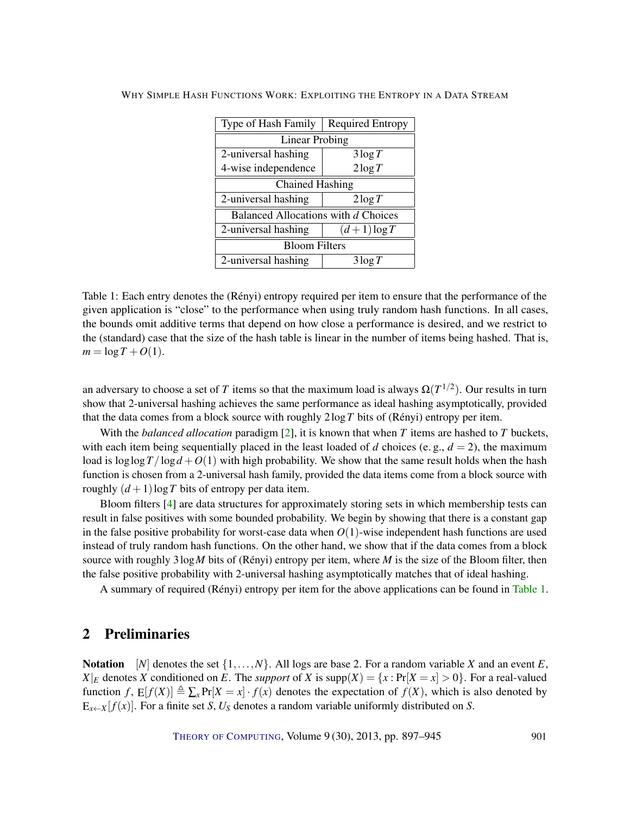<span id="page-4-1"></span>

| Type of Hash Family                 | <b>Required Entropy</b> |
|-------------------------------------|-------------------------|
| Linear Probing                      |                         |
| 2-universal hashing                 | $3\log T$               |
| 4-wise independence                 | $2\log T$               |
| <b>Chained Hashing</b>              |                         |
| 2-universal hashing                 | $2\log T$               |
| Balanced Allocations with d Choices |                         |
| 2-universal hashing                 | $(d+1)\log T$           |
| <b>Bloom Filters</b>                |                         |
| 2-universal hashing                 | $3\log T$               |

<span id="page-4-0"></span>Table 1: Each entry denotes the (Rényi) entropy required per item to ensure that the performance of the given application is "close" to the performance when using truly random hash functions. In all cases, the bounds omit additive terms that depend on how close a performance is desired, and we restrict to the (standard) case that the size of the hash table is linear in the number of items being hashed. That is,  $m = \log T + O(1)$ .

an adversary to choose a set of *T* items so that the maximum load is always  $\Omega(T^{1/2})$ . Our results in turn show that 2-universal hashing achieves the same performance as ideal hashing asymptotically, provided that the data comes from a block source with roughly 2log*T* bits of (Rényi) entropy per item.

With the *balanced allocation* paradigm [\[2\]](#page-43-9), it is known that when *T* items are hashed to *T* buckets, with each item being sequentially placed in the least loaded of *d* choices (e.g.,  $d = 2$ ), the maximum load is  $\log \log T / \log d + O(1)$  with high probability. We show that the same result holds when the hash function is chosen from a 2-universal hash family, provided the data items come from a block source with roughly  $(d+1)\log T$  bits of entropy per data item.

Bloom filters [\[4\]](#page-43-10) are data structures for approximately storing sets in which membership tests can result in false positives with some bounded probability. We begin by showing that there is a constant gap in the false positive probability for worst-case data when  $O(1)$ -wise independent hash functions are used instead of truly random hash functions. On the other hand, we show that if the data comes from a block source with roughly 3log*M* bits of (Rényi) entropy per item, where *M* is the size of the Bloom filter, then the false positive probability with 2-universal hashing asymptotically matches that of ideal hashing.

A summary of required (Rényi) entropy per item for the above applications can be found in [Table](#page-4-0) [1.](#page-4-0)

# 2 Preliminaries

Notation [*N*] denotes the set  $\{1, \ldots, N\}$ . All logs are base 2. For a random variable *X* and an event *E*,  $X|_E$  denotes *X* conditioned on *E*. The *support* of *X* is  $\text{supp}(X) = \{x : \Pr[X = x] > 0\}$ . For a real-valued function  $f$ ,  $E[f(X)] \triangleq \sum_{x} Pr[X = x] \cdot f(x)$  denotes the expectation of  $f(X)$ , which is also denoted by  $E_{x \leftarrow X}[f(x)]$ . For a finite set *S*,  $U_S$  denotes a random variable uniformly distributed on *S*.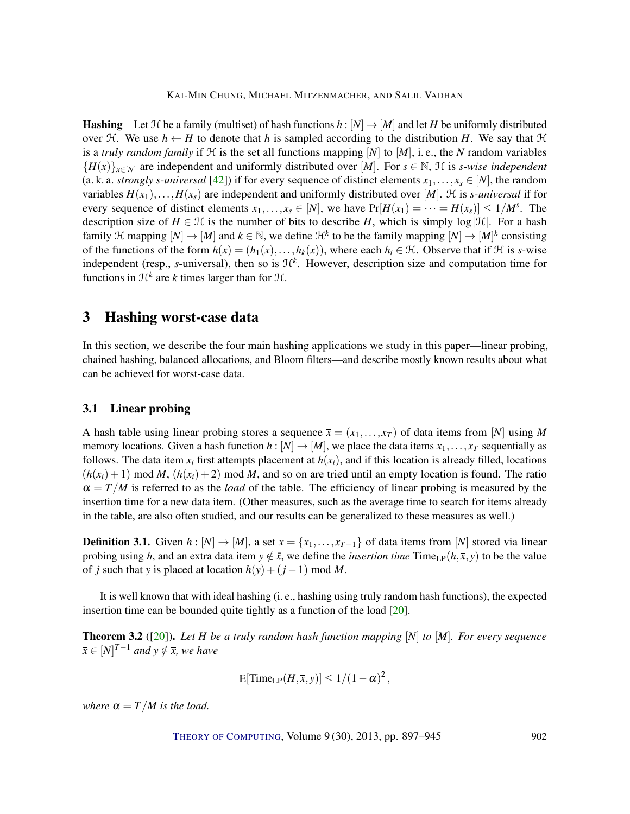<span id="page-5-1"></span>**Hashing** Let  $H$  be a family (multiset) of hash functions  $h : [N] \to [M]$  and let H be uniformly distributed over H. We use  $h \leftarrow H$  to denote that h is sampled according to the distribution H. We say that H is a *truly random family* if  $H$  is the set all functions mapping  $[N]$  to  $[M]$ , i.e., the *N* random variables  ${H(x)}_{x\in[N]}$  are independent and uniformly distributed over [*M*]. For  $s \in \mathbb{N}$ ,  $\mathcal{H}$  is *s-wise independent* (a. k. a. *strongly s-universal* [\[42\]](#page-46-6)) if for every sequence of distinct elements  $x_1, \ldots, x_s \in [N]$ , the random variables  $H(x_1),...,H(x_s)$  are independent and uniformly distributed over [*M*]. H is *s-universal* if for every sequence of distinct elements  $x_1, \ldots, x_s \in [N]$ , we have  $Pr[H(x_1) = \cdots = H(x_s)] \le 1/M^s$ . The description size of  $H \in \mathcal{H}$  is the number of bits to describe *H*, which is simply log  $|\mathcal{H}|$ . For a hash family H mapping  $[N] \to [M]$  and  $k \in \mathbb{N}$ , we define  $\mathcal{H}^k$  to be the family mapping  $[N] \to [M]^k$  consisting of the functions of the form  $h(x) = (h_1(x), \ldots, h_k(x))$ , where each  $h_i \in \mathcal{H}$ . Observe that if  $\mathcal H$  is *s*-wise independent (resp., *s*-universal), then so is  $H<sup>k</sup>$ . However, description size and computation time for functions in  $\mathcal{H}^k$  are *k* times larger than for  $\mathcal{H}$ .

# <span id="page-5-0"></span>3 Hashing worst-case data

In this section, we describe the four main hashing applications we study in this paper—linear probing, chained hashing, balanced allocations, and Bloom filters—and describe mostly known results about what can be achieved for worst-case data.

# 3.1 Linear probing

A hash table using linear probing stores a sequence  $\bar{x} = (x_1, \ldots, x_T)$  of data items from [*N*] using *M* memory locations. Given a hash function  $h : [N] \to [M]$ , we place the data items  $x_1, \ldots, x_T$  sequentially as follows. The data item  $x_i$  first attempts placement at  $h(x_i)$ , and if this location is already filled, locations  $(h(x_i) + 1)$  mod *M*,  $(h(x_i) + 2)$  mod *M*, and so on are tried until an empty location is found. The ratio  $\alpha = T/M$  is referred to as the *load* of the table. The efficiency of linear probing is measured by the insertion time for a new data item. (Other measures, such as the average time to search for items already in the table, are also often studied, and our results can be generalized to these measures as well.)

**Definition 3.1.** Given  $h : [N] \rightarrow [M]$ , a set  $\overline{x} = \{x_1, \ldots, x_{T-1}\}$  of data items from [*N*] stored via linear probing using *h*, and an extra data item  $y \notin \bar{x}$ , we define the *insertion time*  $\text{Time}_{\text{LP}}(h, \bar{x}, y)$  to be the value of *j* such that *y* is placed at location  $h(y) + (j - 1) \text{ mod } M$ .

It is well known that with ideal hashing (i. e., hashing using truly random hash functions), the expected insertion time can be bounded quite tightly as a function of the load [\[20\]](#page-44-0).

Theorem 3.2 ([\[20\]](#page-44-0)). *Let H be a truly random hash function mapping* [*N*] *to* [*M*]*. For every sequence*  $\overline{x} \in [N]^{T-1}$  *and*  $y \notin \overline{x}$ *, we have* 

$$
E[\text{Time}_{LP}(H,\overline{x},y)] \le 1/(1-\alpha)^2,
$$

*where*  $\alpha = T/M$  *is the load.*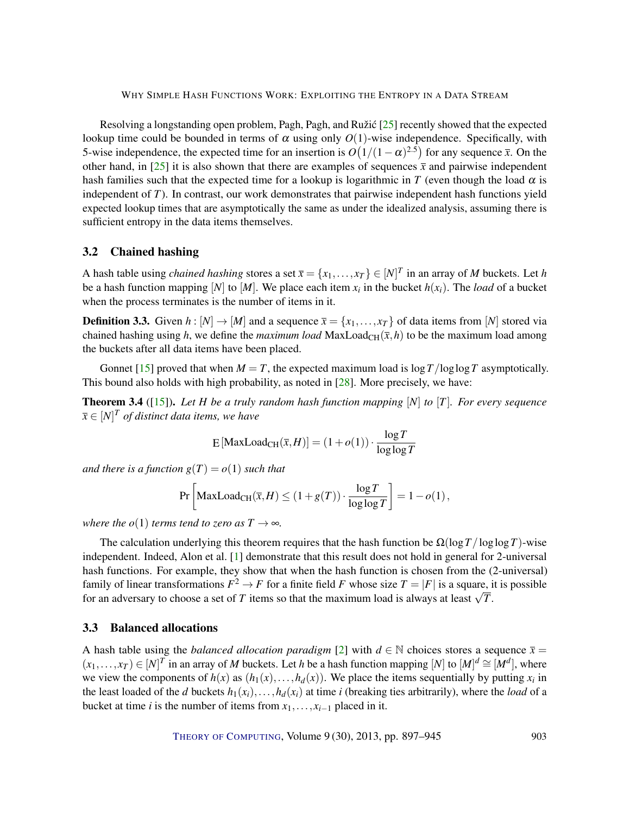<span id="page-6-1"></span>Resolving a longstanding open problem, Pagh, Pagh, and Ružic  $[25]$  $[25]$  recently showed that the expected lookup time could be bounded in terms of  $\alpha$  using only  $O(1)$ -wise independence. Specifically, with 5-wise independence, the expected time for an insertion is  $O(1/(1-\alpha)^{2.5})$  for any sequence  $\bar{x}$ . On the other hand, in [\[25\]](#page-44-2) it is also shown that there are examples of sequences  $\bar{x}$  and pairwise independent hash families such that the expected time for a lookup is logarithmic in *T* (even though the load  $\alpha$  is independent of *T*). In contrast, our work demonstrates that pairwise independent hash functions yield expected lookup times that are asymptotically the same as under the idealized analysis, assuming there is sufficient entropy in the data items themselves.

# 3.2 Chained hashing

A hash table using *chained hashing* stores a set  $\bar{x} = \{x_1, \ldots, x_T\} \in [N]^T$  in an array of *M* buckets. Let *h* be a hash function mapping [*N*] to [*M*]. We place each item  $x_i$  in the bucket  $h(x_i)$ . The *load* of a bucket when the process terminates is the number of items in it.

**Definition 3.3.** Given  $h : [N] \to [M]$  and a sequence  $\overline{x} = \{x_1, \ldots, x_T\}$  of data items from [*N*] stored via chained hashing using *h*, we define the *maximum load* MaxLoad<sub>CH</sub>( $\bar{x}$ ,*h*) to be the maximum load among the buckets after all data items have been placed.

Gonnet [\[15\]](#page-44-5) proved that when  $M = T$ , the expected maximum load is  $\log T / \log \log T$  asymptotically. This bound also holds with high probability, as noted in [\[28\]](#page-45-7). More precisely, we have:

<span id="page-6-0"></span>**Theorem 3.4** ([\[15\]](#page-44-5)). Let *H* be a truly random hash function mapping [N] to [T]. For every sequence  $\overline{x} \in [N]^T$  *of distinct data items, we have* 

$$
E\left[\text{MaxLoad}_{\text{CH}}(\overline{x},H)\right] = (1+o(1)) \cdot \frac{\log T}{\log \log T}
$$

*and there is a function*  $g(T) = o(1)$  *such that* 

$$
\Pr\left[\text{MaxLoad}_{\text{CH}}(\overline{x},H) \le (1+g(T)) \cdot \frac{\log T}{\log \log T}\right] = 1 - o(1),
$$

*where the o*(1) *terms tend to zero as*  $T \rightarrow \infty$ *.* 

The calculation underlying this theorem requires that the hash function be  $\Omega(\log T / \log \log T)$ -wise independent. Indeed, Alon et al. [\[1\]](#page-43-8) demonstrate that this result does not hold in general for 2-universal hash functions. For example, they show that when the hash function is chosen from the (2-universal) family of linear transformations  $F^2 \to F$  for a finite field *F* whose size  $T = |F|$  is a square, it is possible for an adversary to choose a set of *T* items so that the maximum load is always at least  $\sqrt{T}$ .

# 3.3 Balanced allocations

A hash table using the *balanced allocation paradigm* [\[2\]](#page-43-9) with  $d \in \mathbb{N}$  choices stores a sequence  $\bar{x} =$  $(x_1,...,x_T) \in [N]^T$  in an array of *M* buckets. Let *h* be a hash function mapping  $[N]$  to  $[M]^d \cong [M]^d$ , where we view the components of  $h(x)$  as  $(h_1(x),...,h_d(x))$ . We place the items sequentially by putting  $x_i$  in the least loaded of the *d* buckets  $h_1(x_i), \ldots, h_d(x_i)$  at time *i* (breaking ties arbitrarily), where the *load* of a bucket at time *i* is the number of items from  $x_1, \ldots, x_{i-1}$  placed in it.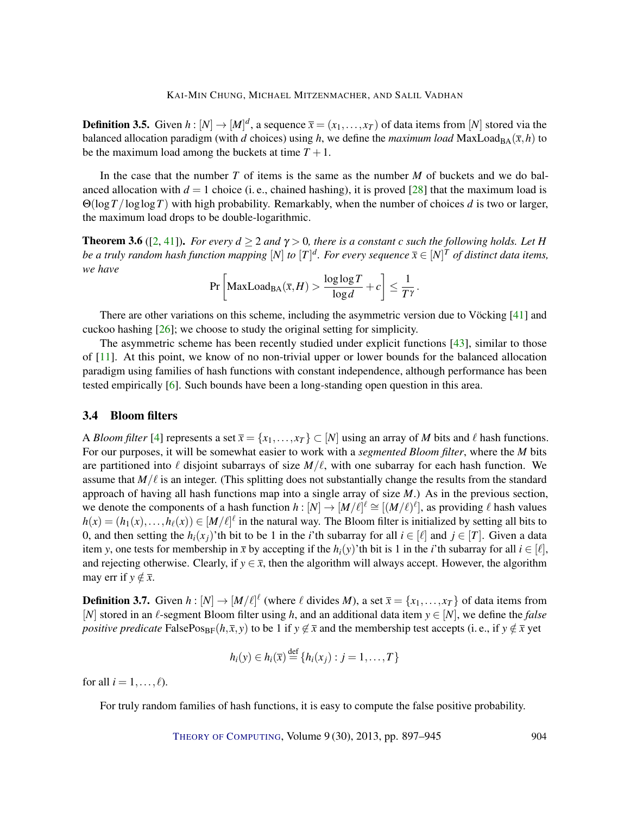<span id="page-7-1"></span>**Definition 3.5.** Given  $h: [N] \to [M]^d$ , a sequence  $\bar{x} = (x_1, \ldots, x_T)$  of data items from  $[N]$  stored via the balanced allocation paradigm (with *d* choices) using *h*, we define the *maximum load* MaxLoad<sub>BA</sub> $(\bar{x}, h)$  to be the maximum load among the buckets at time  $T + 1$ .

In the case that the number *T* of items is the same as the number *M* of buckets and we do balanced allocation with  $d = 1$  choice (i. e., chained hashing), it is proved [\[28\]](#page-45-7) that the maximum load is Θ(log*T*/loglog*T*) with high probability. Remarkably, when the number of choices *d* is two or larger, the maximum load drops to be double-logarithmic.

<span id="page-7-0"></span>**Theorem 3.6** ([\[2,](#page-43-9) [41\]](#page-46-7)). *For every*  $d \ge 2$  *and*  $\gamma > 0$ *, there is a constant c such the following holds. Let H be a truly random hash function mapping*  $[N]$  *to*  $[T]^d$ . For every sequence  $\overline{x} \in [N]^T$  of distinct data items, *we have*

$$
\Pr\left[\text{MaxLoad}_{\text{BA}}(\overline{x},H) > \frac{\log\log T}{\log d} + c\right] \le \frac{1}{T^{\gamma}}.
$$

There are other variations on this scheme, including the asymmetric version due to Vöcking [\[41\]](#page-46-7) and cuckoo hashing [\[26\]](#page-45-1); we choose to study the original setting for simplicity.

The asymmetric scheme has been recently studied under explicit functions [\[43\]](#page-46-8), similar to those of [\[11\]](#page-43-2). At this point, we know of no non-trivial upper or lower bounds for the balanced allocation paradigm using families of hash functions with constant independence, although performance has been tested empirically [\[6\]](#page-43-3). Such bounds have been a long-standing open question in this area.

## 3.4 Bloom filters

A *Bloom filter* [\[4\]](#page-43-10) represents a set  $\bar{x} = \{x_1, \ldots, x_T\} \subset [N]$  using an array of *M* bits and  $\ell$  hash functions. For our purposes, it will be somewhat easier to work with a *segmented Bloom filter*, where the *M* bits are partitioned into  $\ell$  disjoint subarrays of size  $M/\ell$ , with one subarray for each hash function. We assume that  $M/\ell$  is an integer. (This splitting does not substantially change the results from the standard approach of having all hash functions map into a single array of size *M*.) As in the previous section, we denote the components of a hash function  $h: [N] \to [M/\ell]^{\ell} \cong [(M/\ell)^{\ell}]$ , as providing  $\ell$  hash values  $h(x) = (h_1(x), \ldots, h_\ell(x)) \in [M/\ell]^\ell$  in the natural way. The Bloom filter is initialized by setting all bits to 0, and then setting the  $h_i(x_i)$ 'th bit to be 1 in the *i*'th subarray for all  $i \in [\ell]$  and  $j \in [T]$ . Given a data item *y*, one tests for membership in  $\bar{x}$  by accepting if the  $h_i(y)$ 'th bit is 1 in the *i*'th subarray for all  $i \in [\ell]$ , and rejecting otherwise. Clearly, if  $y \in \overline{x}$ , then the algorithm will always accept. However, the algorithm may err if  $y \notin \overline{x}$ .

**Definition 3.7.** Given  $h: [N] \to [M/\ell]^{\ell}$  (where  $\ell$  divides *M*), a set  $\bar{x} = \{x_1, \ldots, x_T\}$  of data items from [*N*] stored in an  $\ell$ -segment Bloom filter using *h*, and an additional data item  $y \in [N]$ , we define the *false positive predicate* FalsePos<sub>BF</sub>( $h, \bar{x}, y$ ) to be 1 if  $y \notin \bar{x}$  and the membership test accepts (i.e., if  $y \notin \bar{x}$  yet

$$
h_i(y) \in h_i(\bar{x}) \stackrel{\text{def}}{=} \{h_i(x_j) : j = 1, ..., T\}
$$

for all  $i = 1, \ldots, \ell$ ).

For truly random families of hash functions, it is easy to compute the false positive probability.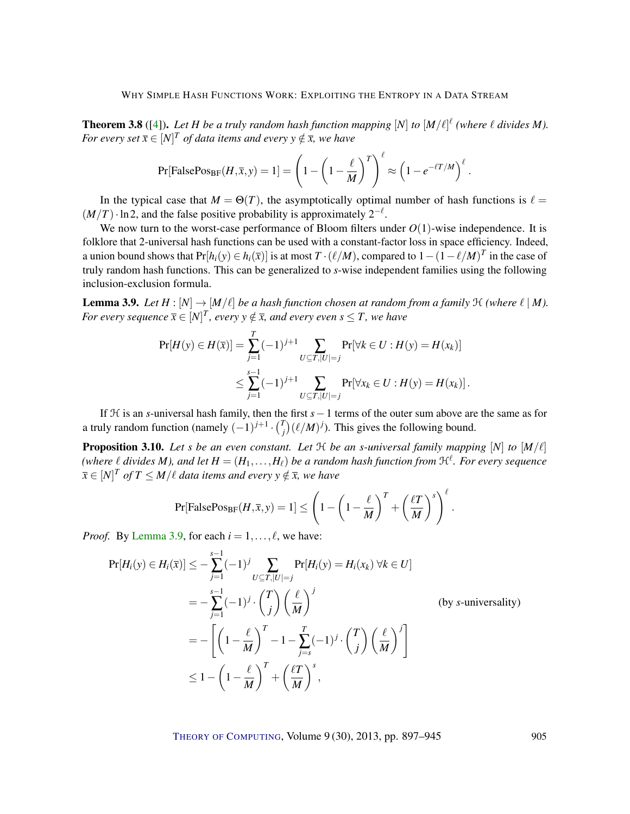<span id="page-8-1"></span>**Theorem 3.8** ([\[4\]](#page-43-10)). Let *H* be a truly random hash function mapping  $[N]$  to  $[M/\ell]^\ell$  (where  $\ell$  divides *M*). *For every set*  $\overline{x} \in [N]^T$  *of data items and every y*  $\notin \overline{x}$ *, we have* 

$$
\Pr[\text{FalsePos}_{\text{BF}}(H,\overline{x},y) = 1] = \left(1 - \left(1 - \frac{\ell}{M}\right)^T\right)^{\ell} \approx \left(1 - e^{-\ell T/M}\right)^{\ell}.
$$

In the typical case that  $M = \Theta(T)$ , the asymptotically optimal number of hash functions is  $\ell =$  $(M/T) \cdot \ln 2$ , and the false positive probability is approximately  $2^{-\ell}$ .

We now turn to the worst-case performance of Bloom filters under  $O(1)$ -wise independence. It is folklore that 2-universal hash functions can be used with a constant-factor loss in space efficiency. Indeed, a union bound shows that  $Pr[h_i(y) \in h_i(\bar{x})]$  is at most  $T \cdot (\ell/M)$ , compared to  $1 - (1 - \ell/M)^T$  in the case of truly random hash functions. This can be generalized to *s*-wise independent families using the following inclusion-exclusion formula.

<span id="page-8-0"></span>**Lemma 3.9.** *Let*  $H : [N] \to [M/\ell]$  *be a hash function chosen at random from a family*  $H$  *(where*  $\ell | M$ *). For every sequence*  $\overline{x} \in [N]^T$ , every  $y \notin \overline{x}$ , and every even  $s \leq T$ , we have

$$
\Pr[H(y) \in H(\overline{x})] = \sum_{j=1}^{T} (-1)^{j+1} \sum_{U \subseteq T, |U| = j} \Pr[\forall k \in U : H(y) = H(x_k)]
$$
  
 
$$
\leq \sum_{j=1}^{s-1} (-1)^{j+1} \sum_{U \subseteq T, |U| = j} \Pr[\forall x_k \in U : H(y) = H(x_k)].
$$

If H is an *s*-universal hash family, then the first *s*−1 terms of the outer sum above are the same as for a truly random function (namely  $(-1)^{j+1} \cdot {T \choose j}$  $f_j^r$ )( $\ell/M$ )<sup>*j*</sup>). This gives the following bound.

**Proposition 3.10.** Let *s* be an even constant. Let  $H$  be an *s*-universal family mapping  $[N]$  to  $[M/\ell]$ (where  $\ell$  divides M), and let  $H = (H_1, \ldots, H_\ell)$  be a random hash function from  $\mathfrak{H}^\ell$ . For every sequence  $\overline{x} \in [N]^T$  *of*  $T \leq M/\ell$  data items and every  $y \notin \overline{x}$ , we have

$$
\Pr[\text{FalsePos}_{\text{BF}}(H,\overline{x},y) = 1] \le \left(1 - \left(1 - \frac{\ell}{M}\right)^T + \left(\frac{\ell T}{M}\right)^s\right)^{\ell}.
$$

*Proof.* By [Lemma](#page-8-0) [3.9,](#page-8-0) for each  $i = 1, \ldots, \ell$ , we have:

$$
\Pr[H_i(y) \in H_i(\bar{x})] \le -\sum_{j=1}^{s-1} (-1)^j \sum_{U \subseteq T, |U|=j} \Pr[H_i(y) = H_i(x_k) \,\forall k \in U]
$$
  
=  $-\sum_{j=1}^{s-1} (-1)^j \cdot {T \choose j} \left(\frac{\ell}{M}\right)^j$  (by *s*-universality)  
=  $- \left[ \left(1 - \frac{\ell}{M}\right)^T - 1 - \sum_{j=s}^T (-1)^j \cdot {T \choose j} \left(\frac{\ell}{M}\right)^j \right]$   
 $\le 1 - \left(1 - \frac{\ell}{M}\right)^T + \left(\frac{\ell}{M}\right)^s,$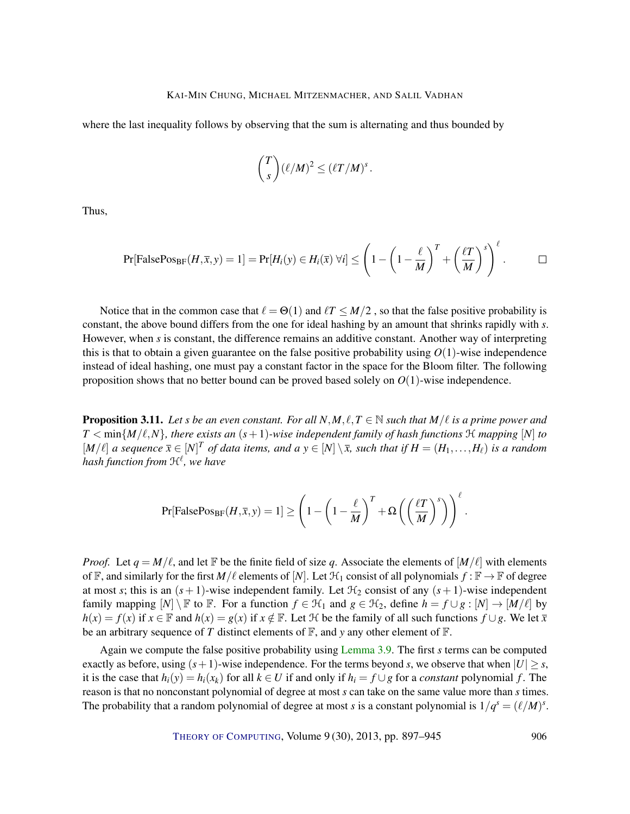where the last inequality follows by observing that the sum is alternating and thus bounded by

$$
\binom{T}{s} (\ell/M)^2 \leq (\ell T/M)^s.
$$

Thus,

$$
\Pr[\text{FalsePos}_{\text{BF}}(H,\overline{x},y)=1]=\Pr[H_i(y)\in H_i(\overline{x}) \,\forall i]\leq \left(1-\left(1-\frac{\ell}{M}\right)^T+\left(\frac{\ell T}{M}\right)^s\right)^{\ell}.\qquad \Box
$$

Notice that in the common case that  $\ell = \Theta(1)$  and  $\ell T \leq M/2$ , so that the false positive probability is constant, the above bound differs from the one for ideal hashing by an amount that shrinks rapidly with *s*. However, when *s* is constant, the difference remains an additive constant. Another way of interpreting this is that to obtain a given guarantee on the false positive probability using  $O(1)$ -wise independence instead of ideal hashing, one must pay a constant factor in the space for the Bloom filter. The following proposition shows that no better bound can be proved based solely on  $O(1)$ -wise independence.

**Proposition 3.11.** *Let s be an even constant. For all*  $N, M, \ell, T \in \mathbb{N}$  *such that*  $M/\ell$  *is a prime power and*  $T < \min\{M/\ell, N\}$ , there exists an  $(s+1)$ -wise independent family of hash functions  $H$  *mapping*  $[N]$  to  $[M/\ell]$  a sequence  $\bar{x} \in [N]^T$  of data items, and a  $y \in [N] \setminus \bar{x}$ , such that if  $H = (H_1, \ldots, H_\ell)$  is a random *hash function from* H` *, we have*

$$
\Pr[\text{FalsePos}_{\text{BF}}(H,\overline{x},y) = 1] \ge \left(1 - \left(1 - \frac{\ell}{M}\right)^T + \Omega\left(\left(\frac{\ell T}{M}\right)^s\right)\right)^{\ell}.
$$

*Proof.* Let  $q = M/\ell$ , and let F be the finite field of size q. Associate the elements of  $[M/\ell]$  with elements of  $\mathbb F$ , and similarly for the first  $M/\ell$  elements of  $[N]$ . Let  $\mathcal{H}_1$  consist of all polynomials  $f : \mathbb F \to \mathbb F$  of degree at most *s*; this is an  $(s + 1)$ -wise independent family. Let  $H_2$  consist of any  $(s + 1)$ -wise independent family mapping  $[N] \setminus \mathbb{F}$  to  $\mathbb{F}$ . For a function  $f \in \mathcal{H}_1$  and  $g \in \mathcal{H}_2$ , define  $h = f \cup g : [N] \to [M/\ell]$  by *h*(*x*) = *f*(*x*) if *x* ∈ F and *h*(*x*) = *g*(*x*) if *x* ∉ F. Let H be the family of all such functions  $f \cup g$ . We let  $\bar{x}$ be an arbitrary sequence of *T* distinct elements of  $\mathbb{F}$ , and *y* any other element of  $\mathbb{F}$ .

Again we compute the false positive probability using [Lemma](#page-8-0) [3.9.](#page-8-0) The first *s* terms can be computed exactly as before, using  $(s+1)$ -wise independence. For the terms beyond *s*, we observe that when  $|U| \geq s$ , it is the case that  $h_i(y) = h_i(x_k)$  for all  $k \in U$  if and only if  $h_i = f \cup g$  for a *constant* polynomial *f*. The reason is that no nonconstant polynomial of degree at most *s* can take on the same value more than *s* times. The probability that a random polynomial of degree at most *s* is a constant polynomial is  $1/q<sup>s</sup> = (\ell/M)<sup>s</sup>$ .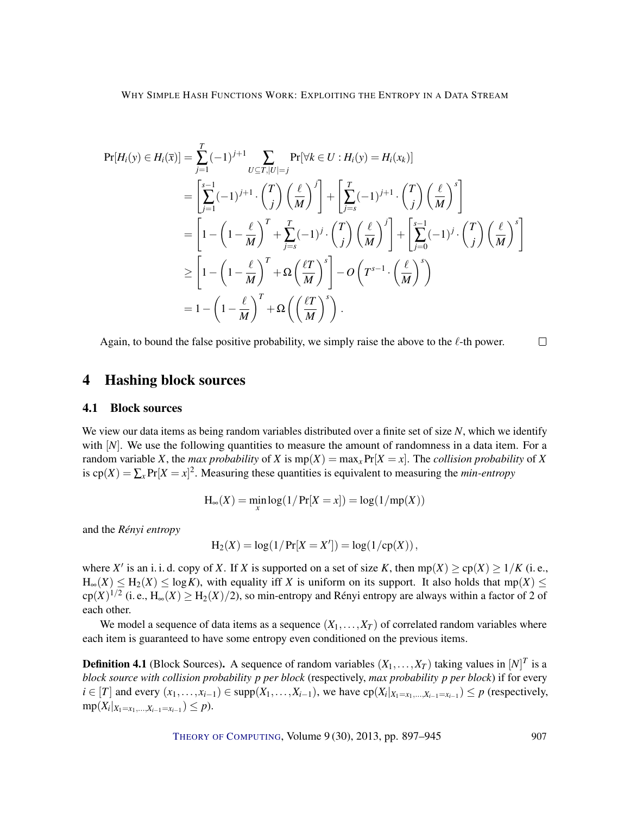$$
\Pr[H_i(y) \in H_i(\bar{x})] = \sum_{j=1}^T (-1)^{j+1} \sum_{U \subseteq T, |U| = j} \Pr[\forall k \in U : H_i(y) = H_i(x_k)]
$$
  
\n
$$
= \left[ \sum_{j=1}^{s-1} (-1)^{j+1} \cdot {T \choose j} \left(\frac{\ell}{M}\right)^j \right] + \left[ \sum_{j=s}^T (-1)^{j+1} \cdot {T \choose j} \left(\frac{\ell}{M}\right)^s \right]
$$
  
\n
$$
= \left[ 1 - \left(1 - \frac{\ell}{M}\right)^T + \sum_{j=s}^T (-1)^j \cdot {T \choose j} \left(\frac{\ell}{M}\right)^j \right] + \left[ \sum_{j=0}^{s-1} (-1)^j \cdot {T \choose j} \left(\frac{\ell}{M}\right)^s \right]
$$
  
\n
$$
\ge \left[ 1 - \left(1 - \frac{\ell}{M}\right)^T + \Omega \left(\frac{\ell}{M}\right)^s \right] - O\left(T^{s-1} \cdot \left(\frac{\ell}{M}\right)^s\right)
$$
  
\n
$$
= 1 - \left(1 - \frac{\ell}{M}\right)^T + \Omega \left(\left(\frac{\ell}{M}\right)^s\right).
$$

Again, to bound the false positive probability, we simply raise the above to the  $\ell$ -th power.

# <span id="page-10-0"></span>4 Hashing block sources

# 4.1 Block sources

We view our data items as being random variables distributed over a finite set of size *N*, which we identify with [*N*]. We use the following quantities to measure the amount of randomness in a data item. For a random variable *X*, the *max probability* of *X* is  $mp(X) = max<sub>x</sub> Pr[X = x]$ . The *collision probability* of *X* is  $cp(X) = \sum_{x} Pr[X = x]^2$ . Measuring these quantities is equivalent to measuring the *min-entropy* 

$$
H_{\infty}(X) = \min_{x} \log(1/\Pr[X = x]) = \log(1/\text{mp}(X))
$$

and the *Rényi entropy*

$$
H_2(X) = \log(1/\Pr[X = X']) = \log(1/\text{cp}(X)),
$$

where *X'* is an i. i. d. copy of *X*. If *X* is supported on a set of size *K*, then  $mp(X) \geq cp(X) \geq 1/K$  (i.e.,  $H_{\infty}(X) \leq H_2(X) \leq \log K$ , with equality if *X* is uniform on its support. It also holds that mp(*X*)  $\leq$  $\text{cp}(X)^{1/2}$  (i. e.,  $\text{H}_{\infty}(X) \ge \text{H}_{2}(X)/2$ ), so min-entropy and Rényi entropy are always within a factor of 2 of each other.

We model a sequence of data items as a sequence  $(X_1, \ldots, X_T)$  of correlated random variables where each item is guaranteed to have some entropy even conditioned on the previous items.

**Definition 4.1** (Block Sources). A sequence of random variables  $(X_1, \ldots, X_T)$  taking values in  $[N]^T$  is a *block source with collision probability p per block* (respectively, *max probability p per block*) if for every  $i \in [T]$  and every  $(x_1, \ldots, x_{i-1}) \in \text{supp}(X_1, \ldots, X_{i-1})$ , we have  $\text{cp}(X_i|_{X_1 = x_1, \ldots, X_{i-1} = x_{i-1}}) \le p$  (respectively,  $mp(X_i|_{X_1=x_1,...,X_{i-1}=x_{i-1}}) \leq p$ .

THEORY OF C[OMPUTING](http://dx.doi.org/10.4086/toc), Volume 9(30), 2013, pp. 897–945 907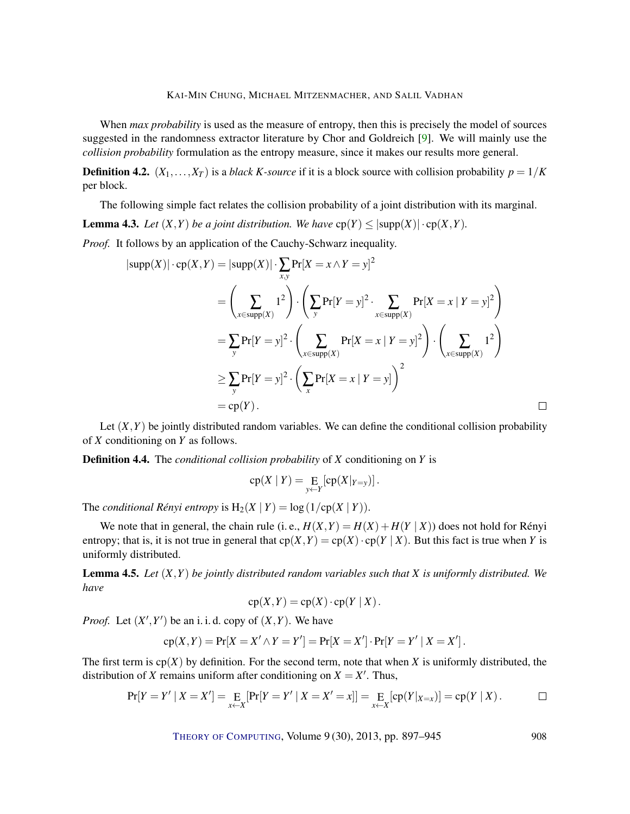<span id="page-11-2"></span>When *max probability* is used as the measure of entropy, then this is precisely the model of sources suggested in the randomness extractor literature by Chor and Goldreich [\[9\]](#page-43-5). We will mainly use the *collision probability* formulation as the entropy measure, since it makes our results more general.

**Definition 4.2.**  $(X_1, \ldots, X_T)$  is a *black K-source* if it is a block source with collision probability  $p = 1/K$ per block.

The following simple fact relates the collision probability of a joint distribution with its marginal.

<span id="page-11-1"></span>**Lemma 4.3.** *Let*  $(X, Y)$  *be a joint distribution. We have*  $cp(Y) \leq |supp(X)| \cdot cp(X, Y)$ *.* 

*Proof.* It follows by an application of the Cauchy-Schwarz inequality.

$$
|\text{supp}(X)| \cdot \text{cp}(X, Y) = |\text{supp}(X)| \cdot \sum_{x,y} \text{Pr}[X = x \land Y = y]^2
$$
  
\n
$$
= \left(\sum_{x \in \text{supp}(X)} 1^2\right) \cdot \left(\sum_{y} \text{Pr}[Y = y]^2 \cdot \sum_{x \in \text{supp}(X)} \text{Pr}[X = x | Y = y]^2\right)
$$
  
\n
$$
= \sum_{y} \text{Pr}[Y = y]^2 \cdot \left(\sum_{x \in \text{supp}(X)} \text{Pr}[X = x | Y = y]^2\right) \cdot \left(\sum_{x \in \text{supp}(X)} 1^2\right)
$$
  
\n
$$
\ge \sum_{y} \text{Pr}[Y = y]^2 \cdot \left(\sum_{x} \text{Pr}[X = x | Y = y]\right)^2
$$
  
\n
$$
= \text{cp}(Y).
$$

Let  $(X, Y)$  be jointly distributed random variables. We can define the conditional collision probability of *X* conditioning on *Y* as follows.

Definition 4.4. The *conditional collision probability* of *X* conditioning on *Y* is

$$
cp(X | Y) = \underset{y \leftarrow Y}{\mathrm{E}}[cp(X|_{Y=y})].
$$

The *conditional Rényi entropy* is  $H_2(X | Y) = log(1/cp(X | Y))$ .

We note that in general, the chain rule (i. e.,  $H(X,Y) = H(X) + H(Y | X)$ ) does not hold for Rényi entropy; that is, it is not true in general that  $cp(X, Y) = cp(X) \cdot cp(Y | X)$ . But this fact is true when *Y* is uniformly distributed.

<span id="page-11-0"></span>Lemma 4.5. *Let* (*X*,*Y*) *be jointly distributed random variables such that X is uniformly distributed. We have*

$$
cp(X,Y) = cp(X) \cdot cp(Y | X).
$$

*Proof.* Let  $(X', Y')$  be an i. i. d. copy of  $(X, Y)$ . We have

$$
cp(X,Y) = Pr[X = X' \wedge Y = Y'] = Pr[X = X'] \cdot Pr[Y = Y' | X = X'].
$$

The first term is  $cp(X)$  by definition. For the second term, note that when X is uniformly distributed, the distribution of *X* remains uniform after conditioning on  $X = X'$ . Thus,

$$
Pr[Y = Y' | X = X'] = E_{X \leftarrow X}[Pr[Y = Y' | X = X'] = x] = E_{X \leftarrow X}[cp(Y|_{X=x})] = cp(Y | X).
$$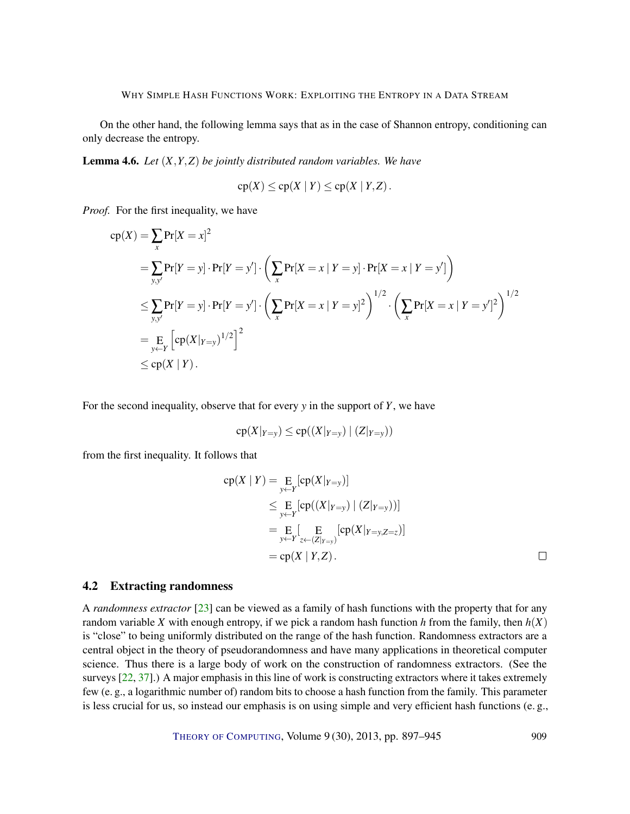<span id="page-12-1"></span>On the other hand, the following lemma says that as in the case of Shannon entropy, conditioning can only decrease the entropy.

<span id="page-12-0"></span>Lemma 4.6. *Let* (*X*,*Y*,*Z*) *be jointly distributed random variables. We have*

$$
cp(X) \le cp(X | Y) \le cp(X | Y, Z).
$$

*Proof.* For the first inequality, we have

$$
cp(X) = \sum_{x} Pr[X = x]^{2}
$$
  
=  $\sum_{y,y'} Pr[Y = y] \cdot Pr[Y = y'] \cdot (\sum_{x} Pr[X = x | Y = y] \cdot Pr[X = x | Y = y'])$   
 $\leq \sum_{y,y'} Pr[Y = y] \cdot Pr[Y = y'] \cdot (\sum_{x} Pr[X = x | Y = y]^{2})^{1/2} \cdot (\sum_{x} Pr[X = x | Y = y']^{2})^{1/2}$   
=  $\sum_{y \leftarrow Y} [cp(X|_{Y=y})^{1/2}]^{2}$   
 $\leq cp(X | Y).$ 

For the second inequality, observe that for every *y* in the support of *Y*, we have

$$
cp(X|_{Y=y}) \le cp((X|_{Y=y}) | (Z|_{Y=y}))
$$

from the first inequality. It follows that

$$
cp(X | Y) = \underset{y \leftarrow Y}{E} [cp(X | Y_{=y})]
$$
  
\n
$$
\leq \underset{y \leftarrow Y}{E} [cp((X | Y_{=y}) | (Z | Y_{=y}))]
$$
  
\n
$$
= \underset{y \leftarrow Y}{E} [\underset{z \leftarrow (Z | Y_{=y})}{E} [cp(X | Y_{=y}, Z_{=z})]
$$
  
\n
$$
= cp(X | Y, Z). \qquad \Box
$$

#### 4.2 Extracting randomness

A *randomness extractor* [\[23\]](#page-44-6) can be viewed as a family of hash functions with the property that for any random variable *X* with enough entropy, if we pick a random hash function *h* from the family, then  $h(X)$ is "close" to being uniformly distributed on the range of the hash function. Randomness extractors are a central object in the theory of pseudorandomness and have many applications in theoretical computer science. Thus there is a large body of work on the construction of randomness extractors. (See the surveys [\[22,](#page-44-7) [37\]](#page-45-8).) A major emphasis in this line of work is constructing extractors where it takes extremely few (e. g., a logarithmic number of) random bits to choose a hash function from the family. This parameter is less crucial for us, so instead our emphasis is on using simple and very efficient hash functions (e. g.,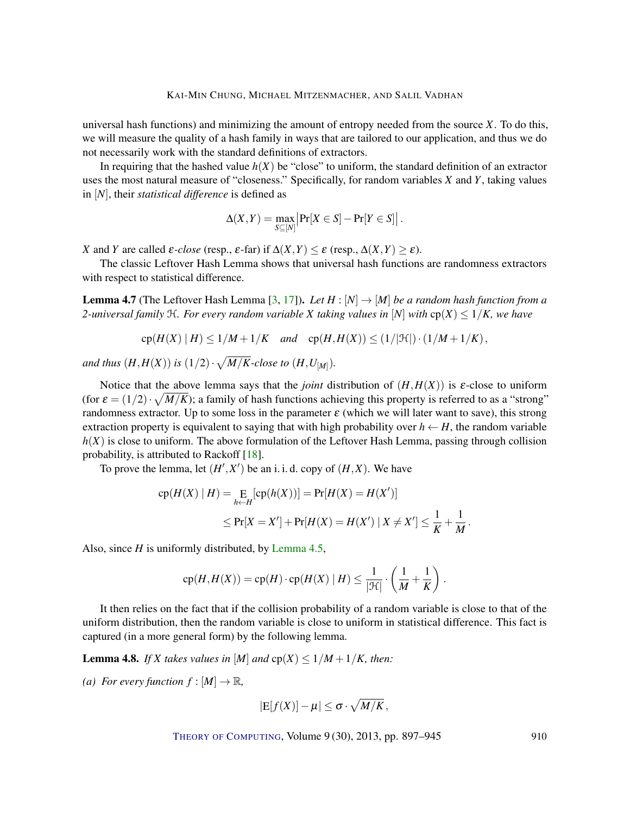<span id="page-13-3"></span>universal hash functions) and minimizing the amount of entropy needed from the source  $X$ . To do this, we will measure the quality of a hash family in ways that are tailored to our application, and thus we do not necessarily work with the standard definitions of extractors.

In requiring that the hashed value  $h(X)$  be "close" to uniform, the standard definition of an extractor uses the most natural measure of "closeness." Specifically, for random variables *X* and *Y*, taking values in [*N*], their *statistical difference* is defined as

$$
\Delta(X,Y) = \max_{S \subseteq [N]} \left| \Pr[X \in S] - \Pr[Y \in S] \right|.
$$

*X* and *Y* are called *ε-close* (resp., *ε*-far) if  $\Delta$ (*X*,*Y*) ≤ *ε* (resp.,  $\Delta$ (*X*,*Y*) ≥ *ε*).

The classic Leftover Hash Lemma shows that universal hash functions are randomness extractors with respect to statistical difference.

<span id="page-13-2"></span>**Lemma 4.7** (The Leftover Hash Lemma [\[3,](#page-43-7) [17\]](#page-44-4)). Let  $H : [N] \rightarrow [M]$  be a random hash function from a *2-universal family*  $H$ *. For every random variable X taking values in* [*N*] *with*  $cp(X) \leq 1/K$ *, we have* 

$$
cp(H(X) | H) \le 1/M + 1/K \quad and \quad cp(H, H(X)) \le (1/|\mathcal{H}|) \cdot (1/M + 1/K),
$$

and thus  $(H,H(X))$  is  $(1/2)\cdot\sqrt{M/K}$ -close to  $(H,U_{[M]}).$ 

Notice that the above lemma says that the *joint* distribution of  $(H, H(X))$  is  $\varepsilon$ -close to uniform (for  $\varepsilon = (1/2) \cdot \sqrt{M/K}$ ); a family of hash functions achieving this property is referred to as a "strong" randomness extractor. Up to some loss in the parameter  $\varepsilon$  (which we will later want to save), this strong extraction property is equivalent to saying that with high probability over  $h \leftarrow H$ , the random variable *h*(*X*) is close to uniform. The above formulation of the Leftover Hash Lemma, passing through collision probability, is attributed to Rackoff [\[18\]](#page-44-8).

To prove the lemma, let  $(H', X')$  be an i. i. d. copy of  $(H, X)$ . We have

$$
cp(H(X) | H) = \underset{h \leftarrow H}{\text{E}}[cp(h(X))] = Pr[H(X) = H(X')]
$$
  
\n
$$
\leq Pr[X = X'] + Pr[H(X) = H(X') | X \neq X'] \leq \frac{1}{K} + \frac{1}{M}.
$$

Also, since *H* is uniformly distributed, by [Lemma](#page-11-0) [4.5,](#page-11-0)

$$
cp(H, H(X)) = cp(H) \cdot cp(H(X) | H) \le \frac{1}{|\mathcal{H}|} \cdot \left(\frac{1}{M} + \frac{1}{K}\right).
$$

It then relies on the fact that if the collision probability of a random variable is close to that of the uniform distribution, then the random variable is close to uniform in statistical difference. This fact is captured (in a more general form) by the following lemma.

<span id="page-13-1"></span>**Lemma 4.8.** *If X takes values in* [*M*] *and*  $cp(X) \leq 1/M + 1/K$ , *then:* 

<span id="page-13-0"></span>*(a) For every function*  $f : [M] \rightarrow \mathbb{R}$ *,* 

$$
|E[f(X)] - \mu| \leq \sigma \cdot \sqrt{M/K},
$$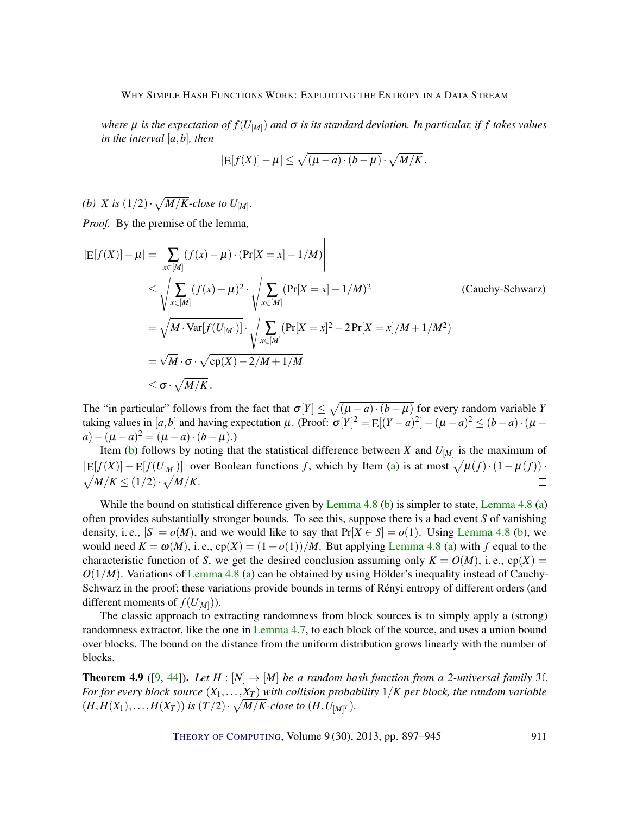<span id="page-14-2"></span>*where* µ *is the expectation of f*(*U*[*M*] ) *and* σ *is its standard deviation. In particular, if f takes values in the interval* [*a*,*b*]*, then*

$$
|E[f(X)] - \mu| \le \sqrt{(\mu - a) \cdot (b - \mu)} \cdot \sqrt{M/K}.
$$

<span id="page-14-0"></span>*(b) X* is  $(1/2) \cdot \sqrt{M/K}$ -close to  $U_{[M]}$ .

*Proof.* By the premise of the lemma,

$$
|E[f(X)] - \mu| = \left| \sum_{x \in [M]} (f(x) - \mu) \cdot (Pr[X = x] - 1/M) \right|
$$
  
\n
$$
\leq \sqrt{\sum_{x \in [M]} (f(x) - \mu)^2} \cdot \sqrt{\sum_{x \in [M]} (Pr[X = x] - 1/M)^2}
$$
 (Cauchy-Schwarz)  
\n
$$
= \sqrt{M \cdot Var[f(U_{[M]})]} \cdot \sqrt{\sum_{x \in [M]} (Pr[X = x]^2 - 2Pr[X = x]/M + 1/M^2)}
$$
  
\n
$$
= \sqrt{M \cdot \sigma} \cdot \sqrt{\text{cp}(X) - 2/M + 1/M}
$$
  
\n
$$
\leq \sigma \cdot \sqrt{M/K}.
$$
 (Cauchy-Schwarz)

The "in particular" follows from the fact that  $\sigma[Y] \leq \sqrt{(\mu - a) \cdot (b - \mu)}$  for every random variable *Y* taking values in  $[a,b]$  and having expectation  $\mu$ . (Proof:  $\sigma[Y]^2 = E[(Y-a)^2] - (\mu - a)^2 \le (b-a) \cdot (\mu - a)$  $a) - (\mu - a)^2 = (\mu - a) \cdot (b - \mu).$ 

Item [\(b\)](#page-14-0) follows by noting that the statistical difference between *X* and  $U_{[M]}$  is the maximum of  $|E[f(X)] - E[f(U_{[M]})]|$  over Boolean functions *f*, which by Item [\(a\)](#page-13-0) is at most  $\sqrt{\mu(f) \cdot (1 - \mu(f))}$ .  $\sqrt{M/K} \leq (1/2) \cdot \sqrt{M/K}.$  $\Box$ 

While the bound on statistical difference given by [Lemma](#page-13-1) [4.8](#page-13-1) [\(b\)](#page-14-0) is simpler to state, Lemma 4.8 [\(a\)](#page-13-0) often provides substantially stronger bounds. To see this, suppose there is a bad event *S* of vanishing density, i.e.,  $|S| = o(M)$ , and we would like to say that  $Pr[X \in S] = o(1)$ . Using [Lemma](#page-13-1) [4.8](#page-13-1) [\(b\)](#page-14-0), we would need  $K = \omega(M)$ , i.e.,  $cp(X) = (1 + o(1))/M$ . But applying [Lemma](#page-13-1) [4.8](#page-13-1) [\(a\)](#page-13-0) with f equal to the characteristic function of *S*, we get the desired conclusion assuming only  $K = O(M)$ , i.e., cp(X) =  $O(1/M)$ . Variations of [Lemma](#page-13-1) [4.8](#page-13-1) [\(a\)](#page-13-0) can be obtained by using Hölder's inequality instead of Cauchy-Schwarz in the proof; these variations provide bounds in terms of Rényi entropy of different orders (and different moments of  $f(U_{[M]})$ ).

The classic approach to extracting randomness from block sources is to simply apply a (strong) randomness extractor, like the one in [Lemma](#page-13-2) [4.7,](#page-13-2) to each block of the source, and uses a union bound over blocks. The bound on the distance from the uniform distribution grows linearly with the number of blocks.

<span id="page-14-1"></span>**Theorem 4.9** ([\[9,](#page-43-5) [44\]](#page-46-5)). Let  $H : [N] \to [M]$  be a random hash function from a 2-universal family  $H$ . *For for every block source*  $(X_1, \ldots, X_T)$  *with collision probability*  $1/K$  *per block, the random variable*  $(H, H(X_1), \ldots, H(X_T))$  is  $(T/2) \cdot \sqrt{M/K}$ -close to  $(H, U_{[M]^T})$ .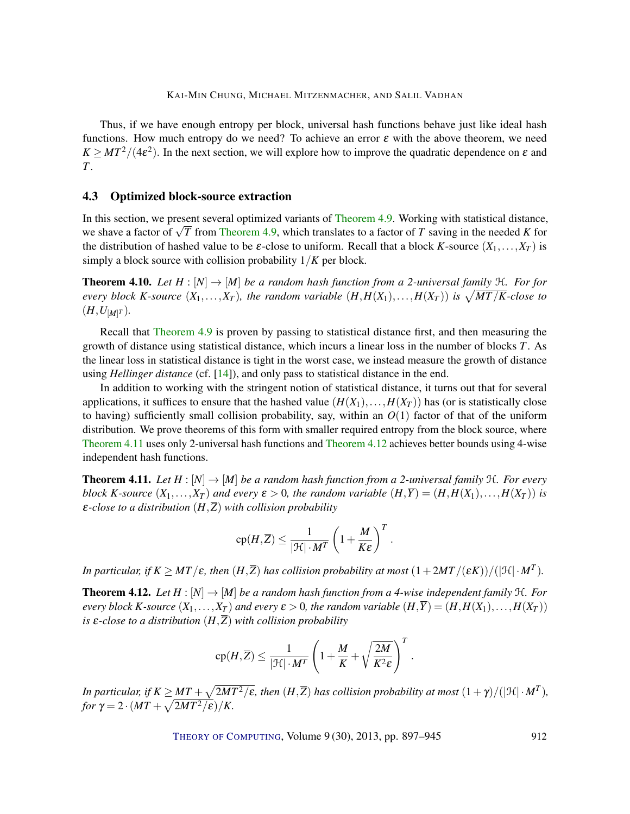<span id="page-15-3"></span>Thus, if we have enough entropy per block, universal hash functions behave just like ideal hash functions. How much entropy do we need? To achieve an error  $\varepsilon$  with the above theorem, we need  $K \geq MT^2/(4\epsilon^2)$ . In the next section, we will explore how to improve the quadratic dependence on  $\varepsilon$  and *T*.

## 4.3 Optimized block-source extraction

In this section, we present several optimized variants of [Theorem](#page-14-1) [4.9.](#page-14-1) Working with statistical distance, we shave a factor of <sup>√</sup> *T* from [Theorem](#page-14-1) [4.9,](#page-14-1) which translates to a factor of *T* saving in the needed *K* for the distribution of hashed value to be  $\varepsilon$ -close to uniform. Recall that a block *K*-source  $(X_1, \ldots, X_T)$  is simply a block source with collision probability 1/*K* per block.

<span id="page-15-2"></span>**Theorem 4.10.** *Let*  $H : [N] \rightarrow [M]$  *be a random hash function from a 2-universal family*  $H$ *. For for every block K-source*  $(X_1, \ldots, X_T)$ , the random variable  $(H, H(X_1), \ldots, H(X_T))$  is  $\sqrt{MT/K}$ -close to  $(H, U_{[M]^{T}})$ .

Recall that [Theorem](#page-14-1) [4.9](#page-14-1) is proven by passing to statistical distance first, and then measuring the growth of distance using statistical distance, which incurs a linear loss in the number of blocks *T*. As the linear loss in statistical distance is tight in the worst case, we instead measure the growth of distance using *Hellinger distance* (cf. [\[14\]](#page-44-9)), and only pass to statistical distance in the end.

In addition to working with the stringent notion of statistical distance, it turns out that for several applications, it suffices to ensure that the hashed value  $(H(X_1),...,H(X_T))$  has (or is statistically close to having) sufficiently small collision probability, say, within an  $O(1)$  factor of that of the uniform distribution. We prove theorems of this form with smaller required entropy from the block source, where [Theorem](#page-15-0) [4.11](#page-15-0) uses only 2-universal hash functions and [Theorem](#page-15-1) [4.12](#page-15-1) achieves better bounds using 4-wise independent hash functions.

<span id="page-15-0"></span>**Theorem 4.11.** Let  $H : [N] \to [M]$  be a random hash function from a 2-universal family  $H$ . For every *block K*-source  $(X_1, \ldots, X_T)$  *and every*  $\varepsilon > 0$ *, the random variable*  $(H, \overline{Y}) = (H, H(X_1), \ldots, H(X_T))$  *is* ε*-close to a distribution* (*H*,*Z*) *with collision probability*

$$
cp(H,\overline{Z}) \le \frac{1}{|\mathcal{H}| \cdot M^T} \left(1 + \frac{M}{K\epsilon}\right)^T.
$$

*In particular, if*  $K \geq MT/\varepsilon$ *, then*  $(H,\overline{Z})$  *has collision probability at most*  $(1+2MT/(\varepsilon K))/(|\mathfrak{H}| \cdot M^T)$ *.* 

<span id="page-15-1"></span>**Theorem 4.12.** *Let*  $H : [N] \to [M]$  *be a random hash function from a 4-wise independent family*  $H$ *. For every block K*-source  $(X_1,...,X_T)$  and every  $\varepsilon > 0$ , the random variable  $(H,\overline{Y}) = (H,H(X_1),...,H(X_T))$ *is*  $\varepsilon$ -*close to a distribution*  $(H,\overline{Z})$  *with collision probability* 

$$
\mathrm{cp}(H,\overline{Z}) \leq \frac{1}{|\mathcal{H}| \cdot M^T}\left(1 + \frac{M}{K} + \sqrt{\frac{2M}{K^2\epsilon}}\right)^T.
$$

In particular, if  $K \ge MT + \sqrt{2MT^2/\varepsilon}$ , then  $(H,\overline{Z})$  has collision probability at most  $(1+\gamma)/(|\mathfrak{H}| \cdot M^T)$ , *for*  $\gamma = 2 \cdot (MT + \sqrt{2MT^2/\varepsilon})/K$ .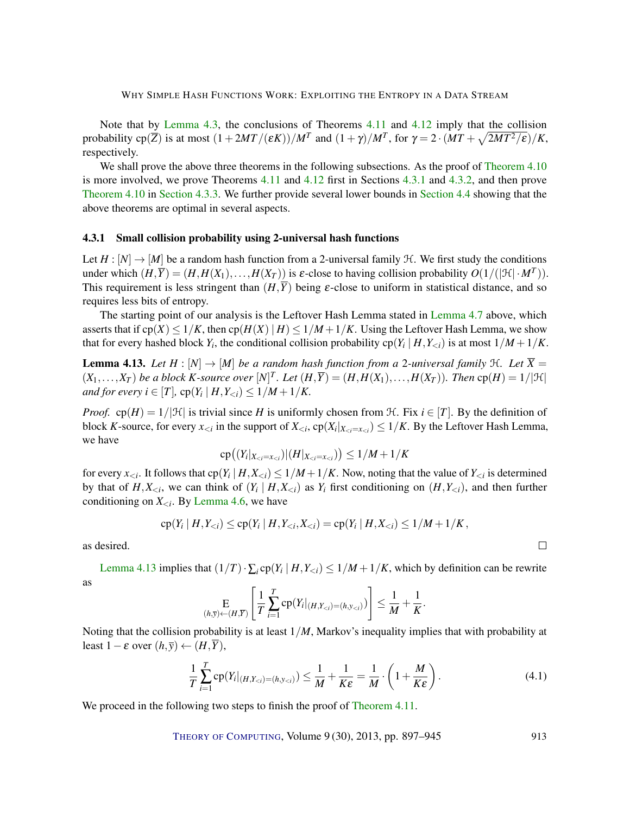Note that by [Lemma](#page-11-1) [4.3,](#page-11-1) the conclusions of Theorems [4.11](#page-15-0) and [4.12](#page-15-1) imply that the collision probability cp( $\overline{Z}$ ) is at most  $(1+2MT/(\varepsilon K))/M^T$  and  $(1+\gamma)/M^T$ , for  $\gamma = 2 \cdot (MT + \sqrt{2MT^2/\varepsilon})/K$ , respectively.

We shall prove the above three theorems in the following subsections. As the proof of [Theorem](#page-15-2) [4.10](#page-15-2) is more involved, we prove Theorems [4.11](#page-15-0) and [4.12](#page-15-1) first in Sections [4.3.1](#page-16-0) and [4.3.2,](#page-19-0) and then prove [Theorem](#page-15-2) [4.10](#page-15-2) in [Section](#page-21-0) [4.3.3.](#page-21-0) We further provide several lower bounds in [Section](#page-25-0) [4.4](#page-25-0) showing that the above theorems are optimal in several aspects.

#### <span id="page-16-0"></span>4.3.1 Small collision probability using 2-universal hash functions

Let  $H : [N] \to [M]$  be a random hash function from a 2-universal family  $H$ . We first study the conditions under which  $(H,\overline{Y}) = (H,H(X_1),...,H(X_T))$  is  $\varepsilon$ -close to having collision probability  $O(1/(|\mathcal{H}| \cdot M^T))$ . This requirement is less stringent than  $(H,\overline{Y})$  being  $\varepsilon$ -close to uniform in statistical distance, and so requires less bits of entropy.

The starting point of our analysis is the Leftover Hash [Lemma](#page-13-2) stated in Lemma [4.7](#page-13-2) above, which asserts that if  $cp(X) \leq 1/K$ , then  $cp(H(X) | H) \leq 1/M + 1/K$ . Using the Leftover Hash Lemma, we show that for every hashed block  $Y_i$ , the conditional collision probability  $\text{cp}(Y_i\,|\,H,Y_{< i})$  is at most  $1/M+1/K$ .

<span id="page-16-1"></span>**Lemma 4.13.** Let  $H : [N] \to [M]$  be a random hash function from a 2-universal family  $H$ . Let  $\overline{X} =$  $(X_1,\ldots,X_T)$  be a block *K*-source over  $[N]^T$ . Let  $(H,\overline{Y})=(H,H(X_1),\ldots,H(X_T))$ . Then  $cp(H)=1/|\mathcal{H}|$ *and for every i*  $\in$  [T],  $cp(Y_i | H, Y_{\le i}) \le 1/M + 1/K$ .

*Proof.* cp(*H*) =  $1/|H|$  is trivial since *H* is uniformly chosen from *H*. Fix *i* ∈ [*T*]. By the definition of block *K*-source, for every  $x_{\le i}$  in the support of  $X_{\le i}$ ,  $cp(X_i|_{X_{\le i}=x_{\le i}}) \le 1/K$ . By the Leftover Hash Lemma, we have

$$
\mathrm{cp}\big((Y_i|_{X_{
$$

for every  $x_{< i}$ . It follows that  $cp(Y_i | H, X_{< i}) \le 1/M + 1/K$ . Now, noting that the value of  $Y_{< i}$  is determined by that of  $H, X_{\leq i}$ , we can think of  $(Y_i | H, X_{\leq i})$  as  $Y_i$  first conditioning on  $(H, Y_{\leq i})$ , and then further conditioning on  $X_{\leq i}$ . By [Lemma](#page-12-0) [4.6,](#page-12-0) we have

$$
\mathrm{cp}(Y_i \mid H, Y_{< i}) \le \mathrm{cp}(Y_i \mid H, Y_{< i}, X_{< i}) = \mathrm{cp}(Y_i \mid H, X_{< i}) \le 1/M + 1/K,
$$

as desired.

[Lemma](#page-16-1) [4.13](#page-16-1) implies that  $(1/T) \cdot \sum_i \text{cp}(Y_i \mid H, Y_{\le i}) \le 1/M + 1/K$ , which by definition can be rewrite as

$$
\underset{(h,\overline{y}) \leftarrow (H,\overline{Y})}{\mathbb{E}}\left[\frac{1}{T}\sum_{i=1}^T \mathrm{cp}(Y_i|_{(H,Y_{
$$

Noting that the collision probability is at least 1/*M*, Markov's inequality implies that with probability at least  $1 - \varepsilon$  over  $(h, \overline{y}) \leftarrow (H, \overline{Y})$ ,

<span id="page-16-2"></span>
$$
\frac{1}{T}\sum_{i=1}^{T}\mathrm{cp}(Y_i|_{(H,Y_{\n(4.1)
$$

 $\Box$ 

We proceed in the following two steps to finish the proof of [Theorem](#page-15-0) [4.11.](#page-15-0)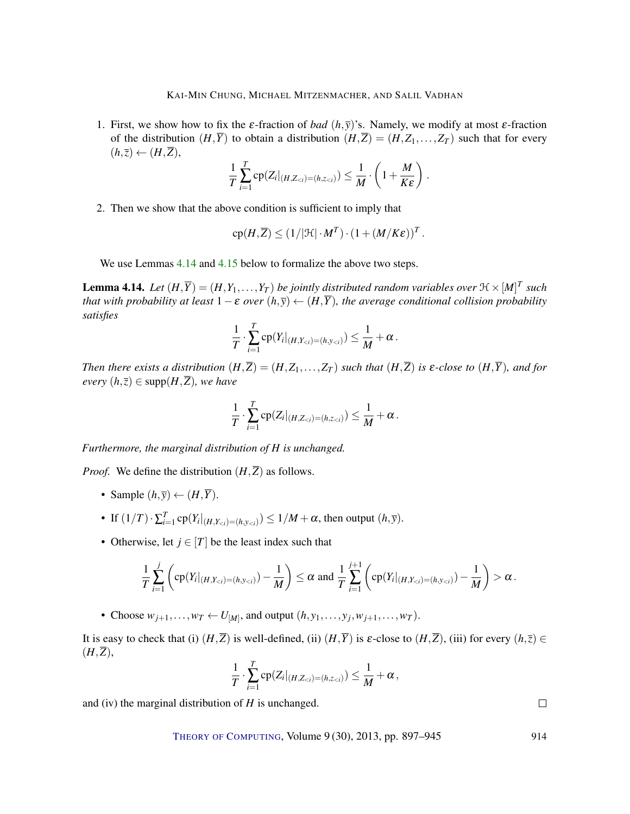1. First, we show how to fix the  $\varepsilon$ -fraction of *bad*  $(h, \overline{y})$ 's. Namely, we modify at most  $\varepsilon$ -fraction of the distribution  $(H,\overline{Y})$  to obtain a distribution  $(H,\overline{Z}) = (H,Z_1,\ldots,Z_T)$  such that for every  $(h,\overline{z}) \leftarrow (H,\overline{Z}),$ 

$$
\frac{1}{T}\sum_{i=1}^T \mathrm{cp}(Z_i|_{(H,Z_{< i})=(h,z_{< i})}) \leq \frac{1}{M} \cdot \left(1+\frac{M}{K\epsilon}\right).
$$

2. Then we show that the above condition is sufficient to imply that

$$
cp(H,\overline{Z}) \leq (1/|\mathcal{H}| \cdot M^T) \cdot (1 + (M/K\epsilon))^T.
$$

We use Lemmas [4.14](#page-17-0) and [4.15](#page-18-0) below to formalize the above two steps.

<span id="page-17-0"></span>**Lemma 4.14.** Let  $(H,\overline{Y})=(H,Y_1,\ldots,Y_T)$  be jointly distributed random variables over  $\mathfrak{H}\times [M]^T$  such *that with probability at least*  $1 - \varepsilon$  *over*  $(h, \overline{y}) \leftarrow (H, \overline{Y})$ *, the average conditional collision probability satisfies*

$$
\frac{1}{T}\cdot \sum_{i=1}^T \mathrm{cp}(Y_i|_{(H,Y_{
$$

*Then there exists a distribution*  $(H,\overline{Z}) = (H,Z_1,\ldots,Z_T)$  *such that*  $(H,\overline{Z})$  *is*  $\varepsilon$ -*close to*  $(H,\overline{Y})$ *, and for every*  $(h,\overline{z})$  ∈ supp $(H,\overline{Z})$ *, we have* 

$$
\frac{1}{T}\cdot \sum_{i=1}^T \mathrm{cp}(Z_i|_{(H,Z_{< i})=(h,z_{< i})}) \leq \frac{1}{M} + \alpha.
$$

*Furthermore, the marginal distribution of H is unchanged.*

*Proof.* We define the distribution  $(H,\overline{Z})$  as follows.

- Sample  $(h, \overline{y}) \leftarrow (H, \overline{Y})$ .
- If  $(1/T) \cdot \sum_{i=1}^{T} \text{cp}(Y_i |_{(H, Y_{< i}) = (h, y_{< i})}) \leq 1/M + \alpha$ , then output  $(h, \overline{y})$ .
- Otherwise, let  $j \in [T]$  be the least index such that

$$
\frac{1}{T}\sum_{i=1}^j \left( \text{cp}(Y_i|_{(H,Y_{< i})=(h,y_{< i})}) - \frac{1}{M} \right) \leq \alpha \text{ and } \frac{1}{T}\sum_{i=1}^{j+1} \left( \text{cp}(Y_i|_{(H,Y_{< i})=(h,y_{< i})}) - \frac{1}{M} \right) > \alpha.
$$

• Choose  $w_{j+1}, \ldots, w_T \leftarrow U_{[M]}$ , and output  $(h, y_1, \ldots, y_j, w_{j+1}, \ldots, w_T)$ .

It is easy to check that (i)  $(H,\overline{Z})$  is well-defined, (ii)  $(H,\overline{Y})$  is  $\varepsilon$ -close to  $(H,\overline{Z})$ , (iii) for every  $(h,\overline{z}) \in$  $(H,\overline{Z}),$ 

$$
\frac{1}{T}\cdot\sum_{i=1}^T\mathrm{cp}(Z_i|_{(H,Z_{
$$

and (iv) the marginal distribution of *H* is unchanged.

THEORY OF C[OMPUTING](http://dx.doi.org/10.4086/toc), Volume 9 (30), 2013, pp. 897–945 914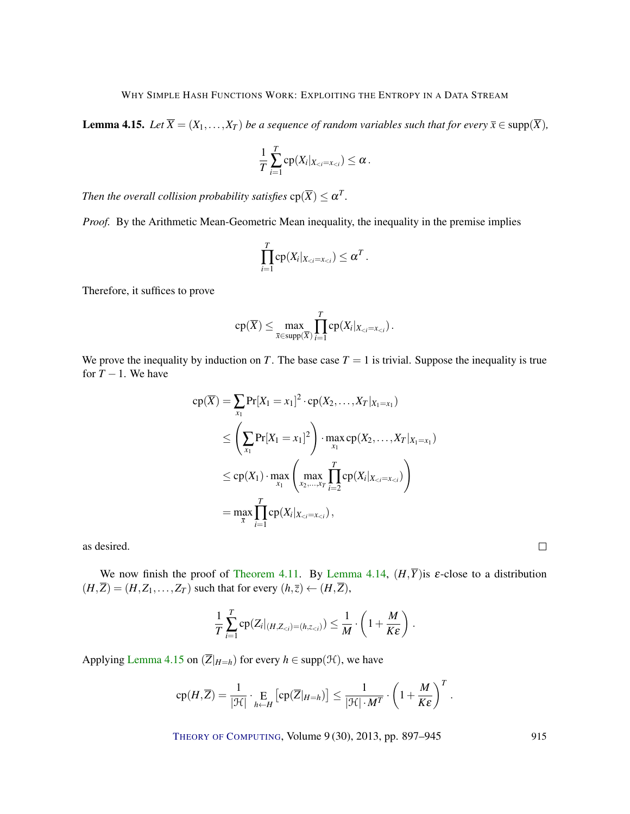<span id="page-18-0"></span>**Lemma 4.15.** *Let*  $\overline{X} = (X_1, \ldots, X_T)$  *be a sequence of random variables such that for every*  $\overline{x} \in \text{supp}(\overline{X})$ *,* 

$$
\frac{1}{T}\sum_{i=1}^T \mathrm{cp}(X_i|_{X_{
$$

*Then the overall collision probability satisfies*  $cp(\overline{X}) \leq \alpha^T$ .

*Proof.* By the Arithmetic Mean-Geometric Mean inequality, the inequality in the premise implies

$$
\prod_{i=1}^T \mathrm{cp}(X_i|_{X_{
$$

Therefore, it suffices to prove

$$
\mathrm{cp}(\overline{X}) \leq \max_{\overline{x} \in \mathrm{supp}(\overline{X})} \prod_{i=1}^T \mathrm{cp}(X_i |_{X_{
$$

We prove the inequality by induction on *T*. The base case  $T = 1$  is trivial. Suppose the inequality is true for  $T - 1$ . We have

$$
cp(\overline{X}) = \sum_{x_1} Pr[X_1 = x_1]^2 \cdot cp(X_2, ..., X_T | x_1 = x_1)
$$
  
\n
$$
\leq \left(\sum_{x_1} Pr[X_1 = x_1]^2\right) \cdot \max_{x_1} cp(X_2, ..., X_T | x_1 = x_1)
$$
  
\n
$$
\leq cp(X_1) \cdot \max_{x_1} \left(\max_{x_2, ..., x_T} \prod_{i=2}^T cp(X_i | x_{i}=x_{i}})\right)
$$
  
\n
$$
= \max_{\overline{x}} \prod_{i=1}^T cp(X_i | x_{i}=x_{i}}),
$$

as desired.

We now finish the proof of [Theorem](#page-15-0) [4.11.](#page-15-0) By [Lemma](#page-17-0) [4.14,](#page-17-0)  $(H,\overline{Y})$  is  $\varepsilon$ -close to a distribution  $(H,\overline{Z}) = (H,Z_1,\ldots,Z_T)$  such that for every  $(h,\overline{z}) \leftarrow (H,\overline{Z})$ ,

$$
\frac{1}{T}\sum_{i=1}^T \mathrm{cp}(Z_i|_{(H,Z_{< i})=(h,z_{< i})}) \leq \frac{1}{M} \cdot \left(1+\frac{M}{K\epsilon}\right).
$$

Applying [Lemma](#page-18-0) [4.15](#page-18-0) on  $(\overline{Z}|_{H=h})$  for every  $h \in \text{supp}(\mathcal{H})$ , we have

$$
cp(H,\overline{Z}) = \frac{1}{|\mathcal{H}|} \cdot \underset{h \leftarrow H}{\mathrm{E}} \left[ cp(\overline{Z}|_{H=h}) \right] \le \frac{1}{|\mathcal{H}| \cdot M^T} \cdot \left(1 + \frac{M}{K\epsilon}\right)^T.
$$

THEORY OF C[OMPUTING](http://dx.doi.org/10.4086/toc), Volume 9(30), 2013, pp. 897–945 915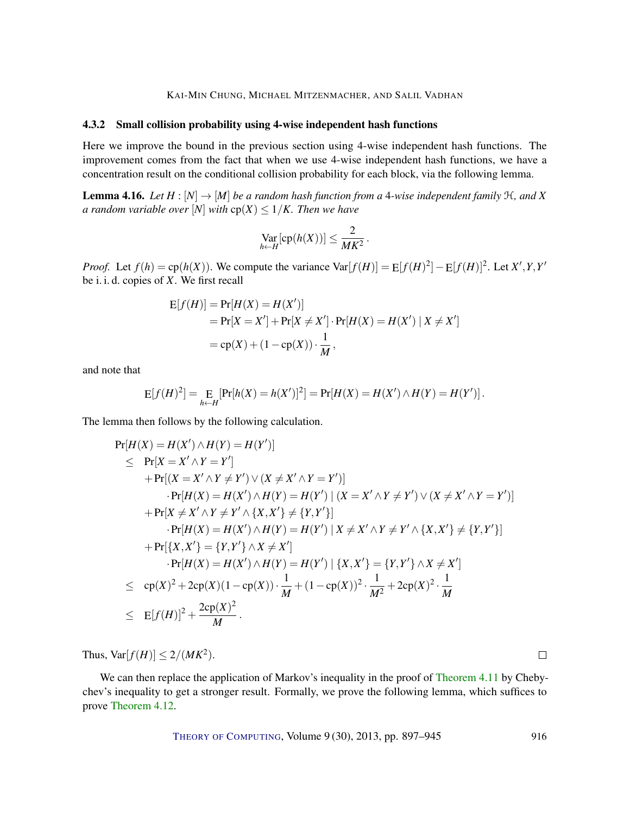## <span id="page-19-0"></span>4.3.2 Small collision probability using 4-wise independent hash functions

Here we improve the bound in the previous section using 4-wise independent hash functions. The improvement comes from the fact that when we use 4-wise independent hash functions, we have a concentration result on the conditional collision probability for each block, via the following lemma.

<span id="page-19-1"></span>**Lemma 4.16.** Let  $H : [N] \rightarrow [M]$  be a random hash function from a 4-wise independent family  $H$ , and X *a random variable over* [*N*] *with*  $cp(X) \leq 1/K$ *. Then we have* 

$$
\operatorname{Var}_{h \leftarrow H}[\operatorname{cp}(h(X))] \leq \frac{2}{MK^2}.
$$

*Proof.* Let  $f(h) = \text{cp}(h(X))$ . We compute the variance  $\text{Var}[f(H)] = \text{E}[f(H)^2] - \text{E}[f(H)]^2$ . Let  $X', Y, Y'$ be i. i. d. copies of *X*. We first recall

$$
E[f(H)] = Pr[H(X) = H(X')] \n= Pr[X = X'] + Pr[X \neq X'] \cdot Pr[H(X) = H(X') | X \neq X'] \n= cp(X) + (1 - cp(X)) \cdot \frac{1}{M},
$$

and note that

$$
E[f(H)^{2}] = E_{h \leftarrow H}[\Pr[h(X) = h(X')]^{2}] = \Pr[H(X) = H(X') \wedge H(Y) = H(Y')].
$$

The lemma then follows by the following calculation.

Pr[*H*(*X*) = *H*(*X'*) ∧ *H*(*Y*) = *H*(*Y'*)]  
\n≤ Pr[*X* = *X'* ∧ *Y* = *Y'*]  
\n+ Pr[(*X* = *X'* ∧ *Y* ≠ *Y'*) ∨ (*X* ≠ *X'* ∧ *Y* = *Y'*)]  
\n+ Pr[*X* ≠ *X'* ∧ *Y* ≠ *Y'* ∧ {*X*, *X'*} ≠ {*Y*, *Y'*}]  
\n+ Pr[*X* ≠ *X'* ∧ *Y* ≠ *Y'* ∧ {*X*, *X'*} ≠ {*Y*, *Y'*}]  
\n+ Pr[*H*(*X*) = *H*(*X'*) ∧ *H*(*Y*) = *H*(*Y'*) | *X* ≠ *X'* ∧ *Y* ≠ *Y'* ∧ {*X*, *X'*} ≠ {*Y*, *Y'*}]  
\n+ Pr[{*X*, *X'*} = {*Y*, *Y'*} ∧ *X* ≠ *X'*]  
\n+ Pr[*H*(*X*) = *H*(*X'*) ∧ *H*(*Y*) = *H*(*Y'*) | {*X*, *X'*} = {*Y*, *Y'*} ∧ *X* ≠ *X'*]  
\n≤ cp(*X*)<sup>2</sup> + 2cp(*X*)(1 - cp(*X*)) · 
$$
\frac{1}{M}
$$
 + (1 - cp(*X*))<sup>2</sup> ·  $\frac{1}{M^2}$  + 2cp(*X*)<sup>2</sup> ·  $\frac{1}{M}$   
\n≤ Ef(*H*)]<sup>2</sup> +  $\frac{2cp(X)^2}{M}$ .

Thus,  $\text{Var}[f(H)] \leq 2/(MK^2)$ .

We can then replace the application of Markov's inequality in the proof of [Theorem](#page-15-0) [4.11](#page-15-0) by Chebychev's inequality to get a stronger result. Formally, we prove the following lemma, which suffices to prove [Theorem](#page-15-1) [4.12.](#page-15-1)

THEORY OF C[OMPUTING](http://dx.doi.org/10.4086/toc), Volume 9 (30), 2013, pp. 897–945 916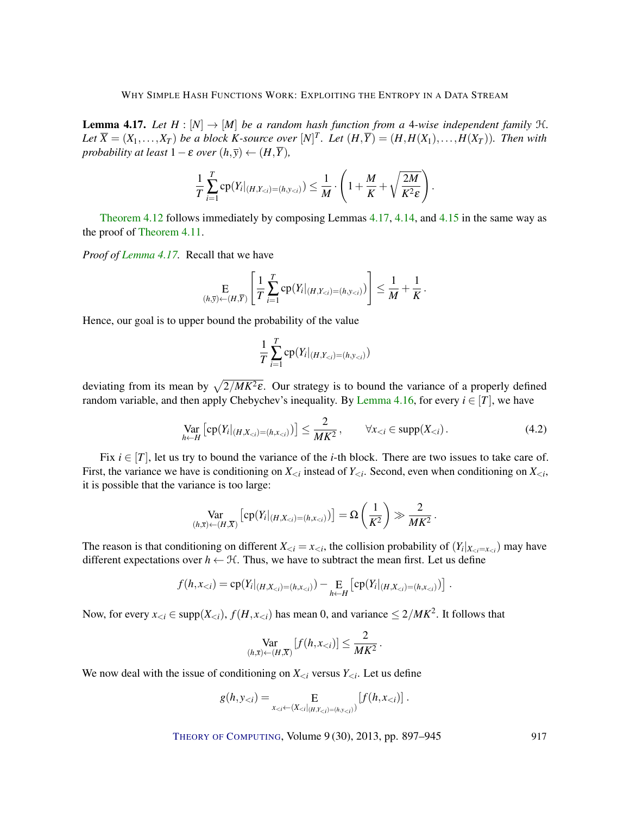<span id="page-20-0"></span>**Lemma 4.17.** Let  $H : [N] \to [M]$  be a random hash function from a 4-wise independent family  $H$ . Let  $\overline{X}=(X_1,\ldots,X_T)$  be a block K-source over  $[N]^T$ . Let  $(H,\overline{Y})=(H,H(X_1),\ldots,H(X_T))$ . Then with *probability at least*  $1 - \varepsilon$  *over*  $(h, \overline{y}) \leftarrow (H, \overline{Y})$ *,* 

$$
\frac{1}{T}\sum_{i=1}^T \mathrm{cp}(Y_i|_{(H,Y_{
$$

[Theorem](#page-15-1) [4.12](#page-15-1) follows immediately by composing Lemmas [4.17,](#page-20-0) [4.14,](#page-17-0) and [4.15](#page-18-0) in the same way as the proof of [Theorem](#page-15-0) [4.11.](#page-15-0)

*Proof of [Lemma](#page-20-0) [4.17.](#page-20-0)* Recall that we have

$$
\mathop{\mathbf{E}}_{(h,\overline{y}) \leftarrow (H,\overline{Y})} \left[ \frac{1}{T} \sum_{i=1}^{T} \mathop{\rm cp}\nolimits(Y_i |_{(H,Y_{< i}) = (h,y_{< i})}) \right] \leq \frac{1}{M} + \frac{1}{K}.
$$

Hence, our goal is to upper bound the probability of the value

$$
\frac{1}{T}\sum_{i=1}^T \text{cp}(Y_i|_{(H, Y_{
$$

deviating from its mean by  $\sqrt{2/MK^2\varepsilon}$ . Our strategy is to bound the variance of a properly defined random variable, and then apply Chebychev's inequality. By [Lemma](#page-19-1) [4.16,](#page-19-1) for every  $i \in [T]$ , we have

$$
\operatorname*{Var}_{h \leftarrow H} \left[ \operatorname{cp}(Y_i|_{(H, X_{< i}) = (h, x_{< i})} \right) \right] \le \frac{2}{MK^2}, \qquad \forall x_{< i} \in \operatorname{supp}(X_{< i}). \tag{4.2}
$$

Fix  $i \in [T]$ , let us try to bound the variance of the *i*-th block. There are two issues to take care of. First, the variance we have is conditioning on  $X_{\leq i}$  instead of  $Y_{\leq i}$ . Second, even when conditioning on  $X_{\leq i}$ , it is possible that the variance is too large:

$$
\operatorname*{Var}_{(h,\overline{x})\leftarrow (H,\overline{X})}\left[cp(Y_i|_{(H,X_{< i})=(h,x_{< i})})\right] = \Omega\left(\frac{1}{K^2}\right) \gg \frac{2}{MK^2}.
$$

The reason is that conditioning on different  $X_{\leq i} = x_{\leq i}$ , the collision probability of  $(Y_i|_{X_{\leq i} = x_{\leq i}})$  may have different expectations over  $h \leftarrow \mathcal{H}$ . Thus, we have to subtract the mean first. Let us define

$$
f(h,x_{< i}) = \text{cp}(Y_i|_{(H,X_{< i}) = (h,x_{< i})}) - \text{E}_{h \leftarrow H} \left[ \text{cp}(Y_i|_{(H,X_{< i}) = (h,x_{< i})}) \right].
$$

Now, for every  $x_{< i} \in \text{supp}(X_{< i})$ ,  $f(H, x_{< i})$  has mean 0, and variance  $\leq 2/MK^2$ . It follows that

$$
\operatorname*{Var}_{(h,\overline{x})\leftarrow (H,\overline{X})}[f(h,x_{< i})] \leq \frac{2}{MK^2}.
$$

We now deal with the issue of conditioning on  $X_{\leq i}$  versus  $Y_{\leq i}$ . Let us define

$$
g(h, y_{< i}) = \mathop{\mathbf{E}}_{x_{< i} \leftarrow (X_{< i} |_{(H, Y_{< i}) = (h, y_{< i})})} [f(h, x_{< i})] \; .
$$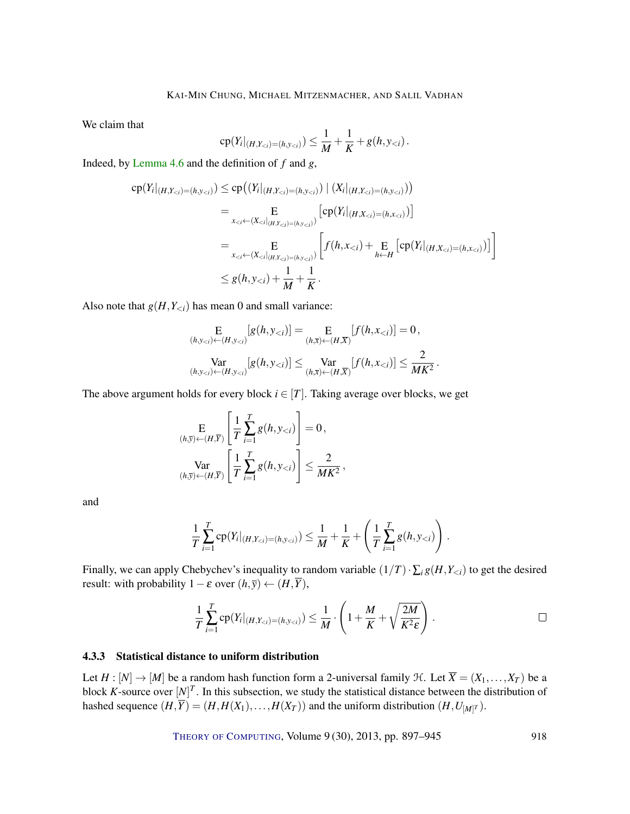We claim that

$$
cp(Y_i|_{(H,Y_{
$$

Indeed, by [Lemma](#page-12-0) [4.6](#page-12-0) and the definition of *f* and *g*,

$$
cp(Yi|(H,Yi)=(h,yi)) \le cp((Yi|(H,Yi)=(h,yi)) | (Xi|(H,Yi)=(h,yi)))
$$
  
\n
$$
= \underset{xi \leftarrow (Xi|(H,Yi)=(h,yi))}{E} [cp(Yi|(H,Xi)=(h,xi))]
$$
  
\n
$$
= \underset{xi \leftarrow (Xi|(H,Yi)=(h,yi))}{E} [f(h,xi) + \underset{h\leftarrow H}{E} [cp(Yi|(H,Xi)=(h,xi))]
$$
  
\n
$$
\le g(h,yi) + \frac{1}{M} + \frac{1}{K}.
$$

Also note that  $g(H, Y_{\leq i})$  has mean 0 and small variance:

$$
\mathop{\mathbf{E}}_{(h,y_{< i}) \leftarrow (H,y_{< i})} [g(h,y_{< i})] = \mathop{\mathbf{E}}_{(h,\overline{x}) \leftarrow (H,\overline{X})} [f(h,x_{< i})] = 0,
$$
\n
$$
\mathop{\text{Var}}_{(h,y_{< i}) \leftarrow (H,y_{< i})} [g(h,y_{< i})] \leq \mathop{\text{Var}}_{(h,\overline{x}) \leftarrow (H,\overline{X})} [f(h,x_{< i})] \leq \frac{2}{MK^2}.
$$

The above argument holds for every block  $i \in [T]$ . Taking average over blocks, we get

$$
\mathop{\mathbf{E}}_{(h,\overline{y})\leftarrow (H,\overline{Y})}\left[\frac{1}{T}\sum_{i=1}^T g(h,y_{< i})\right]=0,
$$
\n
$$
\mathop{\text{Var}}_{(h,\overline{y})\leftarrow (H,\overline{Y})}\left[\frac{1}{T}\sum_{i=1}^T g(h,y_{< i})\right]\leq \frac{2}{MK^2},
$$

and

$$
\frac{1}{T}\sum_{i=1}^T \mathrm{cp}(Y_i|_{(H,Y_{< i})=(h,y_{< i})}) \leq \frac{1}{M} + \frac{1}{K} + \left(\frac{1}{T}\sum_{i=1}^T g(h,y_{< i})\right).
$$

Finally, we can apply Chebychev's inequality to random variable  $(1/T) \cdot \sum_i g(H, Y_{\le i})$  to get the desired result: with probability  $1 - \varepsilon$  over  $(h, \overline{y}) \leftarrow (H, \overline{Y})$ ,

$$
\frac{1}{T}\sum_{i=1}^T \mathrm{cp}(Y_i|_{(H,Y_{
$$

# <span id="page-21-0"></span>4.3.3 Statistical distance to uniform distribution

Let  $H : [N] \to [M]$  be a random hash function form a 2-universal family  $\mathcal{H}$ . Let  $\overline{X} = (X_1, \ldots, X_T)$  be a block *K*-source over  $[N]^T$ . In this subsection, we study the statistical distance between the distribution of hashed sequence  $(H, \overline{Y}) = (H, H(X_1), \ldots, H(X_T))$  and the uniform distribution  $(H, U_{[M]}^T)$ .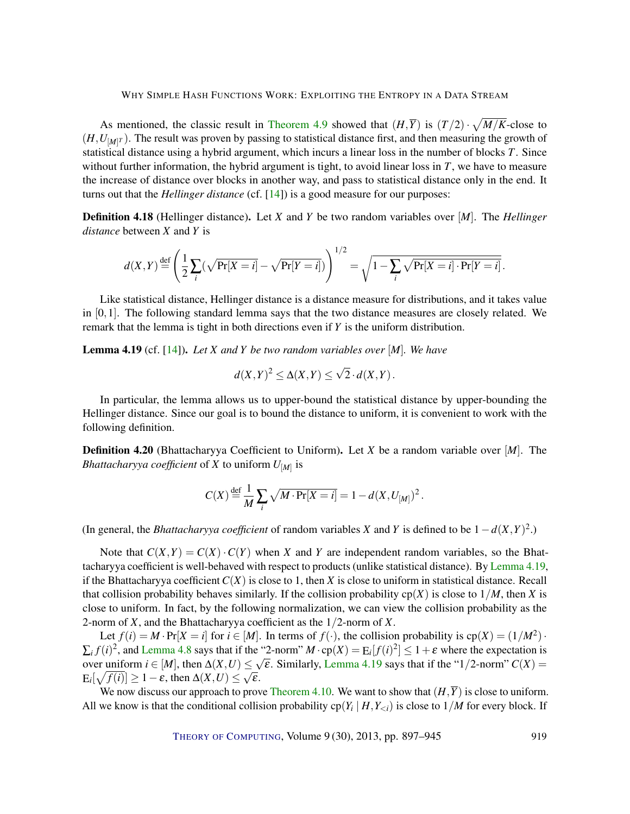<span id="page-22-2"></span>As mentioned, the classic result in [Theorem](#page-14-1) [4.9](#page-14-1) showed that  $(H,\overline{Y})$  is  $(T/2) \cdot \sqrt{M/K}$ -close to  $(H, U_{[M]}^T)$ . The result was proven by passing to statistical distance first, and then measuring the growth of statistical distance using a hybrid argument, which incurs a linear loss in the number of blocks *T*. Since without further information, the hybrid argument is tight, to avoid linear loss in *T*, we have to measure the increase of distance over blocks in another way, and pass to statistical distance only in the end. It turns out that the *Hellinger distance* (cf. [\[14\]](#page-44-9)) is a good measure for our purposes:

<span id="page-22-1"></span>Definition 4.18 (Hellinger distance). Let *X* and *Y* be two random variables over [*M*]. The *Hellinger distance* between *X* and *Y* is

$$
d(X,Y) \stackrel{\text{def}}{=} \left(\frac{1}{2}\sum_{i}(\sqrt{\Pr[X=i]} - \sqrt{\Pr[Y=i]})\right)^{1/2} = \sqrt{1 - \sum_{i} \sqrt{\Pr[X=i] \cdot \Pr[Y=i]}}.
$$

Like statistical distance, Hellinger distance is a distance measure for distributions, and it takes value in  $[0,1]$ . The following standard lemma says that the two distance measures are closely related. We remark that the lemma is tight in both directions even if *Y* is the uniform distribution.

<span id="page-22-0"></span>Lemma 4.19 (cf. [\[14\]](#page-44-9)). *Let X and Y be two random variables over* [*M*]*. We have*

$$
d(X,Y)^2 \leq \Delta(X,Y) \leq \sqrt{2} \cdot d(X,Y).
$$

In particular, the lemma allows us to upper-bound the statistical distance by upper-bounding the Hellinger distance. Since our goal is to bound the distance to uniform, it is convenient to work with the following definition.

Definition 4.20 (Bhattacharyya Coefficient to Uniform). Let *X* be a random variable over [*M*]. The *Bhattacharyya coefficient* of *X* to uniform *U*[*M*] is

$$
C(X) \stackrel{\text{def}}{=} \frac{1}{M} \sum_i \sqrt{M \cdot \Pr[X = i]} = 1 - d(X, U_{[M]})^2.
$$

(In general, the *Bhattacharyya coefficient* of random variables *X* and *Y* is defined to be  $1 - d(X,Y)^2$ .)

Note that  $C(X, Y) = C(X) \cdot C(Y)$  when X and Y are independent random variables, so the Bhattacharyya coefficient is well-behaved with respect to products (unlike statistical distance). By [Lemma](#page-22-0) [4.19,](#page-22-0) if the Bhattacharyya coefficient  $C(X)$  is close to 1, then X is close to uniform in statistical distance. Recall that collision probability behaves similarly. If the collision probability  $cp(X)$  is close to  $1/M$ , then *X* is close to uniform. In fact, by the following normalization, we can view the collision probability as the 2-norm of *X*, and the Bhattacharyya coefficient as the 1/2-norm of *X*.

Let  $f(i) = M \cdot Pr[X = i]$  for  $i \in [M]$ . In terms of  $f(\cdot)$ , the collision probability is  $cp(X) = (1/M^2) \cdot$  $\sum_i f(i)^2$ , and [Lemma](#page-13-1) [4.8](#page-13-1) says that if the "2-norm"  $M \cdot cp(X) = E_i[f(i)^2] \le 1 + \varepsilon$  where the expectation is over uniform  $i \in [M]$ , then  $\Delta(X, U) \le \sqrt{\varepsilon}$ . Similarly, [Lemma](#page-22-0) [4.19](#page-22-0) says that if the "1/2-norm"  $C(X) =$  $E_i[\sqrt{f(i)}] \geq 1 - \varepsilon$ , then  $\Delta(X, U) \leq \sqrt{\varepsilon}$ .

We now discuss our approach to prove [Theorem](#page-15-2) [4.10.](#page-15-2) We want to show that  $(H,\overline{Y})$  is close to uniform. All we know is that the conditional collision probability  $cp(Y_i | H, Y_{\le i})$  is close to  $1/M$  for every block. If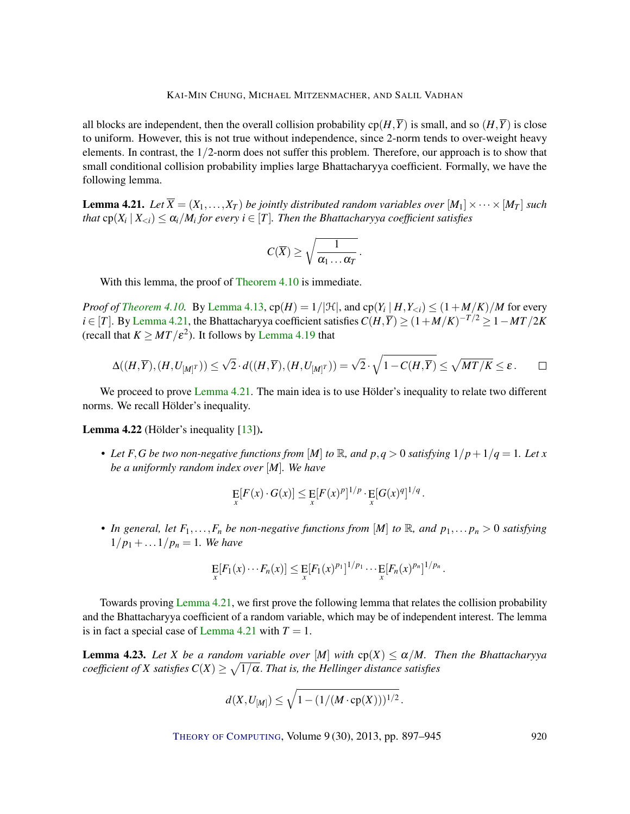<span id="page-23-2"></span>all blocks are independent, then the overall collision probability  $cp(H,\overline{Y})$  is small, and so  $(H,\overline{Y})$  is close to uniform. However, this is not true without independence, since 2-norm tends to over-weight heavy elements. In contrast, the  $1/2$ -norm does not suffer this problem. Therefore, our approach is to show that small conditional collision probability implies large Bhattacharyya coefficient. Formally, we have the following lemma.

<span id="page-23-0"></span>**Lemma 4.21.** Let  $\overline{X} = (X_1, \ldots, X_T)$  be jointly distributed random variables over  $[M_1] \times \cdots \times [M_T]$  such *that*  $\text{cp}(X_i \mid X_{\leq i}) \leq \alpha_i/M_i$  for every  $i \in [T]$ . Then the Bhattacharyya coefficient satisfies

$$
C(\overline{X})\geq \sqrt{\frac{1}{\alpha_1\ldots\alpha_T}}\,.
$$

With this lemma, the proof of [Theorem](#page-15-2) [4.10](#page-15-2) is immediate.

*Proof of [Theorem](#page-15-2) [4.10.](#page-15-2)* By [Lemma](#page-16-1) [4.13,](#page-16-1)  $cp(H) = 1/|\mathcal{H}|$ , and  $cp(Y_i | H, Y_{\le i}) \le (1 + M/K)/M$  for every *i* ∈ [*T*]. By [Lemma](#page-23-0) [4.21,](#page-23-0) the Bhattacharyya coefficient satisfies  $C(H,\overline{Y}) \geq (1+M/K)^{-T/2} \geq 1-MT/2K$ (recall that  $K \geq MT/\varepsilon^2$ ). It follows by [Lemma](#page-22-0) [4.19](#page-22-0) that

$$
\Delta((H,\overline{Y}),(H,U_{[M]^T})) \leq \sqrt{2} \cdot d((H,\overline{Y}),(H,U_{[M]^T})) = \sqrt{2} \cdot \sqrt{1-C(H,\overline{Y})} \leq \sqrt{MT/K} \leq \varepsilon.
$$

We proceed to prove [Lemma](#page-23-0) [4.21.](#page-23-0) The main idea is to use Hölder's inequality to relate two different norms. We recall Hölder's inequality.

Lemma 4.22 (Hölder's inequality [\[13\]](#page-44-10)).

• Let *F*, *G* be two non-negative functions from [M] to R, and  $p, q > 0$  satisfying  $1/p + 1/q = 1$ *. Let x be a uniformly random index over* [*M*]*. We have*

$$
\mathop{\mathrm{E}}_x[F(x)\cdot G(x)] \leq \mathop{\mathrm{E}}_x[F(x)^p]^{1/p} \cdot \mathop{\mathrm{E}}_x[G(x)^q]^{1/q}.
$$

• *In general, let*  $F_1, \ldots, F_n$  *be non-negative functions from* [*M*] *to*  $\mathbb{R}$ *, and*  $p_1, \ldots, p_n > 0$  *satisfying*  $1/p_1 + ... 1/p_n = 1$ *. We have* 

$$
\mathop{\rm E}_x[F_1(x)\cdots F_n(x)] \leq \mathop{\rm E}_x[F_1(x)^{p_1}]^{1/p_1}\cdots \mathop{\rm E}_x[F_n(x)^{p_n}]^{1/p_n}.
$$

Towards proving [Lemma](#page-23-0) [4.21,](#page-23-0) we first prove the following lemma that relates the collision probability and the Bhattacharyya coefficient of a random variable, which may be of independent interest. The lemma is in fact a special case of [Lemma](#page-23-0) [4.21](#page-23-0) with  $T = 1$ .

<span id="page-23-1"></span>**Lemma 4.23.** Let *X* be a random variable over  $[M]$  with  $cp(X) \le \alpha/M$ . Then the Bhattacharyya  $\textit{coefficient of } X \textit{ satisfies } C(X) \geq \sqrt{1/\alpha}.$  *That is, the Hellinger distance satisfies* 

$$
d(X, U_{[M]}) \leq \sqrt{1 - (1/(M \cdot \text{cp}(X)))^{1/2}}.
$$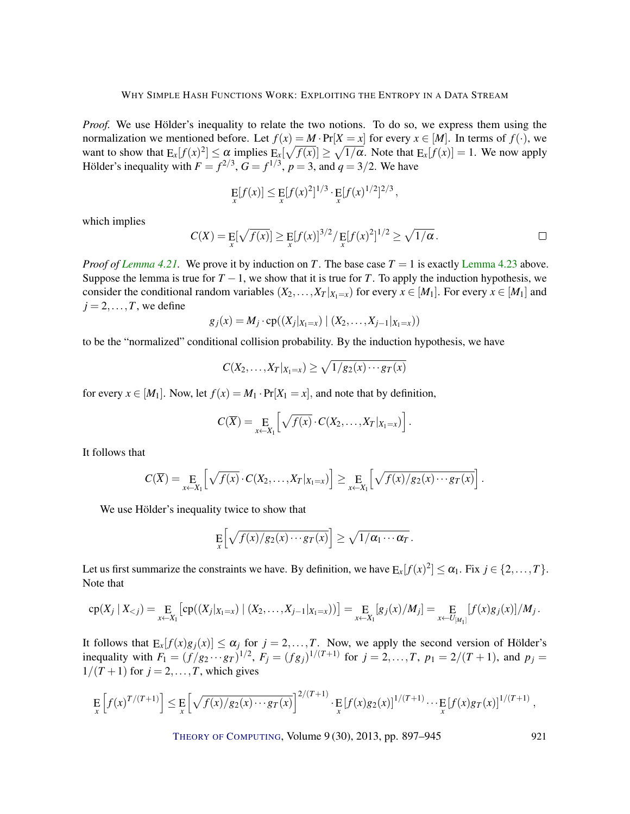*Proof.* We use Hölder's inequality to relate the two notions. To do so, we express them using the normalization we mentioned before. Let  $f(x) = M \cdot Pr[X = x]$  for every  $x \in [M]$ . In terms of  $f(\cdot)$ , we want to show that  $E_x[f(x)^2] \le \alpha$  implies  $E_x[\sqrt{f(x)}] \ge \sqrt{1/\alpha}$ . Note that  $E_x[f(x)] = 1$ . We now apply Hölder's inequality with  $F = f^{2/3}$ ,  $G = f^{1/3}$ ,  $p = 3$ , and  $q = 3/2$ . We have

$$
\mathop{\rm E}_x[f(x)] \leq \mathop{\rm E}_x[f(x)^2]^{1/3} \cdot \mathop{\rm E}_x[f(x)^{1/2}]^{2/3},
$$

which implies

$$
C(X) = \mathop{\mathbf{E}}_x[\sqrt{f(x)}] \ge \mathop{\mathbf{E}}_x[f(x)]^{3/2} / \mathop{\mathbf{E}}_x[f(x)^2]^{1/2} \ge \sqrt{1/\alpha}.
$$

*Proof of [Lemma](#page-23-1) [4.21.](#page-23-0)* We prove it by induction on *T*. The base case  $T = 1$  is exactly Lemma [4.23](#page-23-1) above. Suppose the lemma is true for  $T - 1$ , we show that it is true for *T*. To apply the induction hypothesis, we consider the conditional random variables  $(X_2, \ldots, X_T | X_1 = x)$  for every  $x \in [M_1]$ . For every  $x \in [M_1]$  and  $j = 2, \ldots, T$ , we define

$$
g_j(x) = M_j \cdot cp((X_j |_{X_1 = x}) | (X_2, \ldots, X_{j-1} |_{X_1 = x}))
$$

to be the "normalized" conditional collision probability. By the induction hypothesis, we have

$$
C(X_2,\ldots,X_T|_{X_1=x})\geq \sqrt{1/g_2(x)\cdots g_T(x)}
$$

for every  $x \in [M_1]$ . Now, let  $f(x) = M_1 \cdot Pr[X_1 = x]$ , and note that by definition,

$$
C(\overline{X}) = \underset{x \leftarrow X_1}{\mathrm{E}} \left[ \sqrt{f(x)} \cdot C(X_2, \ldots, X_T | x_{1=x}) \right].
$$

It follows that

$$
C(\overline{X}) = \underset{x \leftarrow X_1}{\operatorname{E}} \left[ \sqrt{f(x)} \cdot C(X_2, \ldots, X_T |_{X_1 = x}) \right] \geq \underset{x \leftarrow X_1}{\operatorname{E}} \left[ \sqrt{f(x)/g_2(x) \cdots g_T(x)} \right].
$$

We use Hölder's inequality twice to show that

$$
\mathop{\mathbf{E}}_x\Big[\sqrt{f(x)/g_2(x)\cdots g_T(x)}\Big]\geq \sqrt{1/\alpha_1\cdots \alpha_T}.
$$

Let us first summarize the constraints we have. By definition, we have  $E_x[f(x)^2] \le \alpha_1$ . Fix  $j \in \{2, ..., T\}$ . Note that

$$
cp(X_j | X_{< j}) = E_{x \leftarrow X_1} [cp((X_j | X_{1=x}) | (X_2, \ldots, X_{j-1} | X_{1=x}))] = E_{x \leftarrow X_1} [g_j(x)/M_j] = E_{x \leftarrow U_{[M_1]}} [f(x)g_j(x)]/M_j.
$$

It follows that  $E_x[f(x)g_j(x)] \le \alpha_j$  for  $j = 2,...,T$ . Now, we apply the second version of Hölder's inequality with  $F_1 = (f/g_2 \cdots g_T)^{1/2}$ ,  $F_j = (fg_j)^{1/(T+1)}$  for  $j = 2, ..., T$ ,  $p_1 = 2/(T+1)$ , and  $p_j =$  $1/(T+1)$  for  $j = 2,...,T$ , which gives

$$
\mathop{\mathbf{E}}_x \left[ f(x)^{T/(T+1)} \right] \leq \mathop{\mathbf{E}}_x \left[ \sqrt{f(x)/g_2(x) \cdots g_T(x)} \right]^{2/(T+1)} \cdot \mathop{\mathbf{E}}_x \left[ f(x)g_2(x) \right]^{1/(T+1)} \cdots \mathop{\mathbf{E}}_x \left[ f(x)g_T(x) \right]^{1/(T+1)},
$$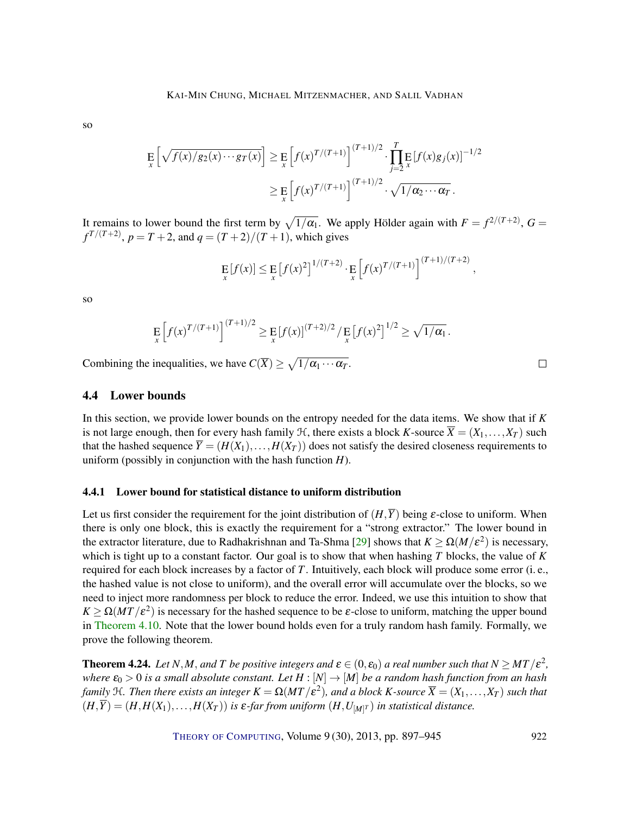<span id="page-25-2"></span>so

$$
\mathbb{E}\left[\sqrt{f(x)/g_2(x)\cdots g_T(x)}}\right] \geq \mathbb{E}\left[f(x)^{T/(T+1)}\right]^{(T+1)/2} \cdot \prod_{j=2}^T \mathbb{E}\left[f(x)g_j(x)\right]^{-1/2}
$$

$$
\geq \mathbb{E}\left[f(x)^{T/(T+1)}\right]^{(T+1)/2} \cdot \sqrt{1/\alpha_2\cdots\alpha_T}.
$$

It remains to lower bound the first term by  $\sqrt{1/\alpha_1}$ . We apply Hölder again with  $F = f^{2/(T+2)}$ ,  $G =$  $f^{T/(T+2)}$ ,  $p = T + 2$ , and  $q = (T + 2)/(T + 1)$ , which gives

$$
\mathop{\mathbf{E}}_{x}[f(x)] \leq \mathop{\mathbf{E}}_{x}[f(x)^{2}]^{1/(T+2)} \cdot \mathop{\mathbf{E}}_{x}[f(x)^{T/(T+1)}]^{(T+1)/(T+2)}
$$

so

$$
\mathop{\mathbb{E}}_x \left[ f(x)^{T/(T+1)} \right]^{(T+1)/2} \geq \mathop{\mathbb{E}}_x \left[ f(x) \right]^{(T+2)/2} / \mathop{\mathbb{E}}_x \left[ f(x)^2 \right]^{1/2} \geq \sqrt{1/\alpha_1} \, .
$$

Combining the inequalities, we have  $C(\overline{X}) \ge \sqrt{1/\alpha_1 \cdots \alpha_T}$ .

# <span id="page-25-0"></span>4.4 Lower bounds

In this section, we provide lower bounds on the entropy needed for the data items. We show that if *K* is not large enough, then for every hash family  $H$ , there exists a block *K*-source  $\overline{X} = (X_1, \ldots, X_T)$  such that the hashed sequence  $\overline{Y} = (H(X_1),...,H(X_T))$  does not satisfy the desired closeness requirements to uniform (possibly in conjunction with the hash function *H*).

## 4.4.1 Lower bound for statistical distance to uniform distribution

Let us first consider the requirement for the joint distribution of  $(H,\overline{Y})$  being  $\varepsilon$ -close to uniform. When there is only one block, this is exactly the requirement for a "strong extractor." The lower bound in the extractor literature, due to Radhakrishnan and Ta-Shma [\[29\]](#page-45-9) shows that  $K \ge \Omega(M/\varepsilon^2)$  is necessary, which is tight up to a constant factor. Our goal is to show that when hashing *T* blocks, the value of *K* required for each block increases by a factor of *T*. Intuitively, each block will produce some error (i. e., the hashed value is not close to uniform), and the overall error will accumulate over the blocks, so we need to inject more randomness per block to reduce the error. Indeed, we use this intuition to show that  $K \ge \Omega(MT/\varepsilon^2)$  is necessary for the hashed sequence to be  $\varepsilon$ -close to uniform, matching the upper bound in [Theorem](#page-15-2) [4.10.](#page-15-2) Note that the lower bound holds even for a truly random hash family. Formally, we prove the following theorem.

<span id="page-25-1"></span>**Theorem 4.24.** Let N,M, and T be positive integers and  $\epsilon \in (0, \epsilon_0)$  a real number such that  $N \geq MT/\epsilon^2$ , *where*  $\varepsilon_0 > 0$  *is a small absolute constant. Let*  $H : [N] \to [M]$  *be a random hash function from an hash* family  $H$ . Then there exists an integer  $K=\Omega(MT/\mathcal{E}^2)$ , and a block  $K$ -source  $\overline{X}=(X_1,\ldots,X_T)$  such that  $(H,\overline{Y}) = (H,H(X_1),\ldots,H(X_T))$  is  $\varepsilon$ -far from uniform  $(H,U_{[M]^T})$  in statistical distance.

THEORY OF C[OMPUTING](http://dx.doi.org/10.4086/toc), Volume 9 (30), 2013, pp. 897–945 922

 $\Box$ 

,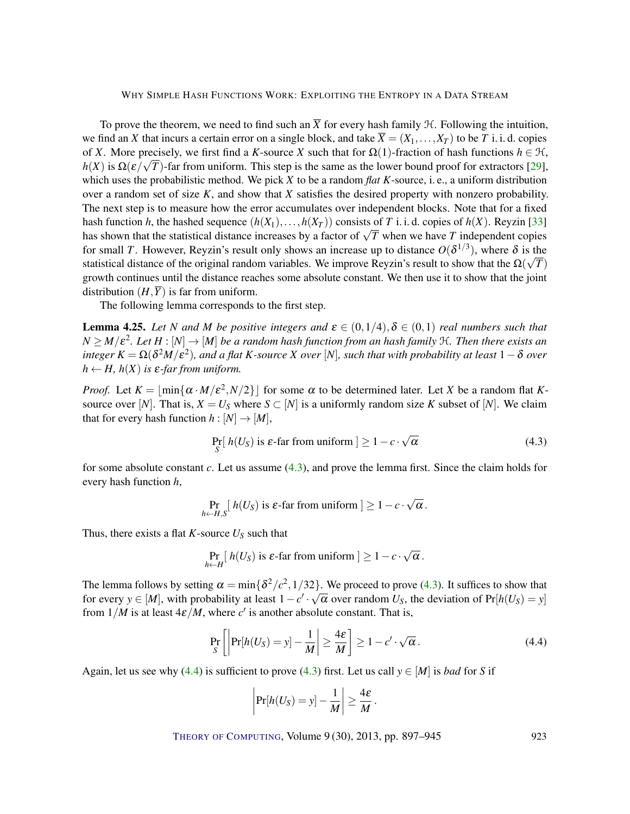<span id="page-26-3"></span>To prove the theorem, we need to find such an  $\overline{X}$  for every hash family  $\mathcal{H}$ . Following the intuition, we find an *X* that incurs a certain error on a single block, and take  $\overline{X} = (X_1, \ldots, X_T)$  to be *T* i. i. d. copies of *X*. More precisely, we first find a *K*-source *X* such that for  $\Omega(1)$ -fraction of hash functions  $h \in \mathcal{H}$ ,  $h(X)$  is  $\Omega(\varepsilon/\sqrt{T})$ -far from uniform. This step is the same as the lower bound proof for extractors [\[29\]](#page-45-9), which uses the probabilistic method. We pick *X* to be a random *flat K*-source, i. e., a uniform distribution over a random set of size *K*, and show that *X* satisfies the desired property with nonzero probability. The next step is to measure how the error accumulates over independent blocks. Note that for a fixed hash function *h*, the hashed sequence  $(h(X_1),...,h(X_T))$  consists of *T* i. i. d. copies of  $h(X)$ . Reyzin [\[33\]](#page-45-10) has function *n*, the nashed sequence  $(n(x_1),...,n(x_T))$  consists of *I* 1.1.d. copies of  $n(x)$ . Reyzin [33] has shown that the statistical distance increases by a factor of  $\sqrt{T}$  when we have *T* independent copies for small *T*. However, Reyzin's result only shows an increase up to distance  $O(\delta^{1/3})$ , where  $\delta$  is the statistical distance of the original random variables. We improve Reyzin's result to show that the  $\Omega(\sqrt{T})$ growth continues until the distance reaches some absolute constant. We then use it to show that the joint distribution  $(H,\overline{Y})$  is far from uniform.

The following lemma corresponds to the first step.

<span id="page-26-2"></span>**Lemma 4.25.** Let *N* and *M* be positive integers and  $\epsilon \in (0,1/4), \delta \in (0,1)$  real numbers such that  $N\geq M/\varepsilon^2.$  Let  $H:[N]\to [M]$  be a random hash function from an hash family  ${\mathfrak{R}}.$  Then there exists an  $\int$  *integer*  $K = \Omega(\delta^2M/\epsilon^2)$ , and a flat  $K$ -source  $X$  over  $[N]$ , such that with probability at least  $1-\delta$  over  $h \leftarrow H$ ,  $h(X)$  *is*  $\varepsilon$ *-far from uniform.* 

*Proof.* Let  $K = \lfloor \min{\{\alpha \cdot M/\varepsilon^2, N/2\}}\rfloor$  for some  $\alpha$  to be determined later. Let *X* be a random flat *K*source over [*N*]. That is,  $X = U_S$  where  $S \subset [N]$  is a uniformly random size *K* subset of [*N*]. We claim that for every hash function  $h : [N] \to [M]$ ,

<span id="page-26-0"></span>
$$
\Pr_{S} [h(U_{S}) \text{ is } \varepsilon\text{-far from uniform } ] \ge 1 - c \cdot \sqrt{\alpha}
$$
 (4.3)

for some absolute constant *c*. Let us assume [\(4.3\)](#page-26-0), and prove the lemma first. Since the claim holds for every hash function *h*,

$$
\Pr_{h \leftarrow H, S} [h(U_S) \text{ is } \varepsilon\text{-far from uniform } ] \geq 1 - c \cdot \sqrt{\alpha}.
$$

Thus, there exists a flat *K*-source  $U<sub>S</sub>$  such that

$$
\Pr_{h \leftarrow H} [h(U_S) \text{ is } \varepsilon\text{-far from uniform } ] \geq 1 - c \cdot \sqrt{\alpha}.
$$

The lemma follows by setting  $\alpha = \min\{\delta^2/c^2, 1/32\}$ . We proceed to prove [\(4.3\)](#page-26-0). It suffices to show that for every  $y \in [M]$ , with probability at least  $1 - c' \cdot \sqrt{\alpha}$  over random  $U_S$ , the deviation of  $Pr[h(U_S) = y]$ from  $1/M$  is at least  $4\varepsilon/M$ , where  $c'$  is another absolute constant. That is,

<span id="page-26-1"></span>
$$
\Pr_{S}\left[\left|\Pr[h(U_{S})=y]-\frac{1}{M}\right|\geq\frac{4\varepsilon}{M}\right]\geq1-c'\cdot\sqrt{\alpha}.
$$
\n(4.4)

Again, let us see why [\(4.4\)](#page-26-1) is sufficient to prove [\(4.3\)](#page-26-0) first. Let us call  $y \in [M]$  is *bad* for *S* if

$$
\left|\Pr[h(U_S)=y]-\frac{1}{M}\right|\geq \frac{4\varepsilon}{M}.
$$

THEORY OF C[OMPUTING](http://dx.doi.org/10.4086/toc), Volume 9 (30), 2013, pp. 897–945 923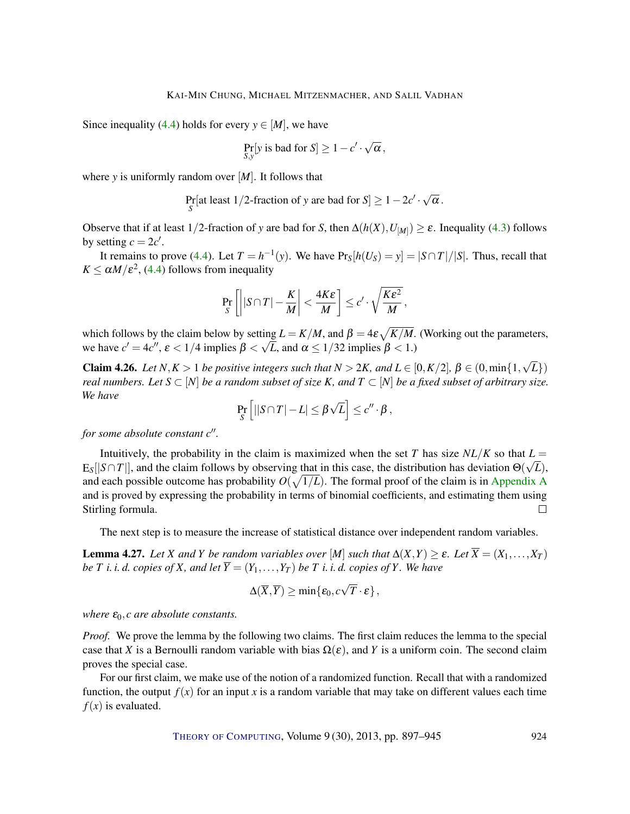Since inequality [\(4.4\)](#page-26-1) holds for every  $y \in [M]$ , we have

$$
\Pr_{S,y}[y \text{ is bad for } S] \ge 1 - c' \cdot \sqrt{\alpha},
$$

where *y* is uniformly random over [*M*]. It follows that

Pr[at least 1/2-fraction of y are bad for S] 
$$
\geq 1 - 2c' \cdot \sqrt{\alpha}
$$
.

Observe that if at least 1/2-fraction of *y* are bad for *S*, then  $\Delta(h(X), U_{[M]}) \ge \varepsilon$ . Inequality [\(4.3\)](#page-26-0) follows by setting  $c = 2c'$ .

It remains to prove [\(4.4\)](#page-26-1). Let  $T = h^{-1}(y)$ . We have  $Pr_S[h(U_S) = y] = |S \cap T|/|S|$ . Thus, recall that  $K \le \alpha M / \varepsilon^2$ , [\(4.4\)](#page-26-1) follows from inequality

$$
\Pr_{S}\left[\left||S\cap T|-\frac{K}{M}\right|<\frac{4K\epsilon}{M}\right]\leq c'\cdot\sqrt{\frac{K\epsilon^2}{M}},
$$

which follows by the claim below by setting  $L = K/M$ , and  $\beta = 4\varepsilon \sqrt{K/M}$ . (Working out the parameters, we have  $c' = 4c''$ ,  $\varepsilon < 1/4$  implies  $\beta < \sqrt{L}$ , and  $\alpha \le 1/32$  implies  $\beta < 1$ .)

<span id="page-27-1"></span>**Claim 4.26.** *Let*  $N, K > 1$  *be positive integers such that*  $N > 2K$ *, and*  $L \in [0, K/2]$ *,*  $\beta \in (0, \min\{1, K\})$ √ *L*}) *real numbers. Let*  $S \subset [N]$  *be a random subset of size*  $K$ *, and*  $T \subset [N]$  *be a fixed subset of arbitrary size. We have* √

$$
\Pr_{S}\left[||S\cap T|-L|\leq \beta\sqrt{L}\right]\leq c''\cdot\beta\,,
$$

*for some absolute constant c*".

Intuitively, the probability in the claim is maximized when the set *T* has size  $NL/K$  so that  $L =$  $E_S[|S \cap T|]$ , and the claim follows by observing that in this case, the distribution has deviation  $\Theta(\sqrt{L})$ , and each possible outcome has probability  $O(\sqrt{1/L})$ . The formal proof of the claim is in [Appendix](#page-42-0) [A](#page-42-0) and is proved by expressing the probability in terms of binomial coefficients, and estimating them using Stirling formula.  $\Box$ 

The next step is to measure the increase of statistical distance over independent random variables.

<span id="page-27-0"></span>**Lemma 4.27.** Let *X* and *Y* be random variables over [M] such that  $\Delta(X,Y) \geq \varepsilon$ . Let  $\overline{X} = (X_1,\ldots,X_T)$ *be T i. i. d. copies of X, and let*  $\overline{Y} = (Y_1, \ldots, Y_T)$  *be T i. i. d. copies of Y. We have* 

$$
\Delta(\overline{X}, \overline{Y}) \ge \min\{\varepsilon_0, c\sqrt{T}\cdot\varepsilon\},\,
$$

*where*  $\varepsilon_0$ *, c* are absolute constants.

*Proof.* We prove the lemma by the following two claims. The first claim reduces the lemma to the special case that *X* is a Bernoulli random variable with bias  $\Omega(\varepsilon)$ , and *Y* is a uniform coin. The second claim proves the special case.

For our first claim, we make use of the notion of a randomized function. Recall that with a randomized function, the output  $f(x)$  for an input x is a random variable that may take on different values each time  $f(x)$  is evaluated.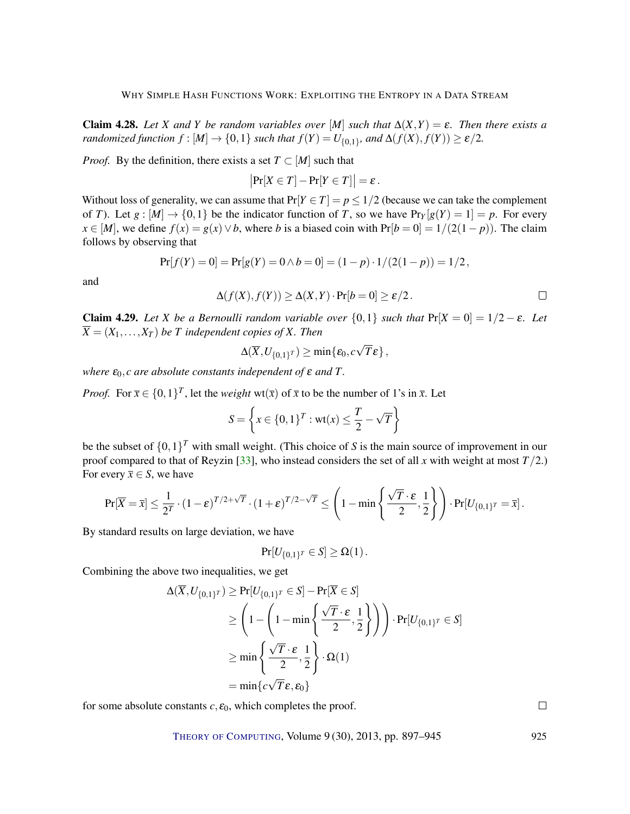<span id="page-28-2"></span><span id="page-28-0"></span>**Claim 4.28.** Let *X* and *Y* be random variables over [*M*] such that  $\Delta(X,Y) = \varepsilon$ . Then there exists a *randomized function*  $f : [M] \rightarrow \{0,1\}$  *such that*  $f(Y) = U_{\{0,1\}}$ *, and*  $\Delta(f(X), f(Y)) \ge \varepsilon/2$ *.* 

*Proof.* By the definition, there exists a set  $T \subset [M]$  such that

$$
\big|\Pr[X \in T] - \Pr[Y \in T]\big| = \varepsilon.
$$

Without loss of generality, we can assume that  $Pr[Y \in T] = p \le 1/2$  (because we can take the complement of *T*). Let  $g : [M] \to \{0,1\}$  be the indicator function of *T*, so we have  $Pr_Y[g(Y) = 1] = p$ . For every *x* ∈ [*M*], we define  $f(x) = g(x) \lor b$ , where *b* is a biased coin with Pr[*b* = 0] = 1/(2(1− *p*)). The claim follows by observing that

$$
Pr[f(Y) = 0] = Pr[g(Y) = 0 \land b = 0] = (1 - p) \cdot 1/(2(1 - p)) = 1/2,
$$

and

$$
\Delta(f(X), f(Y)) \ge \Delta(X, Y) \cdot \Pr[b = 0] \ge \varepsilon/2.
$$

<span id="page-28-1"></span>**Claim 4.29.** *Let X be a Bernoulli random variable over*  $\{0,1\}$  *such that*  $Pr[X = 0] = 1/2 - \varepsilon$ *. Let*  $\overline{X} = (X_1, \ldots, X_T)$  *be T independent copies of X. Then* 

$$
\Delta(\overline{X},U_{\{0,1\}^T})\geq \min\{\pmb{\varepsilon}_0,c\sqrt{T}\pmb{\varepsilon}\}\,,
$$

*where*  $\varepsilon_0$ , *c* are absolute constants independent of  $\varepsilon$  and T.

*Proof.* For  $\bar{x} \in \{0,1\}^T$ , let the *weight* wt( $\bar{x}$ ) of  $\bar{x}$  to be the number of 1's in  $\bar{x}$ . Let

$$
S = \left\{ x \in \{0, 1\}^T : \text{wt}(x) \le \frac{T}{2} - \sqrt{T} \right\}
$$

be the subset of  $\{0,1\}^T$  with small weight. (This choice of *S* is the main source of improvement in our proof compared to that of Reyzin [\[33\]](#page-45-10), who instead considers the set of all *x* with weight at most *T*/2.) For every  $\bar{x} \in S$ , we have

$$
\Pr[\overline{X} = \overline{x}] \le \frac{1}{2^T} \cdot (1 - \varepsilon)^{T/2 + \sqrt{T}} \cdot (1 + \varepsilon)^{T/2 - \sqrt{T}} \le \left(1 - \min\left\{\frac{\sqrt{T} \cdot \varepsilon}{2}, \frac{1}{2}\right\}\right) \cdot \Pr[U_{\{0,1\}^T} = \overline{x}].
$$

By standard results on large deviation, we have

$$
\Pr[U_{\{0,1\}^T} \in S] \geq \Omega(1).
$$

Combining the above two inequalities, we get

$$
\Delta(\overline{X}, U_{\{0,1\}^T}) \ge \Pr[U_{\{0,1\}^T} \in S] - \Pr[\overline{X} \in S]
$$
  
\n
$$
\ge \left(1 - \left(1 - \min\left\{\frac{\sqrt{T} \cdot \varepsilon}{2}, \frac{1}{2}\right\}\right)\right) \cdot \Pr[U_{\{0,1\}^T} \in S]
$$
  
\n
$$
\ge \min\left\{\frac{\sqrt{T} \cdot \varepsilon}{2}, \frac{1}{2}\right\} \cdot \Omega(1)
$$
  
\n
$$
= \min\left\{c\sqrt{T}\varepsilon, \varepsilon_0\right\}
$$

for some absolute constants  $c, \varepsilon_0$ , which completes the proof.

THEORY OF C[OMPUTING](http://dx.doi.org/10.4086/toc), Volume 9 (30), 2013, pp. 897–945 925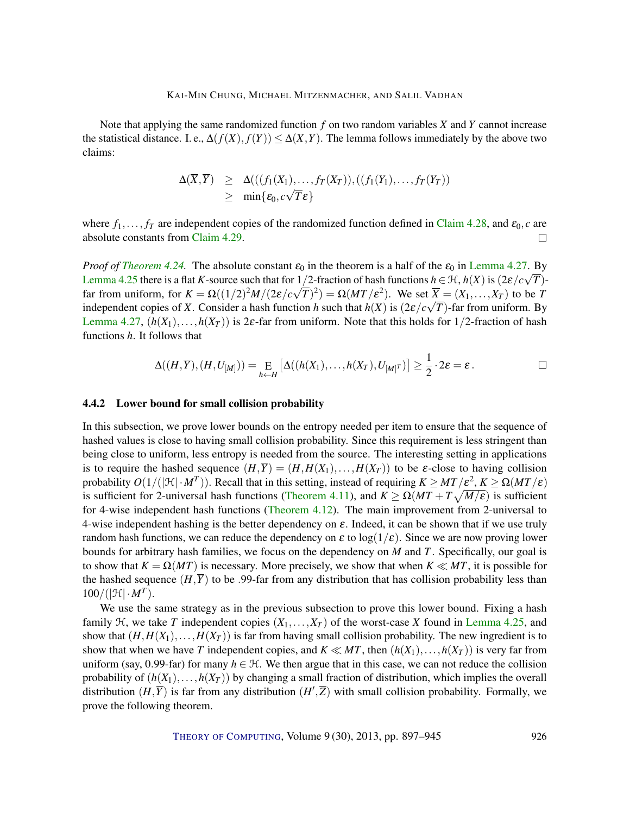Note that applying the same randomized function *f* on two random variables *X* and *Y* cannot increase the statistical distance. I. e.,  $\Delta(f(X), f(Y)) \leq \Delta(X, Y)$ . The lemma follows immediately by the above two claims:

$$
\Delta(\overline{X}, \overline{Y}) \geq \Delta(((f_1(X_1), \ldots, f_T(X_T)), ((f_1(Y_1), \ldots, f_T(Y_T)))
$$
  
\n
$$
\geq \min{\{\varepsilon_0, c\sqrt{T}\varepsilon\}}
$$

where  $f_1, \ldots, f_T$  are independent copies of the randomized function defined in [Claim](#page-28-0) [4.28,](#page-28-0) and  $\varepsilon_0, c$  are absolute constants from [Claim](#page-28-1) [4.29.](#page-28-1)  $\Box$ 

*Proof of [Theorem](#page-25-1) [4.24.](#page-25-1)* The absolute constant  $\varepsilon_0$  in the theorem is a half of the  $\varepsilon_0$  in [Lemma](#page-27-0) [4.27.](#page-27-0) By [Lemma](#page-26-2) [4.25](#page-26-2) there is a flat *K*-source such that for  $1/2$ -fraction of hash functions  $h \in \mathcal{H}$ ,  $h(X)$  is  $(2\varepsilon/c\sqrt{T})$ far from uniform, for  $K = \Omega((1/2)^2 M/(2\varepsilon/c\sqrt{T})^2) = \Omega(MT/\varepsilon^2)$ . We set  $\overline{X} = (X_1, \ldots, X_T)$  to be *T* independent copies of *X*. Consider a hash function *h* such that  $h(X)$  is  $(2\varepsilon/c\sqrt{T})$ -far from uniform. By [Lemma](#page-27-0) [4.27,](#page-27-0)  $(h(X_1),...,h(X_T))$  is 2 $\varepsilon$ -far from uniform. Note that this holds for 1/2-fraction of hash functions *h*. It follows that

$$
\Delta((H,\overline{Y}),(H,U_{[M]}))=\underset{h\leftarrow H}{\mathrm{E}}\left[\Delta((h(X_1),\ldots,h(X_T),U_{[M]^T})\right]\geq\frac{1}{2}\cdot2\varepsilon=\varepsilon\,.
$$

#### 4.4.2 Lower bound for small collision probability

In this subsection, we prove lower bounds on the entropy needed per item to ensure that the sequence of hashed values is close to having small collision probability. Since this requirement is less stringent than being close to uniform, less entropy is needed from the source. The interesting setting in applications is to require the hashed sequence  $(H,\overline{Y}) = (H,H(X_1),\ldots,H(X_T))$  to be  $\varepsilon$ -close to having collision probability  $O(1/(|\mathcal{H}| \cdot M^T))$ . Recall that in this setting, instead of requiring  $K \geq MT/\varepsilon^2$ ,  $K \geq \Omega(MT/\varepsilon)$ is sufficient for 2-universal hash functions [\(Theorem](#page-15-0) [4.11\)](#page-15-0), and  $K \ge \Omega(MT + T\sqrt{M/\epsilon})$  is sufficient for 4-wise independent hash functions [\(Theorem](#page-15-1) [4.12\)](#page-15-1). The main improvement from 2-universal to 4-wise independent hashing is the better dependency on  $\varepsilon$ . Indeed, it can be shown that if we use truly random hash functions, we can reduce the dependency on  $\varepsilon$  to  $\log(1/\varepsilon)$ . Since we are now proving lower bounds for arbitrary hash families, we focus on the dependency on *M* and *T*. Specifically, our goal is to show that  $K = \Omega(MT)$  is necessary. More precisely, we show that when  $K \ll MT$ , it is possible for the hashed sequence  $(H,\overline{Y})$  to be .99-far from any distribution that has collision probability less than  $100/(|\mathcal{H}| \cdot M^T)$ .

We use the same strategy as in the previous subsection to prove this lower bound. Fixing a hash family  $H$ , we take *T* independent copies  $(X_1, \ldots, X_T)$  of the worst-case *X* found in [Lemma](#page-26-2) [4.25,](#page-26-2) and show that  $(H, H(X_1),...,H(X_T))$  is far from having small collision probability. The new ingredient is to show that when we have *T* independent copies, and  $K \ll MT$ , then  $(h(X_1),...,h(X_T))$  is very far from uniform (say, 0.99-far) for many  $h \in \mathcal{H}$ . We then argue that in this case, we can not reduce the collision probability of  $(h(X_1),...,h(X_T))$  by changing a small fraction of distribution, which implies the overall distribution  $(H,\overline{Y})$  is far from any distribution  $(H',\overline{Z})$  with small collision probability. Formally, we prove the following theorem.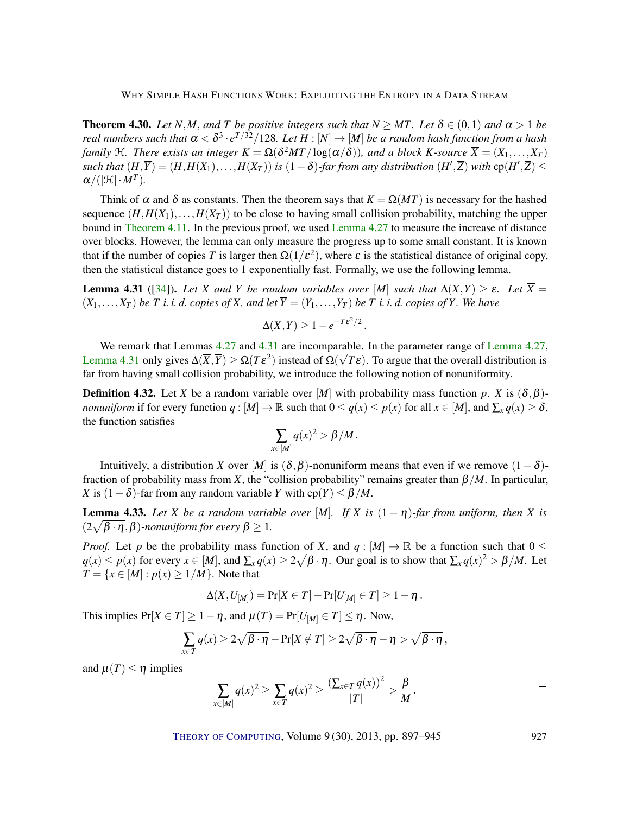<span id="page-30-3"></span><span id="page-30-1"></span>**Theorem 4.30.** *Let N*,*M*, *and T be positive integers such that*  $N \geq MT$ *. Let*  $\delta \in (0,1)$  *and*  $\alpha > 1$  *be* real numbers such that  $\alpha < \delta^3 \cdot e^{T/32}/128$ . Let  $H : [N] \to [M]$  be a random hash function from a hash *family* H. There exists an integer  $K = \Omega(\delta^2 MT/\log(\alpha/\delta))$ , and a block K-source  $\overline{X} = (X_1, \ldots, X_T)$ *such that*  $(H,\overline{Y}) = (H,H(X_1),...,H(X_T))$  *is*  $(1-\delta)$ -far from any distribution  $(H',\overline{Z})$  with  $cp(H',\overline{Z}) \le$  $\alpha/(|\mathcal{H}| \cdot M^T)$ .

Think of  $\alpha$  and  $\delta$  as constants. Then the theorem says that  $K = \Omega(MT)$  is necessary for the hashed sequence  $(H, H(X_1),..., H(X_T))$  to be close to having small collision probability, matching the upper bound in [Theorem](#page-15-0) [4.11.](#page-15-0) In the previous proof, we used [Lemma](#page-27-0) [4.27](#page-27-0) to measure the increase of distance over blocks. However, the lemma can only measure the progress up to some small constant. It is known that if the number of copies *T* is larger then  $\Omega(1/\varepsilon^2)$ , where  $\varepsilon$  is the statistical distance of original copy, then the statistical distance goes to 1 exponentially fast. Formally, we use the following lemma.

<span id="page-30-0"></span>**Lemma 4.31** ([\[34\]](#page-45-11)). Let *X* and *Y* be random variables over [*M*] such that  $\Delta(X,Y) \ge \varepsilon$ . Let  $\overline{X} =$  $(X_1, \ldots, X_T)$  be T *i. i. d. copies of X, and let*  $\overline{Y} = (Y_1, \ldots, Y_T)$  be T *i. i. d. copies of Y. We have* 

$$
\Delta(\overline{X}, \overline{Y}) \ge 1 - e^{-T\epsilon^2/2}.
$$

We remark that [Lemma](#page-27-0)s  $4.27$  and  $4.31$  are incomparable. In the parameter range of Lemma [4.27,](#page-27-0) [Lemma](#page-30-0) [4.31](#page-30-0) only gives  $\Delta(\overline{X}, \overline{Y}) \ge \Omega(T\epsilon^2)$  instead of  $\Omega(\sqrt{T}\epsilon)$ . To argue that the overall distribution is far from having small collision probability, we introduce the following notion of nonuniformity.

**Definition 4.32.** Let *X* be a random variable over [*M*] with probability mass function *p*. *X* is  $(\delta, \beta)$ *nonuniform* if for every function  $q : [M] \to \mathbb{R}$  such that  $0 \le q(x) \le p(x)$  for all  $x \in [M]$ , and  $\sum_{x} q(x) \ge \delta$ , the function satisfies

$$
\sum_{x\in[M]}q(x)^2>\beta/M.
$$

Intuitively, a distribution *X* over [*M*] is ( $\delta$ ,  $\beta$ )-nonuniform means that even if we remove (1– $\delta$ )fraction of probability mass from *X*, the "collision probability" remains greater than  $\beta/M$ . In particular, *X* is  $(1 - \delta)$ -far from any random variable *Y* with cp(*Y*)  $\leq \beta/M$ .

<span id="page-30-2"></span>**Lemma 4.33.** Let *X* be a random variable over [M]. If *X* is  $(1 - \eta)$ -far from uniform, then *X* is  $(2\sqrt{\beta\cdot\eta},\beta)$ *-nonuniform for every*  $\beta\geq 1$ *.* 

*Proof.* Let *p* be the probability mass function of *X*, and  $q: [M] \to \mathbb{R}$  be a function such that  $0 \leq$  $q(x) \le p(x)$  for every  $x \in [M]$ , and  $\sum_x q(x) \ge 2\sqrt{\beta \cdot \eta}$ . Our goal is to show that  $\sum_x q(x)^2 > \beta/M$ . Let *T* = {*x* ∈ [*M*] : *p*(*x*) ≥ 1/*M*}. Note that

$$
\Delta(X, U_{[M]}) = \Pr[X \in T] - \Pr[U_{[M]} \in T] \ge 1 - \eta.
$$

This implies  $Pr[X \in T] \ge 1 - \eta$ , and  $\mu(T) = Pr[U_{[M]} \in T] \le \eta$ . Now,

$$
\sum_{x \in T} q(x) \ge 2\sqrt{\beta \cdot \eta} - \Pr[X \notin T] \ge 2\sqrt{\beta \cdot \eta} - \eta > \sqrt{\beta \cdot \eta},
$$

and  $\mu(T) \leq \eta$  implies

$$
\sum_{x\in[M]}q(x)^2\geq \sum_{x\in T}q(x)^2\geq \frac{\left(\sum_{x\in T}q(x)\right)^2}{|T|}>\frac{\beta}{M}.
$$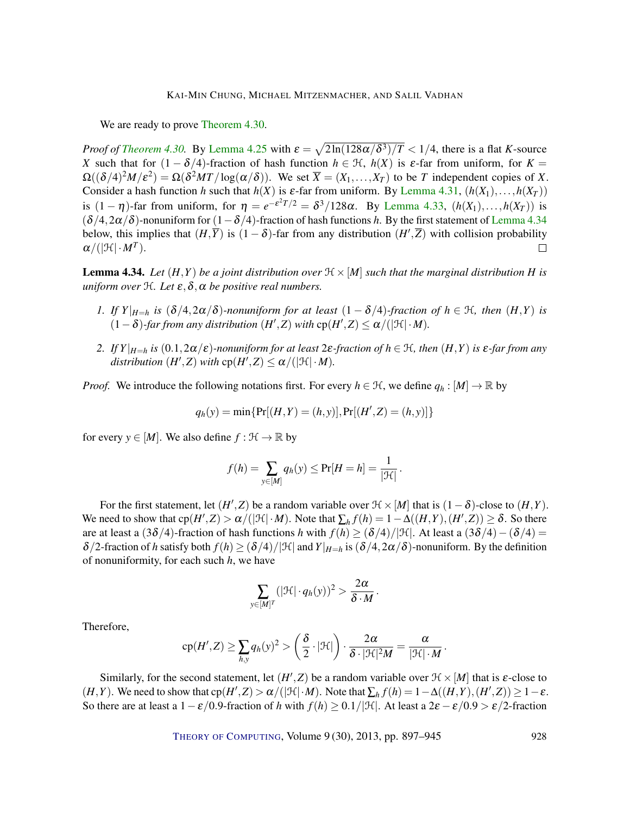We are ready to prove [Theorem](#page-30-1) [4.30.](#page-30-1)

*Proof of [Theorem](#page-30-1) [4.30.](#page-30-1)* By [Lemma](#page-26-2) [4.25](#page-26-2) with  $\varepsilon = \sqrt{2\ln(128\alpha/\delta^3)/T} < 1/4$ , there is a flat *K*-source *X* such that for  $(1 - \delta/4)$ -fraction of hash function  $h \in H$ ,  $h(X)$  is  $\varepsilon$ -far from uniform, for  $K =$  $\Omega((\delta/4)^2M/\varepsilon^2) = \Omega(\delta^2MT/\log(\alpha/\delta))$ . We set  $\overline{X} = (X_1,\ldots,X_T)$  to be *T* independent copies of *X*. Consider a hash function *h* such that  $h(X)$  is  $\varepsilon$ -far from uniform. By [Lemma](#page-30-0) [4.31,](#page-30-0)  $(h(X_1),...,h(X_T))$ is  $(1 - \eta)$ -far from uniform, for  $\eta = e^{-\varepsilon^2 T/2} = \delta^3/128\alpha$ . By [Lemma](#page-30-2) [4.33,](#page-30-2)  $(h(X_1),...,h(X_T))$  is  $(\delta/4,2\alpha/\delta)$ -nonuniform for  $(1-\delta/4)$ -fraction of hash functions *h*. By the first statement of [Lemma](#page-31-0) [4.34](#page-31-0) below, this implies that  $(H,\overline{Y})$  is  $(1-\delta)$ -far from any distribution  $(H',\overline{Z})$  with collision probability  $\alpha/(|\mathfrak{H}| \cdot M^T).$  $\Box$ 

<span id="page-31-0"></span>**Lemma 4.34.** Let  $(H, Y)$  be a joint distribution over  $\mathcal{H} \times [M]$  such that the marginal distribution H is *uniform over*  $H$ *. Let*  $\varepsilon$ *,*  $\delta$ *,*  $\alpha$  *be positive real numbers.* 

- *1. If Y*| $_{H=h}$  *is* (δ/4,2α/δ)*-nonuniform for at least* (1 − δ/4)*-fraction of*  $h \in \mathcal{H}$ *, then* (*H,Y*) *is*  $(1 - \delta)$ -far from any distribution  $(H', Z)$  with  $cp(H', Z) ≤ α/(|\mathcal{H}| \cdot M)$ .
- *2. If Y*| $H=h$  *is* (0.1,2α/ε)*-nonuniform for at least* 2ε*-fraction of*  $h ∈ \mathcal{H}$ *, then*  $(H,Y)$  *is* ε*-far from any*  $distriolution (H', Z) with cp(H', Z) \leq \alpha/(|\mathcal{H}| \cdot M).$

*Proof.* We introduce the following notations first. For every  $h \in \mathcal{H}$ , we define  $q_h : [M] \to \mathbb{R}$  by

$$
q_h(y) = \min\{\Pr[(H, Y) = (h, y)], \Pr[(H', Z) = (h, y)]\}
$$

for every  $y \in [M]$ . We also define  $f : \mathcal{H} \to \mathbb{R}$  by

$$
f(h) = \sum_{y \in [M]} q_h(y) \leq \Pr[H = h] = \frac{1}{|\mathcal{H}|}.
$$

For the first statement, let  $(H', Z)$  be a random variable over  $\mathcal{H} \times [M]$  that is  $(1 - \delta)$ -close to  $(H, Y)$ . We need to show that  $\text{cp}(H',Z) > \alpha/(|\mathcal{H}| \cdot M)$ . Note that  $\sum_h f(h) = 1 - \Delta((H,Y), (H',Z)) \geq \delta$ . So there are at least a (3 $\delta/4$ )-fraction of hash functions *h* with  $f(h) \geq (\delta/4)/|\mathcal{H}|$ . At least a (3 $\delta/4$ ) – ( $\delta/4$ ) =  $\delta/2$ -fraction of *h* satisfy both  $f(h) \geq (\delta/4)/|\mathcal{H}|$  and  $Y|_{H=h}$  is  $(\delta/4, 2\alpha/\delta)$ -nonuniform. By the definition of nonuniformity, for each such *h*, we have

$$
\sum_{y\in[M]^T} (|\mathcal{H}| \cdot q_h(y))^2 > \frac{2\alpha}{\delta \cdot M}.
$$

Therefore,

$$
cp(H', Z) \ge \sum_{h,y} q_h(y)^2 > \left(\frac{\delta}{2} \cdot |\mathcal{H}|\right) \cdot \frac{2\alpha}{\delta \cdot |\mathcal{H}|^2 M} = \frac{\alpha}{|\mathcal{H}| \cdot M}
$$

Similarly, for the second statement, let  $(H', Z)$  be a random variable over  $\mathcal{H} \times [M]$  that is  $\varepsilon$ -close to  $(H, Y)$ . We need to show that  $cp(H', Z) > \alpha/(|\mathcal{H}| \cdot M)$ . Note that  $\sum_h f(h) = 1 - \Delta((H, Y), (H', Z)) \ge 1 - \varepsilon$ . So there are at least a  $1-\varepsilon/0.9$ -fraction of *h* with  $f(h) \ge 0.1/|\mathcal{H}|$ . At least a  $2\varepsilon - \varepsilon/0.9 > \varepsilon/2$ -fraction

THEORY OF C[OMPUTING](http://dx.doi.org/10.4086/toc), Volume 9 (30), 2013, pp. 897-945 928

.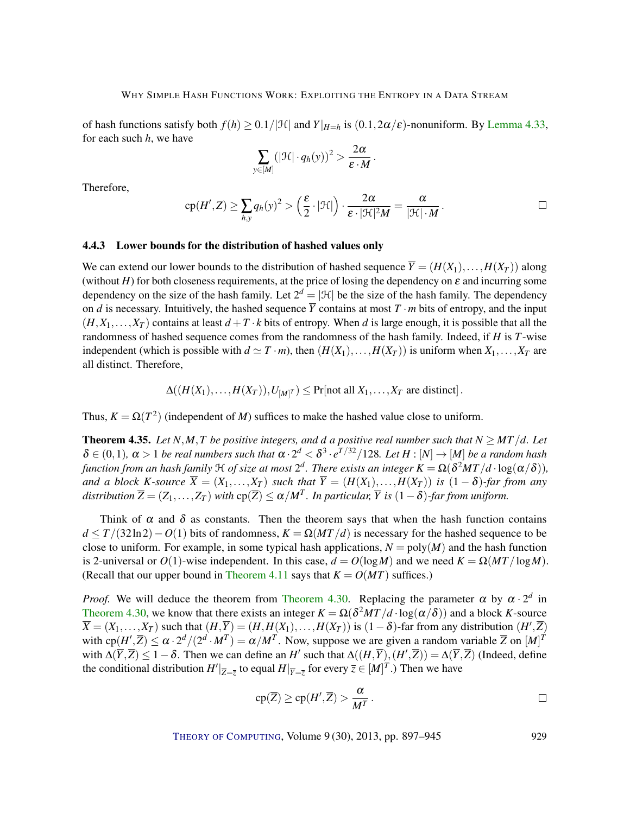of hash functions satisfy both  $f(h) \ge 0.1/|\mathcal{H}|$  and  $Y|_{H=h}$  is  $(0.1, 2\alpha/\varepsilon)$ -nonuniform. By [Lemma](#page-30-2) [4.33,](#page-30-2) for each such *h*, we have

$$
\sum_{y\in[M]} (|\mathcal{H}|\cdot q_h(y))^2 > \frac{2\alpha}{\varepsilon\cdot M}.
$$

Therefore,

$$
cp(H',Z) \geq \sum_{h,y} q_h(y)^2 > \left(\frac{\varepsilon}{2} \cdot |\mathcal{H}|\right) \cdot \frac{2\alpha}{\varepsilon \cdot |\mathcal{H}|^2 M} = \frac{\alpha}{|\mathcal{H}| \cdot M}.
$$

## 4.4.3 Lower bounds for the distribution of hashed values only

We can extend our lower bounds to the distribution of hashed sequence  $\overline{Y} = (H(X_1),...,H(X_T))$  along (without *H*) for both closeness requirements, at the price of losing the dependency on  $\varepsilon$  and incurring some dependency on the size of the hash family. Let  $2^d = |\mathcal{H}|$  be the size of the hash family. The dependency on *d* is necessary. Intuitively, the hashed sequence  $\overline{Y}$  contains at most  $T \cdot m$  bits of entropy, and the input  $(H, X_1, \ldots, X_T)$  contains at least  $d + T \cdot k$  bits of entropy. When *d* is large enough, it is possible that all the randomness of hashed sequence comes from the randomness of the hash family. Indeed, if *H* is *T*-wise independent (which is possible with  $d \simeq T \cdot m$ ), then  $(H(X_1),...,H(X_T))$  is uniform when  $X_1,...,X_T$  are all distinct. Therefore,

$$
\Delta((H(X_1),...,H(X_T)),U_{[M]^T}) \leq \Pr[\text{not all } X_1,...,X_T \text{ are distinct}].
$$

Thus,  $K = \Omega(T^2)$  (independent of *M*) suffices to make the hashed value close to uniform.

<span id="page-32-0"></span>**Theorem 4.35.** Let  $N, M, T$  be positive integers, and *d* a positive real number such that  $N \geq MT/d$ . Let  $\delta \in (0,1)$ ,  $\alpha > 1$  *be real numbers such that*  $\alpha \cdot 2^d < \delta^3 \cdot e^{T/32}/128$ *. Let*  $H : [N] \to [M]$  *be a random hash* function from an hash family  $\frak H$  of size at most  $2^d$ . There exists an integer  $K=\Omega(\delta^2MT/d\cdot\log(\alpha/\delta)),$ *and a block K-source*  $\overline{X} = (X_1, \ldots, X_T)$  *such that*  $\overline{Y} = (H(X_1), \ldots, H(X_T))$  *is*  $(1 - \delta)$ *-far from any*  $distribution\ \overline{Z}=(Z_1,\ldots,Z_T)$  with  $cp(\overline{Z})\leq \alpha/M^T.$  In particular,  $\overline{Y}$  is  $(1-\delta)$ -far from uniform.

Think of  $\alpha$  and  $\delta$  as constants. Then the theorem says that when the hash function contains  $d \leq T/(32\ln 2)-O(1)$  bits of randomness,  $K = \Omega(MT/d)$  is necessary for the hashed sequence to be close to uniform. For example, in some typical hash applications,  $N = \text{poly}(M)$  and the hash function is 2-universal or  $O(1)$ -wise independent. In this case,  $d = O(\log M)$  and we need  $K = \Omega(MT/\log M)$ . (Recall that our upper bound in [Theorem](#page-15-0) [4.11](#page-15-0) says that  $K = O(MT)$  suffices.)

*Proof.* We will deduce the theorem from [Theorem](#page-30-1) [4.30.](#page-30-1) Replacing the parameter  $\alpha$  by  $\alpha \cdot 2^d$  in [Theorem](#page-30-1) [4.30,](#page-30-1) we know that there exists an integer  $K = \Omega(\delta^2 MT/d \cdot \log(\alpha/\delta))$  and a block *K*-source  $\overline{X} = (X_1, \ldots, X_T)$  such that  $(H, \overline{Y}) = (H, H(X_1), \ldots, H(X_T))$  is  $(1 - \delta)$ -far from any distribution  $(H', \overline{Z})$ with  $cp(H',\overline{Z}) \le \alpha \cdot 2^d/(2^d \cdot M^T) = \alpha/M^T$ . Now, suppose we are given a random variable  $\overline{Z}$  on  $[M]^T$ with  $\Delta(\overline{Y}, \overline{Z}) \leq 1 - \delta$ . Then we can define an *H'* such that  $\Delta((H, \overline{Y}), (H', \overline{Z})) = \Delta(\overline{Y}, \overline{Z})$  (Indeed, define the conditional distribution  $H'|_{\overline{Z}=\overline{z}}$  to equal  $H|_{\overline{Y}=\overline{z}}$  for every  $\overline{z} \in [M]^T$ .) Then we have

$$
cp(\overline{Z}) \ge cp(H',\overline{Z}) > \frac{\alpha}{M^T}.
$$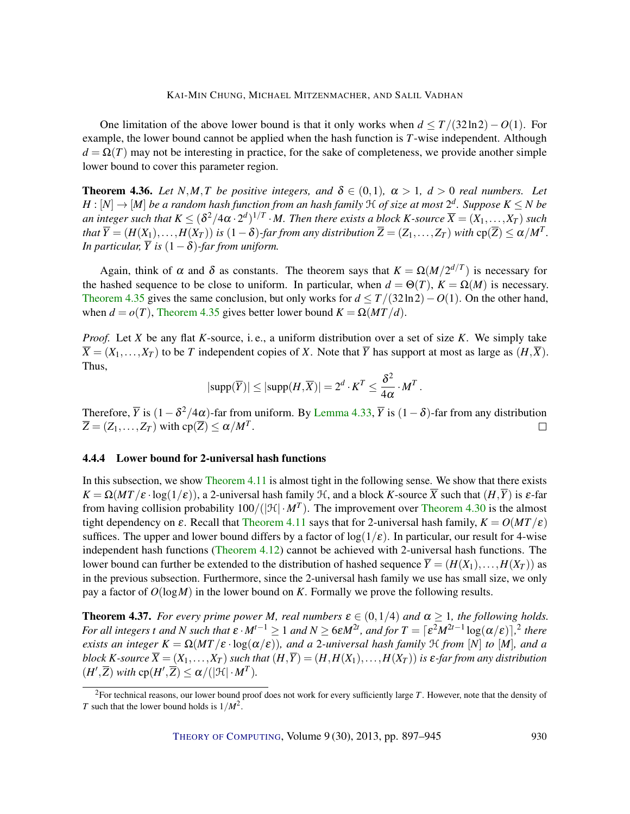One limitation of the above lower bound is that it only works when  $d \leq T/(32\ln 2) - O(1)$ . For example, the lower bound cannot be applied when the hash function is *T*-wise independent. Although  $d = \Omega(T)$  may not be interesting in practice, for the sake of completeness, we provide another simple lower bound to cover this parameter region.

**Theorem 4.36.** Let  $N, M, T$  be positive integers, and  $\delta \in (0,1)$ ,  $\alpha > 1$ ,  $d > 0$  real numbers. Let  $H:[N] \to [M]$  *be a random hash function from an hash family*  ${\mathfrak{H}}$  *<i>of size at most*  $2^d$ . Suppose  $K\leq N$  *be* an integer such that  $K\leq (\delta^2/4\alpha\cdot2^d)^{1/T}\cdot M.$  Then there exists a block  $K$ -source  $\overline{X}=(X_1,\ldots,X_T)$  such that  $\overline{Y}=(H(X_1),\ldots,H(X_T))$  is  $(1-\delta)$ -far from any distribution  $\overline{Z}=(Z_1,\ldots,Z_T)$  with  ${\rm cp}(\overline{Z})\leq \alpha/M^T$ . *In particular,*  $\overline{Y}$  *is*  $(1 - \delta)$ *-far from uniform.* 

Again, think of  $\alpha$  and  $\delta$  as constants. The theorem says that  $K = \Omega(M/2^{d/T})$  is necessary for the hashed sequence to be close to uniform. In particular, when  $d = \Theta(T)$ ,  $K = \Omega(M)$  is necessary. [Theorem](#page-32-0) [4.35](#page-32-0) gives the same conclusion, but only works for  $d \leq T/(32\ln 2)-O(1)$ . On the other hand, when  $d = o(T)$ , [Theorem](#page-32-0) [4.35](#page-32-0) gives better lower bound  $K = \Omega(MT/d)$ .

*Proof.* Let *X* be any flat *K*-source, i. e., a uniform distribution over a set of size *K*. We simply take  $\overline{X} = (X_1, \ldots, X_T)$  to be *T* independent copies of *X*. Note that  $\overline{Y}$  has support at most as large as  $(H, \overline{X})$ . Thus,

$$
|\text{supp}(\overline{Y})| \le |\text{supp}(H,\overline{X})| = 2^d \cdot K^T \le \frac{\delta^2}{4\alpha} \cdot M^T.
$$

Therefore,  $\overline{Y}$  is  $(1-\delta^2/4\alpha)$ -far from uniform. By [Lemma](#page-30-2) [4.33,](#page-30-2)  $\overline{Y}$  is  $(1-\delta)$ -far from any distribution  $\overline{Z} = (Z_1, \ldots, Z_T)$  with  $cp(\overline{Z}) \leq \alpha / M^T$ .  $\Box$ 

## 4.4.4 Lower bound for 2-universal hash functions

In this subsection, we show [Theorem](#page-15-0) [4.11](#page-15-0) is almost tight in the following sense. We show that there exists  $K = \Omega(MT/\varepsilon \cdot \log(1/\varepsilon))$ , a 2-universal hash family  $H$ , and a block *K*-source  $\overline{X}$  such that  $(H,\overline{Y})$  is  $\varepsilon$ -far from having collision probability  $100/(|\mathcal{H}| \cdot M^T)$ . The improvement over [Theorem](#page-30-1) [4.30](#page-30-1) is the almost tight dependency on  $\varepsilon$ . Recall that [Theorem](#page-15-0) [4.11](#page-15-0) says that for 2-universal hash family,  $K = O(MT/\varepsilon)$ suffices. The upper and lower bound differs by a factor of  $log(1/\epsilon)$ . In particular, our result for 4-wise independent hash functions [\(Theorem](#page-15-1) [4.12\)](#page-15-1) cannot be achieved with 2-universal hash functions. The lower bound can further be extended to the distribution of hashed sequence  $\overline{Y} = (H(X_1),...,H(X_T))$  as in the previous subsection. Furthermore, since the 2-universal hash family we use has small size, we only pay a factor of *O*(log*M*) in the lower bound on *K*. Formally we prove the following results.

<span id="page-33-0"></span>**Theorem 4.37.** *For every prime power M, real numbers*  $\varepsilon \in (0,1/4)$  *and*  $\alpha \ge 1$ *, the following holds. For all integers t and N such that*  $\varepsilon \cdot M^{t-1} \geq 1$  *and*  $N \geq 6\varepsilon M^{2t}$ *, and for*  $T = \lceil \varepsilon^2 M^{2t-1} \log(\alpha/\varepsilon) \rceil$ ,<sup>2</sup> there *exists an integer*  $K = \Omega(MT/\varepsilon \cdot \log(\alpha/\varepsilon))$ *, and a* 2*-universal hash family* H *from* [N] *to* [M]*, and a block K*-source  $\overline{X} = (X_1, \ldots, X_T)$  *such that*  $(H, \overline{Y}) = (H, H(X_1), \ldots, H(X_T))$  *is*  $\varepsilon$ -far from any distribution  $(H',\overline{Z})$  *with*  $cp(H',\overline{Z}) \leq \alpha/(|\mathcal{H}| \cdot M^T)$ *.* 

<sup>2</sup>For technical reasons, our lower bound proof does not work for every sufficiently large *T*. However, note that the density of *T* such that the lower bound holds is 1/*M*<sup>2</sup> .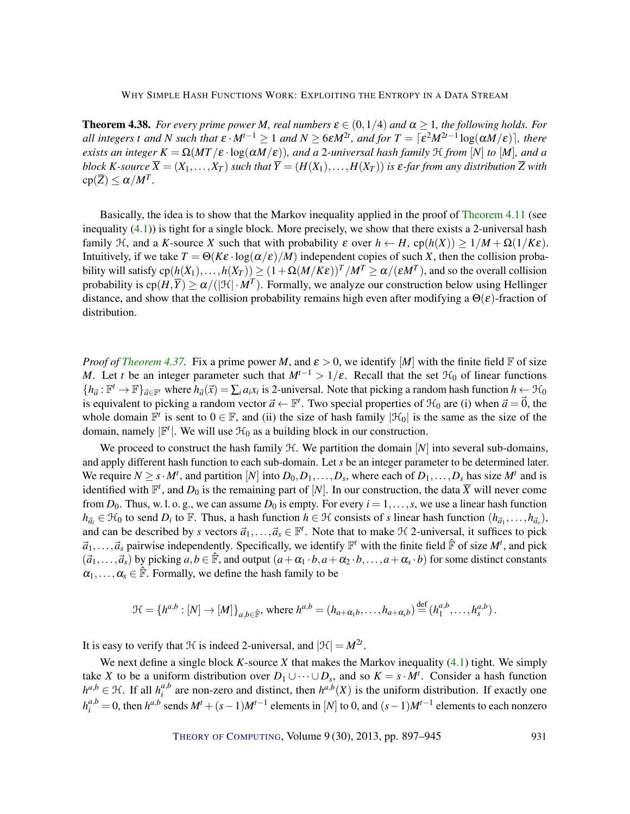<span id="page-34-0"></span>**Theorem 4.38.** *For every prime power M*, *real numbers*  $\varepsilon \in (0,1/4)$  *and*  $\alpha \ge 1$ *, the following holds. For all integers t and N such that*  $\epsilon \cdot M^{t-1} \geq 1$  *and*  $N \geq 6\epsilon M^{2t}$ *, and for*  $T = \lceil \epsilon^2 M^{2t-1} \log(\alpha M/\epsilon) \rceil$ *, there exists an integer*  $K = \Omega(MT/\varepsilon \cdot \log(\alpha M/\varepsilon))$ *, and a* 2*-universal hash family*  $H$  *from*  $[N]$  *to*  $[M]$ *, and a block K*-source  $\overline{X} = (X_1, \ldots, X_T)$  *such that*  $\overline{Y} = (H(X_1), \ldots, H(X_T))$  *is*  $\varepsilon$ -far from any distribution  $\overline{Z}$  *with*  $\text{cp}(\overline{Z}) \leq \alpha / M^T$ .

Basically, the idea is to show that the Markov inequality applied in the proof of [Theorem](#page-15-0) [4.11](#page-15-0) (see inequality [\(4.1\)](#page-16-2)) is tight for a single block. More precisely, we show that there exists a 2-universal hash family  $\mathcal{H}$ , and a *K*-source *X* such that with probability  $\varepsilon$  over  $h \leftarrow H$ , cp( $h(X) \geq 1/M + \Omega(1/K\varepsilon)$ . Intuitively, if we take  $T = \Theta(K\varepsilon \cdot \log(\alpha/\varepsilon)/M)$  independent copies of such *X*, then the collision probability will satisfy  $cp(h(X_1),...,h(X_T)) \ge (1+\Omega(M/K\epsilon))^T/M^T \ge \alpha/(\epsilon M^T)$ , and so the overall collision probability is  $\text{cp}(H,\overline{Y})\geq \alpha/(|\mathfrak{H}|\cdot M^T).$  Formally, we analyze our construction below using Hellinger distance, and show that the collision probability remains high even after modifying a  $\Theta(\varepsilon)$ -fraction of distribution.

*Proof of [Theorem](#page-33-0) [4.37.](#page-33-0)* Fix a prime power *M*, and  $\varepsilon > 0$ , we identify [*M*] with the finite field **F** of size *M*. Let *t* be an integer parameter such that  $M^{t-1} > 1/\varepsilon$ . Recall that the set  $\mathcal{H}_0$  of linear functions  ${h_{\vec{a}}:\mathbb{F}^t \to \mathbb{F}}_{\vec{a} \in \mathbb{F}^t}$  where  $h_{\vec{a}}(\vec{x}) = \sum_i a_i x_i$  is 2-universal. Note that picking a random hash function  $h \leftarrow \mathcal{H}_0$ is equivalent to picking a random vector  $\vec{a} \leftarrow \mathbb{F}^t$ . Two special properties of  $\mathcal{H}_0$  are (i) when  $\vec{a} = \vec{0}$ , the whole domain  $\mathbb{F}^t$  is sent to  $0 \in \mathbb{F}$ , and (ii) the size of hash family  $|\mathcal{H}_0|$  is the same as the size of the domain, namely  $|\mathbb{F}^t|$ . We will use  $\mathcal{H}_0$  as a building block in our construction.

We proceed to construct the hash family  $H$ . We partition the domain  $[N]$  into several sub-domains, and apply different hash function to each sub-domain. Let *s* be an integer parameter to be determined later. We require  $N \ge s \cdot M^t$ , and partition  $[N]$  into  $D_0, D_1, \ldots, D_s$ , where each of  $D_1, \ldots, D_s$  has size  $M^t$  and is identified with  $\mathbb{F}^t$ , and  $D_0$  is the remaining part of  $[N]$ . In our construction, the data  $\overline{X}$  will never come from  $D_0$ . Thus, w. l. o. g., we can assume  $D_0$  is empty. For every  $i = 1, \ldots, s$ , we use a linear hash function  $h_{\vec{a}_i} \in \mathcal{H}_0$  to send  $D_i$  to F. Thus, a hash function  $h \in \mathcal{H}$  consists of *s* linear hash function  $(h_{\vec{a}_1}, \ldots, h_{\vec{a}_s})$ , and can be described by *s* vectors  $\vec{a}_1, \ldots, \vec{a}_s \in \mathbb{F}^t$ . Note that to make  $\mathcal H$  2-universal, it suffices to pick  $\vec{a}_1,\ldots,\vec{a}_s$  pairwise independently. Specifically, we identify  $\mathbb{F}^t$  with the finite field  $\hat{\mathbb{F}}$  of size  $M^t$ , and pick  $(\vec{a}_1,\ldots,\vec{a}_s)$  by picking  $a,b \in \mathbb{F}$ , and output  $(a+\alpha_1 \cdot b, a+\alpha_2 \cdot b, \ldots, a+\alpha_s \cdot b)$  for some distinct constants  $\alpha_1, \ldots, \alpha_s \in \mathbb{F}$ . Formally, we define the hash family to be

$$
\mathcal{H} = \{h^{a,b} : [N] \to [M]\}_{a,b \in \hat{\mathbb{F}}}, \text{ where } h^{a,b} = (h_{a+\alpha_1b}, \dots, h_{a+\alpha_nb}) \stackrel{\text{def}}{=} (h^{a,b}_1, \dots, h^{a,b}_s).
$$

It is easy to verify that  $H$  is indeed 2-universal, and  $|\mathcal{H}| = M^{2t}$ .

We next define a single block *K*-source *X* that makes the Markov inequality  $(4.1)$  tight. We simply take *X* to be a uniform distribution over  $D_1 \cup \cdots \cup D_s$ , and so  $K = s \cdot M^t$ . Consider a hash function  $h^{a,b} \in H$ . If all  $h^{a,b}_i$  $a,b$  are non-zero and distinct, then  $h^{a,b}(X)$  is the uniform distribution. If exactly one  $h_i^{a,b} = 0$ , then  $h^{a,b}$  sends  $M^t + (s-1)M^{t-1}$  elements in [*N*] to 0, and  $(s-1)M^{t-1}$  elements to each nonzero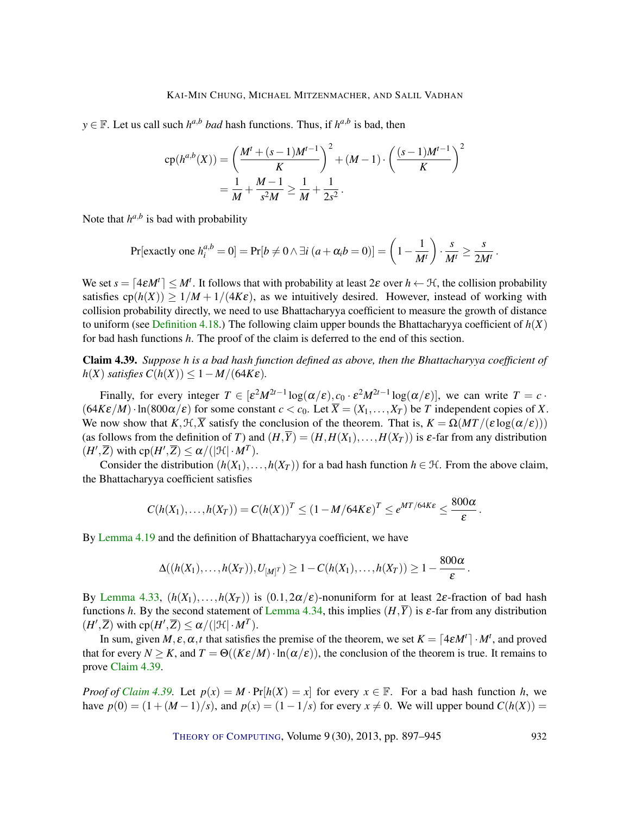*y* ∈ **F**. Let us call such *h*<sup>*a*,*b*</sup> *bad* hash functions. Thus, if *h*<sup>*a*,*b*</sup> is bad, then

$$
cp(h^{a,b}(X)) = \left(\frac{M^t + (s-1)M^{t-1}}{K}\right)^2 + (M-1) \cdot \left(\frac{(s-1)M^{t-1}}{K}\right)^2
$$

$$
= \frac{1}{M} + \frac{M-1}{s^2M} \ge \frac{1}{M} + \frac{1}{2s^2}.
$$

Note that  $h^{a,b}$  is bad with probability

$$
\Pr[\text{exactly one } h_i^{a,b} = 0] = \Pr[b \neq 0 \land \exists i \ (a + \alpha_i b = 0)] = \left(1 - \frac{1}{M^t}\right) \cdot \frac{s}{M^t} \ge \frac{s}{2M^t}
$$

We set  $s = [4\varepsilon M^t] \leq M^t$ . It follows that with probability at least  $2\varepsilon$  over  $h \leftarrow \mathcal{H}$ , the collision probability satisfies  $cp(h(X)) \ge 1/M + 1/(4K\varepsilon)$ , as we intuitively desired. However, instead of working with collision probability directly, we need to use Bhattacharyya coefficient to measure the growth of distance to uniform (see [Definition](#page-22-1) [4.18.](#page-22-1)) The following claim upper bounds the Bhattacharyya coefficient of  $h(X)$ for bad hash functions *h*. The proof of the claim is deferred to the end of this section.

<span id="page-35-0"></span>Claim 4.39. *Suppose h is a bad hash function defined as above, then the Bhattacharyya coefficient of*  $h(X)$  *satisfies*  $C(h(X)) \leq 1 - M/(64K\varepsilon)$ .

Finally, for every integer  $T \in [\varepsilon^2 M^{2t-1} \log(\alpha/\varepsilon), c_0 \cdot \varepsilon^2 M^{2t-1} \log(\alpha/\varepsilon)]$ , we can write  $T = c \cdot$  $(64K\varepsilon/M) \cdot \ln(800\alpha/\varepsilon)$  for some constant  $c < c_0$ . Let  $\overline{X} = (X_1, \ldots, X_T)$  be *T* independent copies of *X*. We now show that  $K, \mathcal{H}, \overline{X}$  satisfy the conclusion of the theorem. That is,  $K = \Omega(MT/(\varepsilon \log(\alpha/\varepsilon)))$ (as follows from the definition of *T*) and  $(H,\overline{Y}) = (H,H(X_1),\ldots,H(X_T))$  is  $\varepsilon$ -far from any distribution  $(H',\overline{Z})$  with  $cp(H',\overline{Z}) \leq \alpha/(|\mathcal{H}| \cdot M^T)$ .

Consider the distribution  $(h(X_1),...,h(X_T))$  for a bad hash function  $h \in \mathcal{H}$ . From the above claim, the Bhattacharyya coefficient satisfies

$$
C(h(X_1),...,h(X_T)) = C(h(X))^T \leq (1-M/64K\varepsilon)^T \leq e^{MT/64K\varepsilon} \leq \frac{800\alpha}{\varepsilon}.
$$

By [Lemma](#page-22-0) [4.19](#page-22-0) and the definition of Bhattacharyya coefficient, we have

$$
\Delta((h(X_1),\ldots,h(X_T)),U_{[M]^T})\geq 1-C(h(X_1),\ldots,h(X_T))\geq 1-\frac{800\alpha}{\varepsilon}.
$$

By [Lemma](#page-30-2) [4.33,](#page-30-2)  $(h(X_1),...,h(X_T))$  is  $(0.1,2\alpha/\varepsilon)$ -nonuniform for at least 2 $\varepsilon$ -fraction of bad hash functions *h*. By the second statement of [Lemma](#page-31-0) [4.34,](#page-31-0) this implies  $(H, \overline{Y})$  is  $\varepsilon$ -far from any distribution  $(H',\overline{Z})$  with  $cp(H',\overline{Z}) \leq \alpha/(|\mathcal{H}| \cdot M^T)$ .

In sum, given  $M, \varepsilon, \alpha, t$  that satisfies the premise of the theorem, we set  $K = \left[4\varepsilon M^t\right] \cdot M^t$ , and proved that for every  $N > K$ , and  $T = \Theta((K\varepsilon/M) \cdot \ln(\alpha/\varepsilon))$ , the conclusion of the theorem is true. It remains to prove [Claim](#page-35-0) [4.39.](#page-35-0)

*Proof of [Claim](#page-35-0)* [4.39.](#page-35-0) Let  $p(x) = M \cdot Pr[h(X) = x]$  for every  $x \in \mathbb{F}$ . For a bad hash function *h*, we have  $p(0) = (1 + (M-1)/s)$ , and  $p(x) = (1 - 1/s)$  for every  $x \neq 0$ . We will upper bound  $C(h(X)) =$ 

THEORY OF C[OMPUTING](http://dx.doi.org/10.4086/toc), Volume 9(30), 2013, pp. 897–945 932

.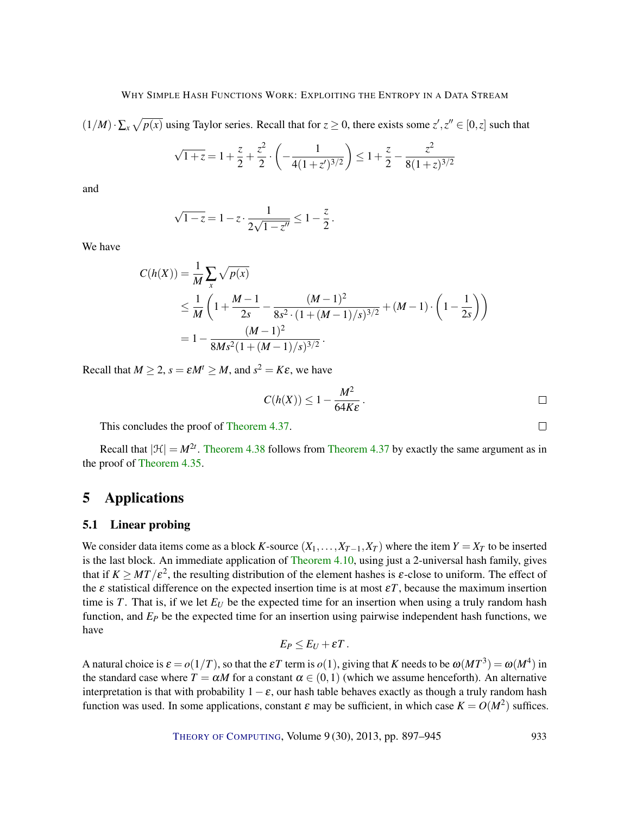$(1/M) \cdot \sum_x \sqrt{p(x)}$  using Taylor series. Recall that for  $z \ge 0$ , there exists some  $z', z'' \in [0, z]$  such that

$$
\sqrt{1+z} = 1 + \frac{z}{2} + \frac{z^2}{2} \cdot \left( -\frac{1}{4(1+z')^{3/2}} \right) \le 1 + \frac{z}{2} - \frac{z^2}{8(1+z)^{3/2}}
$$

and

$$
\sqrt{1-z} = 1 - z \cdot \frac{1}{2\sqrt{1-z''}} \le 1 - \frac{z}{2}.
$$

We have

$$
C(h(X)) = \frac{1}{M} \sum_{x} \sqrt{p(x)}
$$
  
\n
$$
\leq \frac{1}{M} \left( 1 + \frac{M-1}{2s} - \frac{(M-1)^2}{8s^2 \cdot (1 + (M-1)/s)^{3/2}} + (M-1) \cdot \left( 1 - \frac{1}{2s} \right) \right)
$$
  
\n
$$
= 1 - \frac{(M-1)^2}{8Ms^2(1 + (M-1)/s)^{3/2}}.
$$

Recall that  $M \ge 2$ ,  $s = \varepsilon M^t \ge M$ , and  $s^2 = K\varepsilon$ , we have

$$
C(h(X)) \leq 1 - \frac{M^2}{64K\varepsilon}.
$$

This concludes the proof of [Theorem](#page-33-0) [4.37.](#page-33-0)

Recall that  $|\mathcal{H}| = M^{2t}$ . [Theorem](#page-33-0) [4.38](#page-34-0) follows from Theorem [4.37](#page-33-0) by exactly the same argument as in the proof of [Theorem](#page-32-0) [4.35.](#page-32-0)

# <span id="page-36-0"></span>5 Applications

## 5.1 Linear probing

We consider data items come as a block *K*-source  $(X_1, \ldots, X_{T-1}, X_T)$  where the item  $Y = X_T$  to be inserted is the last block. An immediate application of [Theorem](#page-15-2) [4.10,](#page-15-2) using just a 2-universal hash family, gives that if  $K \geq MT/\varepsilon^2$ , the resulting distribution of the element hashes is  $\varepsilon$ -close to uniform. The effect of the ε statistical difference on the expected insertion time is at most ε*T*, because the maximum insertion time is *T*. That is, if we let  $E_U$  be the expected time for an insertion when using a truly random hash function, and *E<sup>P</sup>* be the expected time for an insertion using pairwise independent hash functions, we have

$$
E_P\leq E_U+\varepsilon T.
$$

A natural choice is  $\varepsilon = o(1/T)$ , so that the  $\varepsilon T$  term is  $o(1)$ , giving that *K* needs to be  $\omega(MT^3) = \omega(M^4)$  in the standard case where  $T = \alpha M$  for a constant  $\alpha \in (0,1)$  (which we assume henceforth). An alternative interpretation is that with probability  $1-\varepsilon$ , our hash table behaves exactly as though a truly random hash function was used. In some applications, constant  $\varepsilon$  may be sufficient, in which case  $K = O(M^2)$  suffices.

THEORY OF C[OMPUTING](http://dx.doi.org/10.4086/toc), Volume 9 (30), 2013, pp. 897-945 933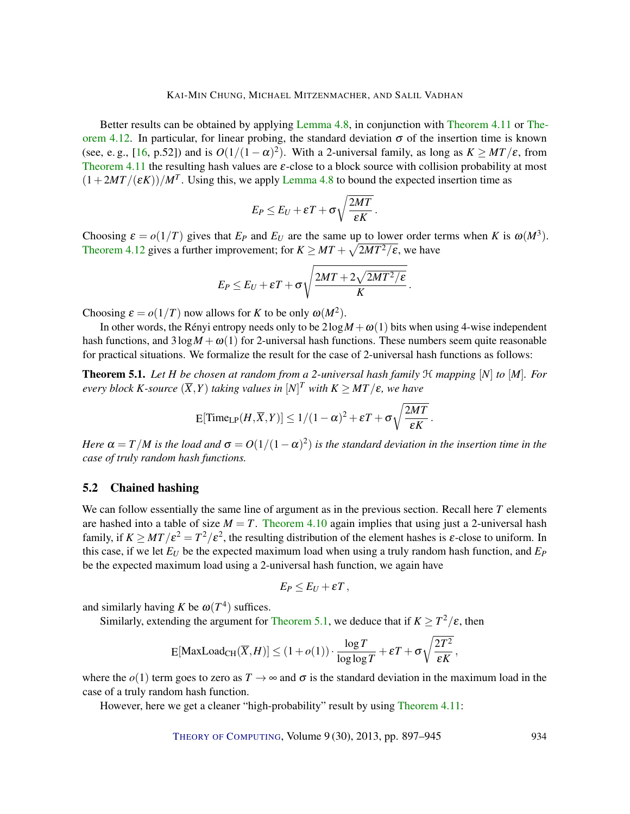<span id="page-37-1"></span>Better results can be obtained by applying [Lemma](#page-13-1) [4.8,](#page-13-1) in conjunction with [Theorem](#page-15-0) [4.11](#page-15-0) or [The](#page-15-1)[orem](#page-15-1) [4.12.](#page-15-1) In particular, for linear probing, the standard deviation  $\sigma$  of the insertion time is known (see, e. g., [\[16,](#page-44-11) p.52]) and is  $O(1/(1-\alpha)^2)$ . With a 2-universal family, as long as  $K \geq MT/\varepsilon$ , from [Theorem](#page-15-0) [4.11](#page-15-0) the resulting hash values are  $\varepsilon$ -close to a block source with collision probability at most  $(1+2MT/(\varepsilon K))/M^T$ . Using this, we apply [Lemma](#page-13-1) [4.8](#page-13-1) to bound the expected insertion time as

$$
E_P \le E_U + \varepsilon T + \sigma \sqrt{\frac{2MT}{\varepsilon K}}.
$$

Choosing  $\varepsilon = o(1/T)$  gives that  $E_P$  and  $E_U$  are the same up to lower order terms when *K* is  $\omega(M^3)$ . [Theorem](#page-15-1) [4.12](#page-15-1) gives a further improvement; for  $K \geq MT + \sqrt{2MT^2/\varepsilon}$ , we have

$$
E_P \leq E_U + \varepsilon T + \sigma \sqrt{\frac{2MT + 2\sqrt{2MT^2/\varepsilon}}{K}}\,.
$$

Choosing  $\varepsilon = o(1/T)$  now allows for *K* to be only  $\omega(M^2)$ .

In other words, the Rényi entropy needs only to be  $2\log M + \omega(1)$  bits when using 4-wise independent hash functions, and  $3\log M + \omega(1)$  for 2-universal hash functions. These numbers seem quite reasonable for practical situations. We formalize the result for the case of 2-universal hash functions as follows:

<span id="page-37-0"></span>**Theorem 5.1.** Let *H* be chosen at random from a 2-universal hash family  $\mathcal{H}$  mapping  $[N]$  to  $[M]$ *. For*  $e$ *very block K-source*  $(\overline{X}, Y)$  *taking values in*  $[N]^T$  *with*  $K \geq MT/\varepsilon$ , we have

$$
\mathrm{E}[\mathrm{Time}_{\mathrm{LP}}(H,\overline{X},Y)] \leq 1/(1-\alpha)^2 + \varepsilon T + \sigma \sqrt{\frac{2MT}{\varepsilon K}}.
$$

*Here*  $\alpha = T/M$  is the load and  $\sigma = O(1/(1-\alpha)^2)$  is the standard deviation in the insertion time in the *case of truly random hash functions.*

# 5.2 Chained hashing

We can follow essentially the same line of argument as in the previous section. Recall here *T* elements are hashed into a table of size  $M = T$ . [Theorem](#page-15-2) [4.10](#page-15-2) again implies that using just a 2-universal hash family, if  $K \geq MT/\varepsilon^2 = T^2/\varepsilon^2$ , the resulting distribution of the element hashes is  $\varepsilon$ -close to uniform. In this case, if we let  $E_U$  be the expected maximum load when using a truly random hash function, and  $E_P$ be the expected maximum load using a 2-universal hash function, we again have

$$
E_P\leq E_U+\varepsilon T\,,
$$

and similarly having *K* be  $\omega(T^4)$  suffices.

Similarly, extending the argument for [Theorem](#page-37-0) [5.1,](#page-37-0) we deduce that if  $K \geq T^2/\varepsilon$ , then

$$
\mathrm{E}[\mathrm{MaxLoad}_{\mathrm{CH}}(\overline{X},H)] \leq (1+o(1)) \cdot \frac{\log T}{\log \log T} + \varepsilon T + \sigma \sqrt{\frac{2T^2}{\varepsilon K}},
$$

where the  $o(1)$  term goes to zero as  $T \to \infty$  and  $\sigma$  is the standard deviation in the maximum load in the case of a truly random hash function.

However, here we get a cleaner "high-probability" result by using [Theorem](#page-15-0) [4.11:](#page-15-0)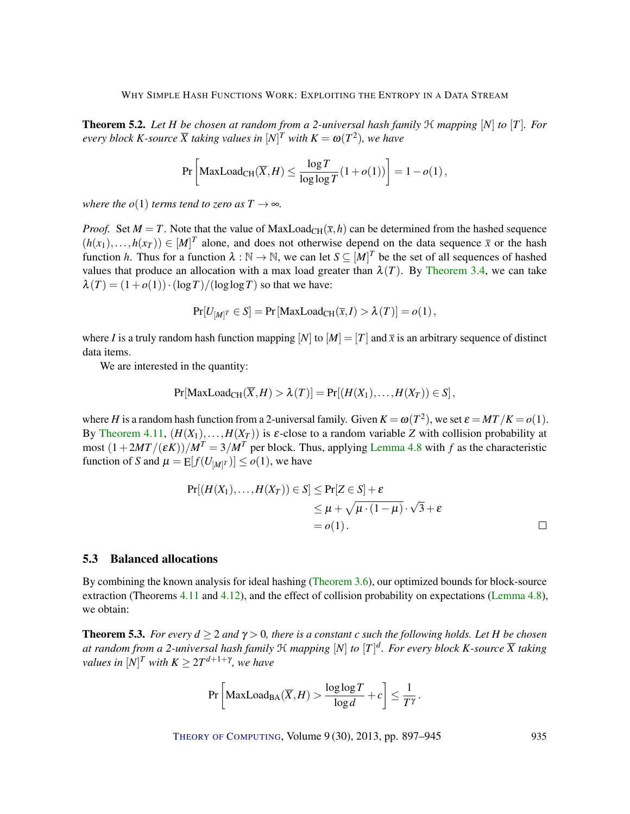**Theorem 5.2.** Let *H* be chosen at random from a 2-universal hash family  $H$  mapping  $[N]$  to  $[T]$ *. For*  $e$ *very block K-source*  $\overline{X}$  taking values in  $[N]^T$  with  $K = \omega(T^2)$ , we have

$$
\Pr\left[\text{MaxLoad}_{\text{CH}}(\overline{X},H) \le \frac{\log T}{\log \log T}(1+o(1))\right] = 1-o(1),
$$

*where the o*(1) *terms tend to zero as*  $T \rightarrow \infty$ *.* 

*Proof.* Set  $M = T$ . Note that the value of MaxLoad<sub>CH</sub>( $\bar{x}$ ,*h*) can be determined from the hashed sequence  $(h(x_1),...,h(x_T)) \in [M]^T$  alone, and does not otherwise depend on the data sequence  $\bar{x}$  or the hash function *h*. Thus for a function  $\lambda : \mathbb{N} \to \mathbb{N}$ , we can let  $S \subseteq [M]^T$  be the set of all sequences of hashed values that produce an allocation with a max load greater than  $\lambda(T)$ . By [Theorem](#page-6-0) [3.4,](#page-6-0) we can take  $\lambda(T) = (1 + o(1)) \cdot (\log T) / (\log \log T)$  so that we have:

$$
Pr[U_{[M]^T} \in S] = Pr[MaxLoad_{CH}(\overline{x}, I) > \lambda(T)] = o(1),
$$

where *I* is a truly random hash function mapping  $[N]$  to  $[M] = [T]$  and  $\bar{x}$  is an arbitrary sequence of distinct data items.

We are interested in the quantity:

$$
Pr[\text{MaxLoad}_{CH}(\overline{X}, H) > \lambda(T)] = Pr[(H(X_1),...,H(X_T)) \in S],
$$

where *H* is a random hash function from a 2-universal family. Given  $K = \omega(T^2)$ , we set  $\varepsilon = MT/K = o(1)$ . By [Theorem](#page-15-0) [4.11,](#page-15-0)  $(H(X_1),...,H(X_T))$  is  $\varepsilon$ -close to a random variable *Z* with collision probability at most  $(1+2MT/(\varepsilon K))/M^T = 3/M^T$  per block. Thus, applying [Lemma](#page-13-1) [4.8](#page-13-1) with f as the characteristic function of *S* and  $\mu = \mathop{\mathrm{E}}[f(U_{[M]^T})] \leq o(1)$ , we have

$$
Pr[(H(X_1),...,H(X_T)) \in S] \le Pr[Z \in S] + \varepsilon
$$
  
\n
$$
\leq \mu + \sqrt{\mu \cdot (1 - \mu)} \cdot \sqrt{3} + \varepsilon
$$
  
\n
$$
= o(1).
$$

# 5.3 Balanced allocations

By combining the known analysis for ideal hashing [\(Theorem](#page-7-0) [3.6\)](#page-7-0), our optimized bounds for block-source extraction (Theorems [4.11](#page-15-0) and [4.12\)](#page-15-1), and the effect of collision probability on expectations [\(Lemma](#page-13-1) [4.8\)](#page-13-1), we obtain:

<span id="page-38-0"></span>**Theorem 5.3.** *For every*  $d \ge 2$  *and*  $\gamma > 0$ *, there is a constant c such the following holds. Let H be chosen at random from a 2-universal hash family* H *mapping* [*N*] *to* [*T*] *d . For every block K-source X taking values in*  $[N]^T$  *with*  $K \geq 2T^{d+1+\gamma}$ *, we have* 

$$
\Pr\left[\text{MaxLoad}_{\text{BA}}(\overline{X},H) > \frac{\log\log T}{\log d} + c\right] \le \frac{1}{T^{\gamma}}.
$$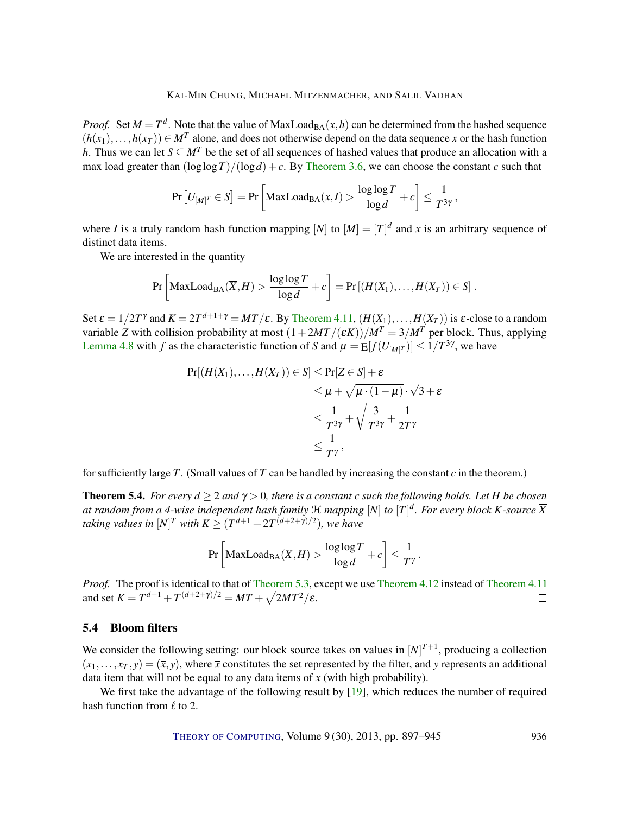<span id="page-39-0"></span>*Proof.* Set  $M = T^d$ . Note that the value of MaxLoad<sub>BA</sub> $(\bar{x}, h)$  can be determined from the hashed sequence  $(h(x_1),...,h(x_T)) \in M^T$  alone, and does not otherwise depend on the data sequence  $\bar{x}$  or the hash function *h*. Thus we can let  $S \subseteq M^T$  be the set of all sequences of hashed values that produce an allocation with a max load greater than  $(\log \log T)/(\log d) + c$ . By [Theorem](#page-7-0) [3.6,](#page-7-0) we can choose the constant *c* such that

$$
\Pr\left[U_{[M]^T} \in S\right] = \Pr\left[\text{MaxLoad}_{BA}(\overline{x}, I) > \frac{\log \log T}{\log d} + c\right] \le \frac{1}{T^{3\gamma}},
$$

where *I* is a truly random hash function mapping  $[N]$  to  $[M] = [T]^d$  and  $\bar{x}$  is an arbitrary sequence of distinct data items.

We are interested in the quantity

$$
\Pr\left[\text{MaxLoad}_{BA}(\overline{X},H) > \frac{\log \log T}{\log d} + c\right] = \Pr\left[\left(H(X_1),\ldots,H(X_T)\right) \in S\right].
$$

Set  $\varepsilon = 1/2T^{\gamma}$  and  $K = 2T^{d+1+\gamma} = MT/\varepsilon$ . By [Theorem](#page-15-0) [4.11,](#page-15-0)  $(H(X_1),...,H(X_T))$  is  $\varepsilon$ -close to a random variable *Z* with collision probability at most  $(1+2MT/(\varepsilon K))/M^T = 3/M^T$  per block. Thus, applying [Lemma](#page-13-1) [4.8](#page-13-1) with *f* as the characteristic function of *S* and  $\mu = E[f(U_{M}|^T)] \leq 1/T^{3\gamma}$ , we have

$$
\Pr[(H(X_1), \dots, H(X_T)) \in S] \le \Pr[Z \in S] + \varepsilon
$$
  
\n
$$
\le \mu + \sqrt{\mu \cdot (1 - \mu)} \cdot \sqrt{3} + \varepsilon
$$
  
\n
$$
\le \frac{1}{T^{3\gamma}} + \sqrt{\frac{3}{T^{3\gamma}}} + \frac{1}{2T^{\gamma}}
$$
  
\n
$$
\le \frac{1}{T^{\gamma}},
$$

for sufficiently large *T*. (Small values of *T* can be handled by increasing the constant *c* in the theorem.)  $\Box$ 

**Theorem 5.4.** *For every*  $d \geq 2$  *and*  $\gamma > 0$ *, there is a constant c such the following holds. Let H be chosen at random from a 4-wise independent hash family* H *mapping* [*N*] *to* [*T*] *d . For every block K-source X taking values in*  $[N]^T$  *with*  $K \geq (T^{d+1} + 2T^{(d+2+\gamma)/2})$ *, we have* 

$$
\Pr\left[\text{MaxLoad}_{\text{BA}}(\overline{X},H) > \frac{\log\log T}{\log d} + c\right] \le \frac{1}{T^{\gamma}}.
$$

*Proof.* The proof is identical to that of [Theorem](#page-15-0) [5.3,](#page-38-0) except we use Theorem [4.12](#page-15-1) instead of Theorem [4.11](#page-15-0) and set  $K = T^{d+1} + T^{(d+2+\gamma)/2} = MT + \sqrt{2MT^2/\varepsilon}.$  $\Box$ 

# 5.4 Bloom filters

We consider the following setting: our block source takes on values in  $[N]^{T+1}$ , producing a collection  $(x_1,...,x_T, y) = (\bar{x}, y)$ , where  $\bar{x}$  constitutes the set represented by the filter, and *y* represents an additional data item that will not be equal to any data items of  $\bar{x}$  (with high probability).

We first take the advantage of the following result by [\[19\]](#page-44-12), which reduces the number of required hash function from  $\ell$  to 2.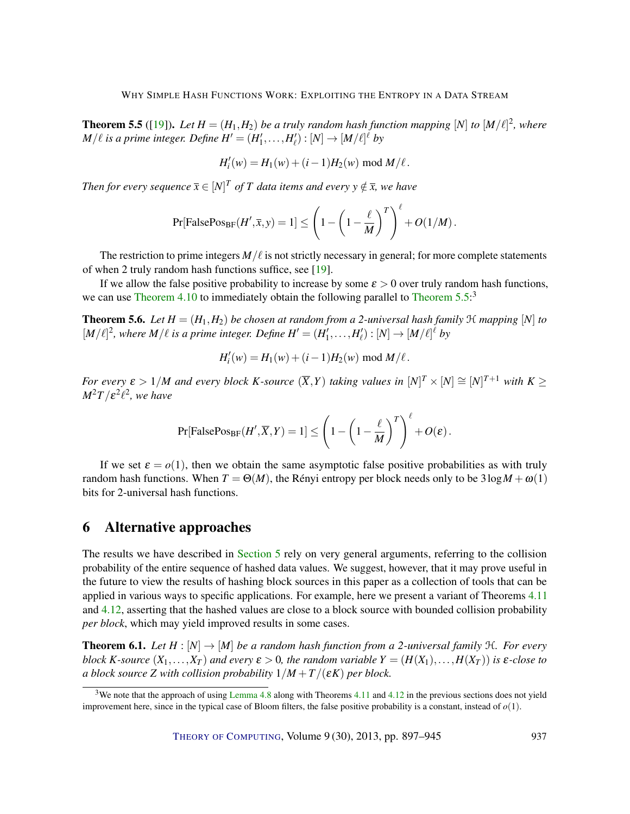<span id="page-40-2"></span><span id="page-40-0"></span>**Theorem 5.5** ([\[19\]](#page-44-12)). Let  $H = (H_1, H_2)$  be a truly random hash function mapping  $[N]$  to  $[M/\ell]^2$ , where  $M/\ell$  is a prime integer. Define  $H' = (H'_1, \ldots, H'_\ell) : [N] \to [M/\ell]^{\ell}$  by

$$
H'_{i}(w) = H_{1}(w) + (i - 1)H_{2}(w) \bmod M/\ell.
$$

*Then for every sequence*  $\bar{x} \in [N]^T$  *of* T data items and every  $y \notin \bar{x}$ , we have

$$
\Pr[\mathsf{FalsePos}_{\mathsf{BF}}(H', \overline{x}, y) = 1] \le \left(1 - \left(1 - \frac{\ell}{M}\right)^T\right)^{\ell} + O(1/M).
$$

The restriction to prime integers  $M/\ell$  is not strictly necessary in general; for more complete statements of when 2 truly random hash functions suffice, see [\[19\]](#page-44-12).

If we allow the false positive probability to increase by some  $\varepsilon > 0$  over truly random hash functions, we can use [Theorem](#page-40-0) [4.10](#page-15-2) to immediately obtain the following parallel to Theorem  $5.5$ <sup>3</sup>

**Theorem 5.6.** *Let*  $H = (H_1, H_2)$  *be chosen at random from a 2-universal hash family*  $H$  *mapping*  $[N]$  *to*  $[M/\ell]^2$ , where  $M/\ell$  is a prime integer. Define  $H' = (H'_1, \ldots, H'_\ell) : [N] \to [M/\ell]^{\ell}$  by

$$
H'_{i}(w) = H_{1}(w) + (i - 1)H_{2}(w) \bmod M/\ell.
$$

*For every*  $\varepsilon > 1/M$  *and every block K-source*  $(\overline{X}, Y)$  *taking values in*  $[N]^T \times [N] \cong [N]^{T+1}$  *with*  $K \geq$  $M^2T/\varepsilon^2\ell^2$ , we have

$$
\Pr[\text{FalsePos}_{\text{BF}}(H', \overline{X}, Y) = 1] \leq \left(1 - \left(1 - \frac{\ell}{M}\right)^T\right)^{\ell} + O(\varepsilon).
$$

If we set  $\varepsilon = o(1)$ , then we obtain the same asymptotic false positive probabilities as with truly random hash functions. When  $T = \Theta(M)$ , the Rényi entropy per block needs only to be  $3\log M + \omega(1)$ bits for 2-universal hash functions.

# 6 Alternative approaches

The results we have described in [Section](#page-36-0) [5](#page-36-0) rely on very general arguments, referring to the collision probability of the entire sequence of hashed data values. We suggest, however, that it may prove useful in the future to view the results of hashing block sources in this paper as a collection of tools that can be applied in various ways to specific applications. For example, here we present a variant of Theorems [4.11](#page-15-0) and [4.12,](#page-15-1) asserting that the hashed values are close to a block source with bounded collision probability *per block*, which may yield improved results in some cases.

<span id="page-40-1"></span>**Theorem 6.1.** Let  $H : [N] \to [M]$  be a random hash function from a 2-universal family  $H$ . For every *block K*-source  $(X_1, \ldots, X_T)$  and every  $\varepsilon > 0$ , the random variable  $Y = (H(X_1), \ldots, H(X_T))$  is  $\varepsilon$ -close to *a block source* Z with collision probability  $1/M + T/(\varepsilon K)$  per block.

<sup>&</sup>lt;sup>3</sup>We note that the approach of using [Lemma](#page-13-1) [4.8](#page-13-1) along with Theorems [4.11](#page-15-0) and [4.12](#page-15-1) in the previous sections does not yield improvement here, since in the typical case of Bloom filters, the false positive probability is a constant, instead of *o*(1).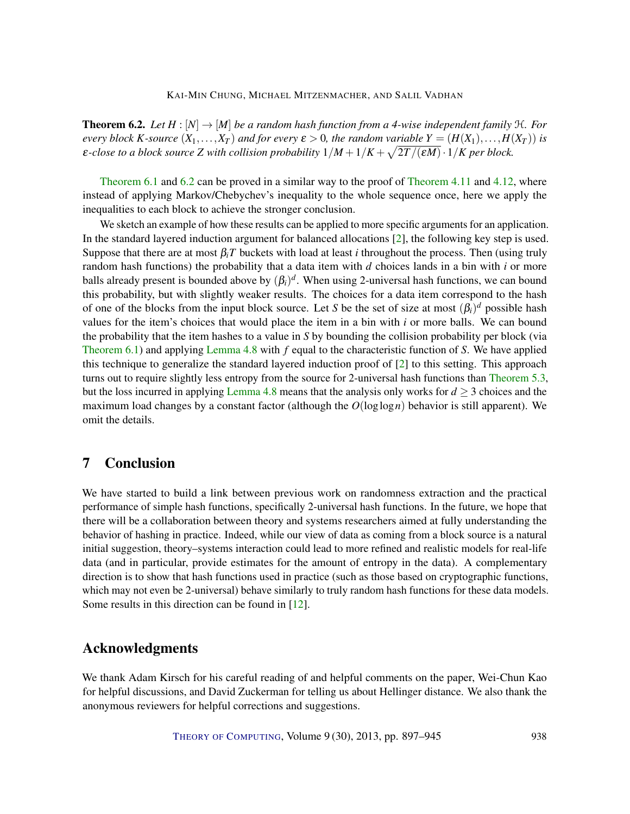<span id="page-41-1"></span><span id="page-41-0"></span>**Theorem 6.2.** Let  $H : [N] \to [M]$  be a random hash function from a 4-wise independent family  $H$ . For *every block K*-source  $(X_1, \ldots, X_T)$  and for every  $\varepsilon > 0$ , the random variable  $Y = (H(X_1), \ldots, H(X_T))$  is  $\varepsilon$ -close to a block source Z with collision probability  $1/M+1/K+\sqrt{2T/(\varepsilon M)}\cdot 1/K$  per block.

[Theorem](#page-15-0) [6.1](#page-40-1) and [6.2](#page-41-0) can be proved in a similar way to the proof of Theorem [4.11](#page-15-0) and [4.12,](#page-15-1) where instead of applying Markov/Chebychev's inequality to the whole sequence once, here we apply the inequalities to each block to achieve the stronger conclusion.

We sketch an example of how these results can be applied to more specific arguments for an application. In the standard layered induction argument for balanced allocations [\[2\]](#page-43-9), the following key step is used. Suppose that there are at most  $\beta_i T$  buckets with load at least *i* throughout the process. Then (using truly random hash functions) the probability that a data item with *d* choices lands in a bin with *i* or more balls already present is bounded above by  $(\beta_i)^d$ . When using 2-universal hash functions, we can bound this probability, but with slightly weaker results. The choices for a data item correspond to the hash of one of the blocks from the input block source. Let *S* be the set of size at most  $(\beta_i)^d$  possible hash values for the item's choices that would place the item in a bin with *i* or more balls. We can bound the probability that the item hashes to a value in *S* by bounding the collision probability per block (via [Theorem](#page-40-1) [6.1\)](#page-40-1) and applying [Lemma](#page-13-1) [4.8](#page-13-1) with *f* equal to the characteristic function of *S*. We have applied this technique to generalize the standard layered induction proof of [\[2\]](#page-43-9) to this setting. This approach turns out to require slightly less entropy from the source for 2-universal hash functions than [Theorem](#page-38-0) [5.3,](#page-38-0) but the loss incurred in applying [Lemma](#page-13-1) [4.8](#page-13-1) means that the analysis only works for  $d \geq 3$  choices and the maximum load changes by a constant factor (although the  $O(log \log n)$  behavior is still apparent). We omit the details.

# 7 Conclusion

We have started to build a link between previous work on randomness extraction and the practical performance of simple hash functions, specifically 2-universal hash functions. In the future, we hope that there will be a collaboration between theory and systems researchers aimed at fully understanding the behavior of hashing in practice. Indeed, while our view of data as coming from a block source is a natural initial suggestion, theory–systems interaction could lead to more refined and realistic models for real-life data (and in particular, provide estimates for the amount of entropy in the data). A complementary direction is to show that hash functions used in practice (such as those based on cryptographic functions, which may not even be 2-universal) behave similarly to truly random hash functions for these data models. Some results in this direction can be found in [\[12\]](#page-43-11).

# Acknowledgments

We thank Adam Kirsch for his careful reading of and helpful comments on the paper, Wei-Chun Kao for helpful discussions, and David Zuckerman for telling us about Hellinger distance. We also thank the anonymous reviewers for helpful corrections and suggestions.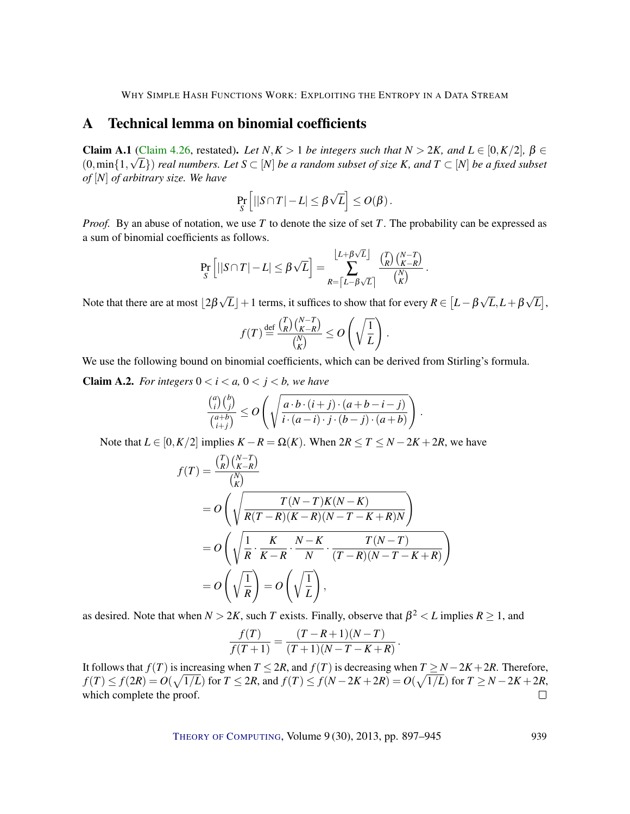# <span id="page-42-0"></span>A Technical lemma on binomial coefficients

**Claim A.1** [\(Claim](#page-27-1) [4.26,](#page-27-1) restated). Let  $N, K > 1$  be integers such that  $N > 2K$ , and  $L \in [0, K/2]$ ,  $\beta \in \mathbb{R}$  $(0, \min\{1, \sqrt{L}\})$  *real numbers. Let*  $S \subset [N]$  *be a random subset of size K, and*  $T \subset [N]$  *be a fixed subset of* [*N*] *of arbitrary size. We have*

$$
\Pr_{S}\left[||S\cap T|-L|\leq \beta\sqrt{L}\right]\leq O(\beta).
$$

*Proof.* By an abuse of notation, we use *T* to denote the size of set *T*. The probability can be expressed as a sum of binomial coefficients as follows.

$$
\Pr_S\left[||S\cap T|-L|\leq \beta\sqrt{L}\right]=\sum_{R=\left\lceil L-\beta\sqrt{L}\right\rceil}^{\left\lfloor L+\beta\sqrt{L}\right\rfloor}\frac{\binom{T}{R}\binom{N-T}{K-R}}{\binom{N}{K}}.
$$

Note that there are at most  $\lfloor 2\beta \rfloor$ √  $\overline{L}\rfloor+1$  terms, it suffices to show that for every  $R\in\left[L-\beta\right]$ √ *L*,*L*+β √  $\overline{L}|,$ 

$$
f(T) \stackrel{\text{def}}{=} \frac{\binom{T}{R} \binom{N-T}{K-R}}{\binom{N}{K}} \le O\left(\sqrt{\frac{1}{L}}\right).
$$

We use the following bound on binomial coefficients, which can be derived from Stirling's formula.

**Claim A.2.** *For integers*  $0 < i < a$ ,  $0 < j < b$ *, we have* 

$$
\frac{\binom{a}{i}\binom{b}{j}}{\binom{a+b}{i+j}} \le O\left(\sqrt{\frac{a \cdot b \cdot (i+j) \cdot (a+b-i-j)}{i \cdot (a-i) \cdot j \cdot (b-j) \cdot (a+b)}}\right)
$$

.

Note that  $L \in [0, K/2]$  implies  $K - R = \Omega(K)$ . When  $2R \le T \le N - 2K + 2R$ , we have

$$
f(T) = \frac{\binom{T}{R}\binom{N-T}{K-R}}{\binom{N}{K}}
$$
  
= 
$$
O\left(\sqrt{\frac{T(N-T)K(N-K)}{R(T-R)(K-R)(N-T-K+R)N}}\right)
$$
  
= 
$$
O\left(\sqrt{\frac{1}{R} \cdot \frac{K}{K-R} \cdot \frac{N-K}{N} \cdot \frac{T(N-T)}{(T-R)(N-T-K+R)}}\right)
$$
  
= 
$$
O\left(\sqrt{\frac{1}{R}}\right) = O\left(\sqrt{\frac{1}{L}}\right),
$$

as desired. Note that when  $N > 2K$ , such *T* exists. Finally, observe that  $\beta^2 < L$  implies  $R \ge 1$ , and

$$
\frac{f(T)}{f(T+1)} = \frac{(T-R+1)(N-T)}{(T+1)(N-T-K+R)}.
$$

It follows that *f*(*T*) is increasing when *T* ≤ 2*R*, and *f*(*T*) is decreasing when *T* ≥ *N* − 2*K* + 2*R*. Therefore,  $f(T) \le f(2R) = O(\sqrt{1/L})$  for  $T \le 2R$ , and  $f(T) \le f(N - 2K + 2R) = O(\sqrt{1/L})$  for  $T \ge N - 2K + 2R$ , which complete the proof.  $\Box$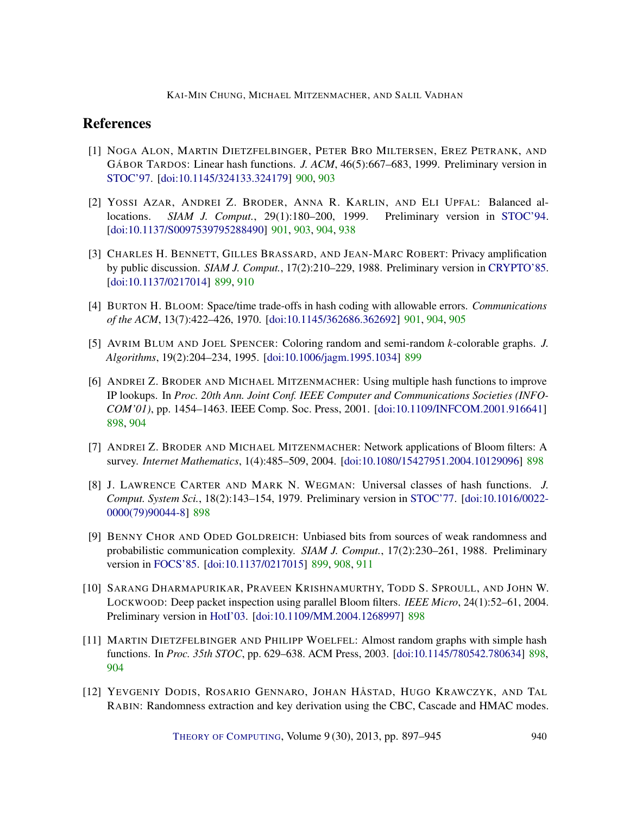# References

- <span id="page-43-8"></span>[1] NOGA ALON, MARTIN DIETZFELBINGER, PETER BRO MILTERSEN, EREZ PETRANK, AND GÁBOR TARDOS: Linear hash functions. *J. ACM*, 46(5):667–683, 1999. Preliminary version in [STOC'97.](http://dx.doi.org/10.1145/258533.258639) [\[doi:10.1145/324133.324179\]](http://dx.doi.org/10.1145/324133.324179) [900,](#page-3-0) [903](#page-6-1)
- <span id="page-43-9"></span>[2] YOSSI AZAR, ANDREI Z. BRODER, ANNA R. KARLIN, AND ELI UPFAL: Balanced allocations. *SIAM J. Comput.*, 29(1):180–200, 1999. Preliminary version in [STOC'94.](http://dx.doi.org/10.1145/195058.195412) [\[doi:10.1137/S0097539795288490\]](http://dx.doi.org/10.1137/S0097539795288490) [901,](#page-4-1) [903,](#page-6-1) [904,](#page-7-1) [938](#page-41-1)
- <span id="page-43-7"></span>[3] CHARLES H. BENNETT, GILLES BRASSARD, AND JEAN-MARC ROBERT: Privacy amplification by public discussion. *SIAM J. Comput.*, 17(2):210–229, 1988. Preliminary version in [CRYPTO'85.](http://dx.doi.org/10.1007/3-540-39799-X_37) [\[doi:10.1137/0217014\]](http://dx.doi.org/10.1137/0217014) [899,](#page-2-0) [910](#page-13-3)
- <span id="page-43-10"></span>[4] BURTON H. BLOOM: Space/time trade-offs in hash coding with allowable errors. *Communications of the ACM*, 13(7):422–426, 1970. [\[doi:10.1145/362686.362692\]](http://dx.doi.org/10.1145/362686.362692) [901,](#page-4-1) [904,](#page-7-1) [905](#page-8-1)
- <span id="page-43-6"></span>[5] AVRIM BLUM AND JOEL SPENCER: Coloring random and semi-random *k*-colorable graphs. *J. Algorithms*, 19(2):204–234, 1995. [\[doi:10.1006/jagm.1995.1034\]](http://dx.doi.org/10.1006/jagm.1995.1034) [899](#page-2-0)
- <span id="page-43-3"></span>[6] ANDREI Z. BRODER AND MICHAEL MITZENMACHER: Using multiple hash functions to improve IP lookups. In *Proc. 20th Ann. Joint Conf. IEEE Computer and Communications Societies (INFO-COM'01)*, pp. 1454–1463. IEEE Comp. Soc. Press, 2001. [\[doi:10.1109/INFCOM.2001.916641\]](http://dx.doi.org/10.1109/INFCOM.2001.916641) [898,](#page-1-0) [904](#page-7-1)
- <span id="page-43-0"></span>[7] ANDREI Z. BRODER AND MICHAEL MITZENMACHER: Network applications of Bloom filters: A survey. *Internet Mathematics*, 1(4):485–509, 2004. [\[doi:10.1080/15427951.2004.10129096\]](http://dx.doi.org/10.1080/15427951.2004.10129096) [898](#page-1-0)
- <span id="page-43-1"></span>[8] J. LAWRENCE CARTER AND MARK N. WEGMAN: Universal classes of hash functions. *J. Comput. System Sci.*, 18(2):143–154, 1979. Preliminary version in [STOC'77.](http://dx.doi.org/10.1145/800105.803400) [\[doi:10.1016/0022-](http://dx.doi.org/10.1016/0022-0000(79)90044-8) [0000\(79\)90044-8\]](http://dx.doi.org/10.1016/0022-0000(79)90044-8) [898](#page-1-0)
- <span id="page-43-5"></span>[9] BENNY CHOR AND ODED GOLDREICH: Unbiased bits from sources of weak randomness and probabilistic communication complexity. *SIAM J. Comput.*, 17(2):230–261, 1988. Preliminary version in [FOCS'85.](http://dx.doi.org/10.1109/SFCS.1985.62) [\[doi:10.1137/0217015\]](http://dx.doi.org/10.1137/0217015) [899,](#page-2-0) [908,](#page-11-2) [911](#page-14-2)
- <span id="page-43-4"></span>[10] SARANG DHARMAPURIKAR, PRAVEEN KRISHNAMURTHY, TODD S. SPROULL, AND JOHN W. LOCKWOOD: Deep packet inspection using parallel Bloom filters. *IEEE Micro*, 24(1):52–61, 2004. Preliminary version in [HotI'03.](http://dx.doi.org/10.1109/CONECT.2003.1231477) [\[doi:10.1109/MM.2004.1268997\]](http://dx.doi.org/10.1109/MM.2004.1268997) [898](#page-1-0)
- <span id="page-43-2"></span>[11] MARTIN DIETZFELBINGER AND PHILIPP WOELFEL: Almost random graphs with simple hash functions. In *Proc. 35th STOC*, pp. 629–638. ACM Press, 2003. [\[doi:10.1145/780542.780634\]](http://dx.doi.org/10.1145/780542.780634) [898,](#page-1-0) [904](#page-7-1)
- <span id="page-43-11"></span>[12] YEVGENIY DODIS, ROSARIO GENNARO, JOHAN HÅSTAD, HUGO KRAWCZYK, AND TAL RABIN: Randomness extraction and key derivation using the CBC, Cascade and HMAC modes.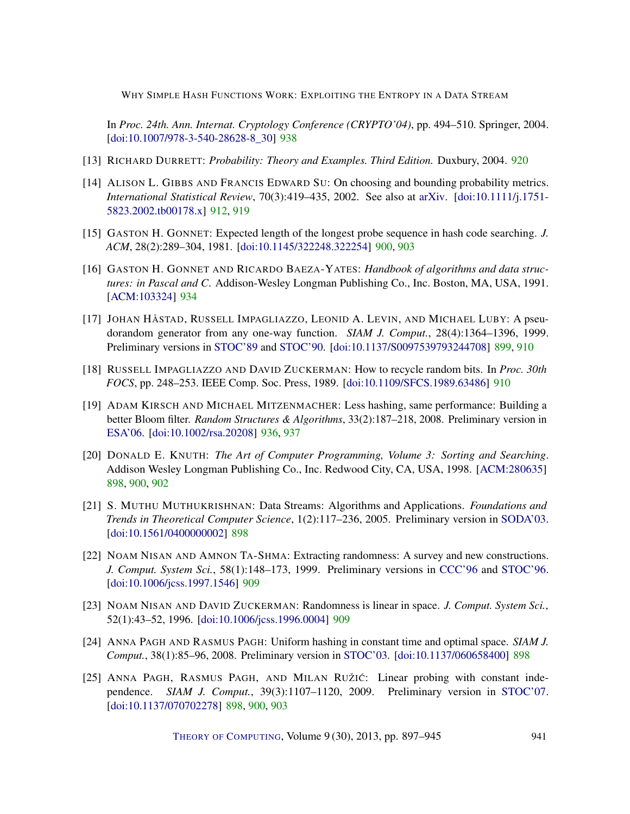In *Proc. 24th. Ann. Internat. Cryptology Conference (CRYPTO'04)*, pp. 494–510. Springer, 2004. [\[doi:10.1007/978-3-540-28628-8\\_30\]](http://dx.doi.org/10.1007/978-3-540-28628-8_30) [938](#page-41-1)

- <span id="page-44-10"></span>[13] RICHARD DURRETT: *Probability: Theory and Examples. Third Edition.* Duxbury, 2004. [920](#page-23-2)
- <span id="page-44-9"></span>[14] ALISON L. GIBBS AND FRANCIS EDWARD SU: On choosing and bounding probability metrics. *International Statistical Review*, 70(3):419–435, 2002. See also at [arXiv.](http://arxiv.org/abs/math/0209021) [\[doi:10.1111/j.1751-](http://dx.doi.org/10.1111/j.1751-5823.2002.tb00178.x) [5823.2002.tb00178.x\]](http://dx.doi.org/10.1111/j.1751-5823.2002.tb00178.x) [912,](#page-15-3) [919](#page-22-2)
- <span id="page-44-5"></span>[15] GASTON H. GONNET: Expected length of the longest probe sequence in hash code searching. *J. ACM*, 28(2):289–304, 1981. [\[doi:10.1145/322248.322254\]](http://dx.doi.org/10.1145/322248.322254) [900,](#page-3-0) [903](#page-6-1)
- <span id="page-44-11"></span>[16] GASTON H. GONNET AND RICARDO BAEZA-YATES: *Handbook of algorithms and data structures: in Pascal and C*. Addison-Wesley Longman Publishing Co., Inc. Boston, MA, USA, 1991. [\[ACM:103324\]](http://portal.acm.org/citation.cfm?id=103324) [934](#page-37-1)
- <span id="page-44-4"></span>[17] JOHAN HÅSTAD, RUSSELL IMPAGLIAZZO, LEONID A. LEVIN, AND MICHAEL LUBY: A pseudorandom generator from any one-way function. *SIAM J. Comput.*, 28(4):1364–1396, 1999. Preliminary versions in [STOC'89](http://dx.doi.org/10.1145/73007.73009) and [STOC'90.](http://dx.doi.org/10.1145/100216.100270) [\[doi:10.1137/S0097539793244708\]](http://dx.doi.org/10.1137/S0097539793244708) [899,](#page-2-0) [910](#page-13-3)
- <span id="page-44-8"></span>[18] RUSSELL IMPAGLIAZZO AND DAVID ZUCKERMAN: How to recycle random bits. In *Proc. 30th FOCS*, pp. 248–253. IEEE Comp. Soc. Press, 1989. [\[doi:10.1109/SFCS.1989.63486\]](http://dx.doi.org/10.1109/SFCS.1989.63486) [910](#page-13-3)
- <span id="page-44-12"></span>[19] ADAM KIRSCH AND MICHAEL MITZENMACHER: Less hashing, same performance: Building a better Bloom filter. *Random Structures & Algorithms*, 33(2):187–218, 2008. Preliminary version in [ESA'06.](http://dx.doi.org/10.1007/11841036_42) [\[doi:10.1002/rsa.20208\]](http://dx.doi.org/10.1002/rsa.20208) [936,](#page-39-0) [937](#page-40-2)
- <span id="page-44-0"></span>[20] DONALD E. KNUTH: *The Art of Computer Programming, Volume 3: Sorting and Searching*. Addison Wesley Longman Publishing Co., Inc. Redwood City, CA, USA, 1998. [\[ACM:280635\]](http://portal.acm.org/citation.cfm?id=280635) [898,](#page-1-0) [900,](#page-3-0) [902](#page-5-1)
- <span id="page-44-1"></span>[21] S. MUTHU MUTHUKRISHNAN: Data Streams: Algorithms and Applications. *Foundations and Trends in Theoretical Computer Science*, 1(2):117–236, 2005. Preliminary version in [SODA'03.](http://dl.acm.org/citation.cfm?id=644174) [\[doi:10.1561/0400000002\]](http://dx.doi.org/10.1561/0400000002) [898](#page-1-0)
- <span id="page-44-7"></span>[22] NOAM NISAN AND AMNON TA-SHMA: Extracting randomness: A survey and new constructions. *J. Comput. System Sci.*, 58(1):148–173, 1999. Preliminary versions in [CCC'96](http://dx.doi.org/10.1109/CCC.1996.507667) and [STOC'96.](http://dx.doi.org/10.1145/237814.237877) [\[doi:10.1006/jcss.1997.1546\]](http://dx.doi.org/10.1006/jcss.1997.1546) [909](#page-12-1)
- <span id="page-44-6"></span>[23] NOAM NISAN AND DAVID ZUCKERMAN: Randomness is linear in space. *J. Comput. System Sci.*, 52(1):43–52, 1996. [\[doi:10.1006/jcss.1996.0004\]](http://dx.doi.org/10.1006/jcss.1996.0004) [909](#page-12-1)
- <span id="page-44-3"></span>[24] ANNA PAGH AND RASMUS PAGH: Uniform hashing in constant time and optimal space. *SIAM J. Comput.*, 38(1):85–96, 2008. Preliminary version in [STOC'03.](http://dx.doi.org/10.1145/780542.780633) [\[doi:10.1137/060658400\]](http://dx.doi.org/10.1137/060658400) [898](#page-1-0)
- <span id="page-44-2"></span>[25] ANNA PAGH, RASMUS PAGH, AND MILAN RUŽIĆ: Linear probing with constant independence. *SIAM J. Comput.*, 39(3):1107–1120, 2009. Preliminary version in [STOC'07.](http://dx.doi.org/10.1145/1250790.1250839) [\[doi:10.1137/070702278\]](http://dx.doi.org/10.1137/070702278) [898,](#page-1-0) [900,](#page-3-0) [903](#page-6-1)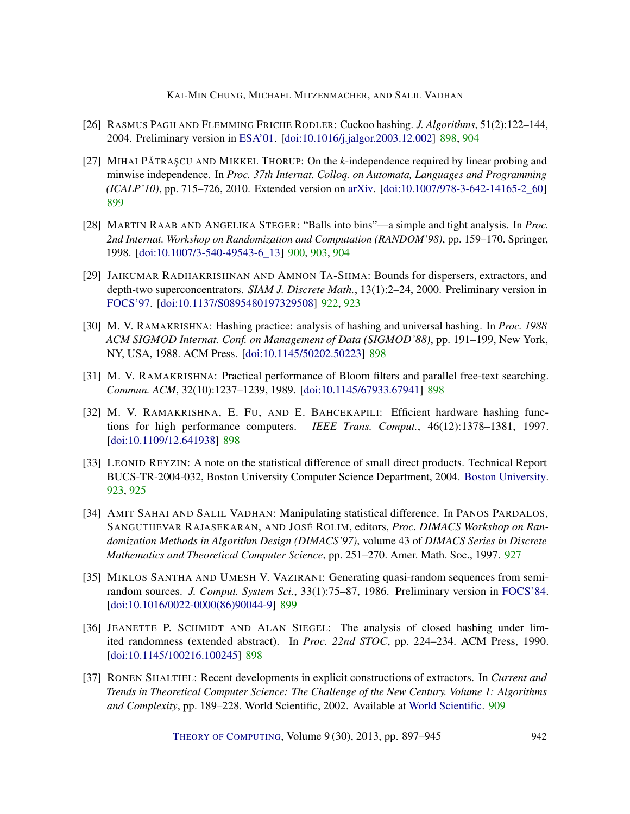- <span id="page-45-1"></span>[26] RASMUS PAGH AND FLEMMING FRICHE RODLER: Cuckoo hashing. *J. Algorithms*, 51(2):122–144, 2004. Preliminary version in [ESA'01.](http://dx.doi.org/10.1007/3-540-44676-1_10) [\[doi:10.1016/j.jalgor.2003.12.002\]](http://dx.doi.org/10.1016/j.jalgor.2003.12.002) [898,](#page-1-0) [904](#page-7-1)
- <span id="page-45-5"></span>[27] MIHAI PĂTRAȘCU AND MIKKEL THORUP: On the *k*-independence required by linear probing and minwise independence. In *Proc. 37th Internat. Colloq. on Automata, Languages and Programming (ICALP'10)*, pp. 715–726, 2010. Extended version on [arXiv.](http://arxiv.org/abs/1302.5127) [\[doi:10.1007/978-3-642-14165-2\\_60\]](http://dx.doi.org/10.1007/978-3-642-14165-2_60) [899](#page-2-0)
- <span id="page-45-7"></span>[28] MARTIN RAAB AND ANGELIKA STEGER: "Balls into bins"—a simple and tight analysis. In *Proc. 2nd Internat. Workshop on Randomization and Computation (RANDOM'98)*, pp. 159–170. Springer, 1998. [\[doi:10.1007/3-540-49543-6\\_13\]](http://dx.doi.org/10.1007/3-540-49543-6_13) [900,](#page-3-0) [903,](#page-6-1) [904](#page-7-1)
- <span id="page-45-9"></span>[29] JAIKUMAR RADHAKRISHNAN AND AMNON TA-SHMA: Bounds for dispersers, extractors, and depth-two superconcentrators. *SIAM J. Discrete Math.*, 13(1):2–24, 2000. Preliminary version in [FOCS'97.](http://doi.ieeecomputersociety.org/10.1109/SFCS.1997.646148) [\[doi:10.1137/S0895480197329508\]](http://dx.doi.org/10.1137/S0895480197329508) [922,](#page-25-2) [923](#page-26-3)
- <span id="page-45-3"></span>[30] M. V. RAMAKRISHNA: Hashing practice: analysis of hashing and universal hashing. In *Proc. 1988 ACM SIGMOD Internat. Conf. on Management of Data (SIGMOD'88)*, pp. 191–199, New York, NY, USA, 1988. ACM Press. [\[doi:10.1145/50202.50223\]](http://dx.doi.org/10.1145/50202.50223) [898](#page-1-0)
- <span id="page-45-2"></span>[31] M. V. RAMAKRISHNA: Practical performance of Bloom filters and parallel free-text searching. *Commun. ACM*, 32(10):1237–1239, 1989. [\[doi:10.1145/67933.67941\]](http://dx.doi.org/10.1145/67933.67941) [898](#page-1-0)
- <span id="page-45-4"></span>[32] M. V. RAMAKRISHNA, E. FU, AND E. BAHCEKAPILI: Efficient hardware hashing functions for high performance computers. *IEEE Trans. Comput.*, 46(12):1378–1381, 1997. [\[doi:10.1109/12.641938\]](http://dx.doi.org/10.1109/12.641938) [898](#page-1-0)
- <span id="page-45-10"></span>[33] LEONID REYZIN: A note on the statistical difference of small direct products. Technical Report BUCS-TR-2004-032, Boston University Computer Science Department, 2004. [Boston University.](http://open.bu.edu/xmlui/handle/2144/1558) [923,](#page-26-3) [925](#page-28-2)
- <span id="page-45-11"></span>[34] AMIT SAHAI AND SALIL VADHAN: Manipulating statistical difference. In PANOS PARDALOS, SANGUTHEVAR RAJASEKARAN, AND JOSÉ ROLIM, editors, *Proc. DIMACS Workshop on Randomization Methods in Algorithm Design (DIMACS'97)*, volume 43 of *DIMACS Series in Discrete Mathematics and Theoretical Computer Science*, pp. 251–270. Amer. Math. Soc., 1997. [927](#page-30-3)
- <span id="page-45-6"></span>[35] MIKLOS SANTHA AND UMESH V. VAZIRANI: Generating quasi-random sequences from semirandom sources. *J. Comput. System Sci.*, 33(1):75–87, 1986. Preliminary version in [FOCS'84.](http://dx.doi.org/10.1109/SFCS.1984.715945) [\[doi:10.1016/0022-0000\(86\)90044-9\]](http://dx.doi.org/10.1016/0022-0000(86)90044-9) [899](#page-2-0)
- <span id="page-45-0"></span>[36] JEANETTE P. SCHMIDT AND ALAN SIEGEL: The analysis of closed hashing under limited randomness (extended abstract). In *Proc. 22nd STOC*, pp. 224–234. ACM Press, 1990. [\[doi:10.1145/100216.100245\]](http://dx.doi.org/10.1145/100216.100245) [898](#page-1-0)
- <span id="page-45-8"></span>[37] RONEN SHALTIEL: Recent developments in explicit constructions of extractors. In *Current and Trends in Theoretical Computer Science: The Challenge of the New Century. Volume 1: Algorithms and Complexity*, pp. 189–228. World Scientific, 2002. Available at [World Scientific.](http://www.worldscientific.com/worldscibooks/10.1142/5491-vol1#t=toc) [909](#page-12-1)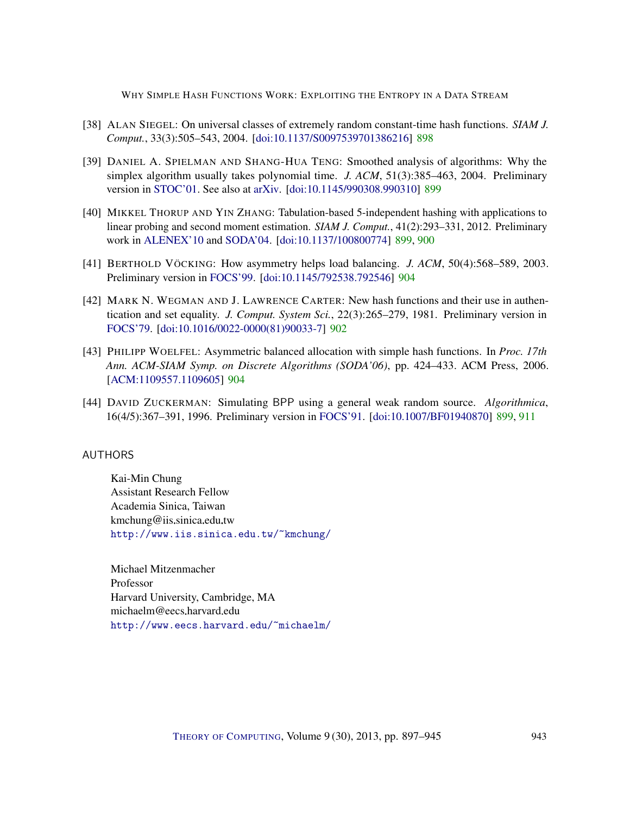- <span id="page-46-2"></span>[38] ALAN SIEGEL: On universal classes of extremely random constant-time hash functions. *SIAM J. Comput.*, 33(3):505–543, 2004. [\[doi:10.1137/S0097539701386216\]](http://dx.doi.org/10.1137/S0097539701386216) [898](#page-1-0)
- <span id="page-46-4"></span>[39] DANIEL A. SPIELMAN AND SHANG-HUA TENG: Smoothed analysis of algorithms: Why the simplex algorithm usually takes polynomial time. *J. ACM*, 51(3):385–463, 2004. Preliminary version in [STOC'01.](http://dx.doi.org/10.1145/380752.380813) See also at [arXiv.](http://arxiv.org/abs/cs.DS/0111050) [\[doi:10.1145/990308.990310\]](http://dx.doi.org/10.1145/990308.990310) [899](#page-2-0)
- <span id="page-46-3"></span>[40] MIKKEL THORUP AND YIN ZHANG: Tabulation-based 5-independent hashing with applications to linear probing and second moment estimation. *SIAM J. Comput.*, 41(2):293–331, 2012. Preliminary work in [ALENEX'10](http://dx.doi.org/10.1137/1.9781611972900.7) and [SODA'04.](http://dl.acm.org/citation.cfm?id=982792.982884) [\[doi:10.1137/100800774\]](http://dx.doi.org/10.1137/100800774) [899,](#page-2-0) [900](#page-3-0)
- <span id="page-46-7"></span>[41] BERTHOLD VÖCKING: How asymmetry helps load balancing. *J. ACM*, 50(4):568–589, 2003. Preliminary version in [FOCS'99.](http://dx.doi.org/10.1109/SFFCS.1999.814585) [\[doi:10.1145/792538.792546\]](http://dx.doi.org/10.1145/792538.792546) [904](#page-7-1)
- <span id="page-46-6"></span>[42] MARK N. WEGMAN AND J. LAWRENCE CARTER: New hash functions and their use in authentication and set equality. *J. Comput. System Sci.*, 22(3):265–279, 1981. Preliminary version in [FOCS'79.](http://dx.doi.org/10.1109/SFCS.1979.26) [\[doi:10.1016/0022-0000\(81\)90033-7\]](http://dx.doi.org/10.1016/0022-0000(81)90033-7) [902](#page-5-1)
- <span id="page-46-8"></span>[43] PHILIPP WOELFEL: Asymmetric balanced allocation with simple hash functions. In *Proc. 17th Ann. ACM-SIAM Symp. on Discrete Algorithms (SODA'06)*, pp. 424–433. ACM Press, 2006. [\[ACM:1109557.1109605\]](http://portal.acm.org/citation.cfm?id=1109557.1109605) [904](#page-7-1)
- <span id="page-46-5"></span>[44] DAVID ZUCKERMAN: Simulating BPP using a general weak random source. *Algorithmica*, 16(4/5):367–391, 1996. Preliminary version in [FOCS'91.](http://dx.doi.org/10.1109/SFCS.1991.185351) [\[doi:10.1007/BF01940870\]](http://dx.doi.org/10.1007/BF01940870) [899,](#page-2-0) [911](#page-14-2)

# <span id="page-46-0"></span>AUTHORS

Kai-Min Chung Assistant Research Fellow Academia Sinica, Taiwan kmchung@iis.sinica.edu.tw <http://www.iis.sinica.edu.tw/~kmchung/>

<span id="page-46-1"></span>Michael Mitzenmacher Professor Harvard University, Cambridge, MA michaelm@eecs.harvard.edu <http://www.eecs.harvard.edu/~michaelm/>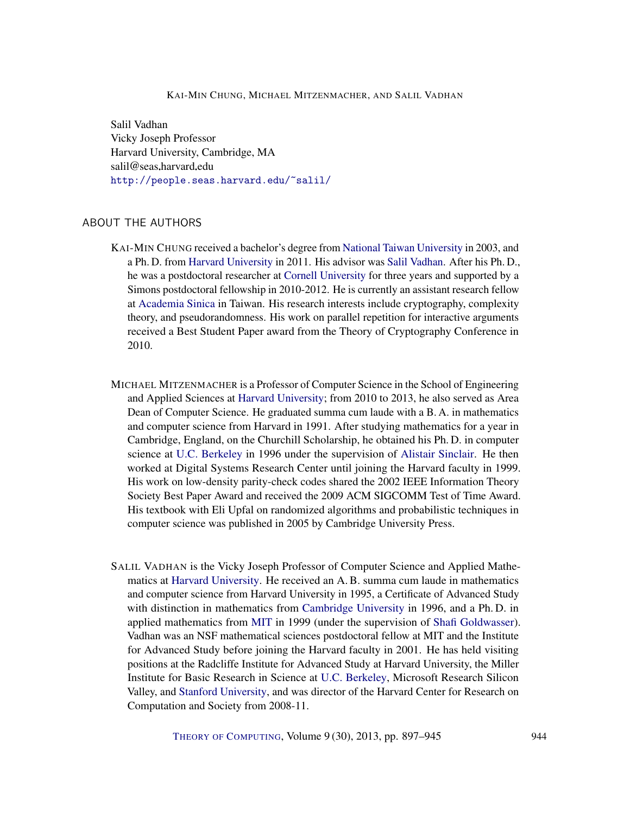<span id="page-47-0"></span>Salil Vadhan Vicky Joseph Professor Harvard University, Cambridge, MA salil@seas.harvard.edu <http://people.seas.harvard.edu/~salil/>

# ABOUT THE AUTHORS

- KAI-MIN CHUNG received a bachelor's degree from [National Taiwan University](http://www.ntu.edu.tw/) in 2003, and a Ph. D. from [Harvard University](http://www.harvard.edu/) in 2011. His advisor was [Salil Vadhan.](http://people.seas.harvard.edu/~salil/) After his Ph. D., he was a postdoctoral researcher at [Cornell University](http://www.cornell.edu/) for three years and supported by a Simons postdoctoral fellowship in 2010-2012. He is currently an assistant research fellow at [Academia Sinica](http://www.sinica.edu.tw/main_e.shtml) in Taiwan. His research interests include cryptography, complexity theory, and pseudorandomness. His work on parallel repetition for interactive arguments received a Best Student Paper award from the Theory of Cryptography Conference in 2010.
- MICHAEL MITZENMACHER is a Professor of Computer Science in the School of Engineering and Applied Sciences at [Harvard University;](http://www.harvard.edu/) from 2010 to 2013, he also served as Area Dean of Computer Science. He graduated summa cum laude with a B. A. in mathematics and computer science from Harvard in 1991. After studying mathematics for a year in Cambridge, England, on the Churchill Scholarship, he obtained his Ph. D. in computer science at [U.C. Berkeley](http://www.berkeley.edu/index.html) in 1996 under the supervision of [Alistair Sinclair.](http://www.cs.berkeley.edu/~sinclair) He then worked at Digital Systems Research Center until joining the Harvard faculty in 1999. His work on low-density parity-check codes shared the 2002 IEEE Information Theory Society Best Paper Award and received the 2009 ACM SIGCOMM Test of Time Award. His textbook with Eli Upfal on randomized algorithms and probabilistic techniques in computer science was published in 2005 by Cambridge University Press.
- SALIL VADHAN is the Vicky Joseph Professor of Computer Science and Applied Mathematics at [Harvard University.](http://www.harvard.edu/) He received an A. B. summa cum laude in mathematics and computer science from Harvard University in 1995, a Certificate of Advanced Study with distinction in mathematics from [Cambridge University](http://www.cam.ac.uk/) in 1996, and a Ph. D. in applied mathematics from [MIT](http://web.mit.edu/) in 1999 (under the supervision of [Shafi Goldwasser\)](http://people.csail.mit.edu/shafi/). Vadhan was an NSF mathematical sciences postdoctoral fellow at MIT and the Institute for Advanced Study before joining the Harvard faculty in 2001. He has held visiting positions at the Radcliffe Institute for Advanced Study at Harvard University, the Miller Institute for Basic Research in Science at [U.C. Berkeley,](http://www.berkeley.edu/index.html) Microsoft Research Silicon Valley, and [Stanford University,](http://www.stanford.edu/) and was director of the Harvard Center for Research on Computation and Society from 2008-11.

THEORY OF C[OMPUTING](http://dx.doi.org/10.4086/toc), Volume 9 (30), 2013, pp. 897–945 944